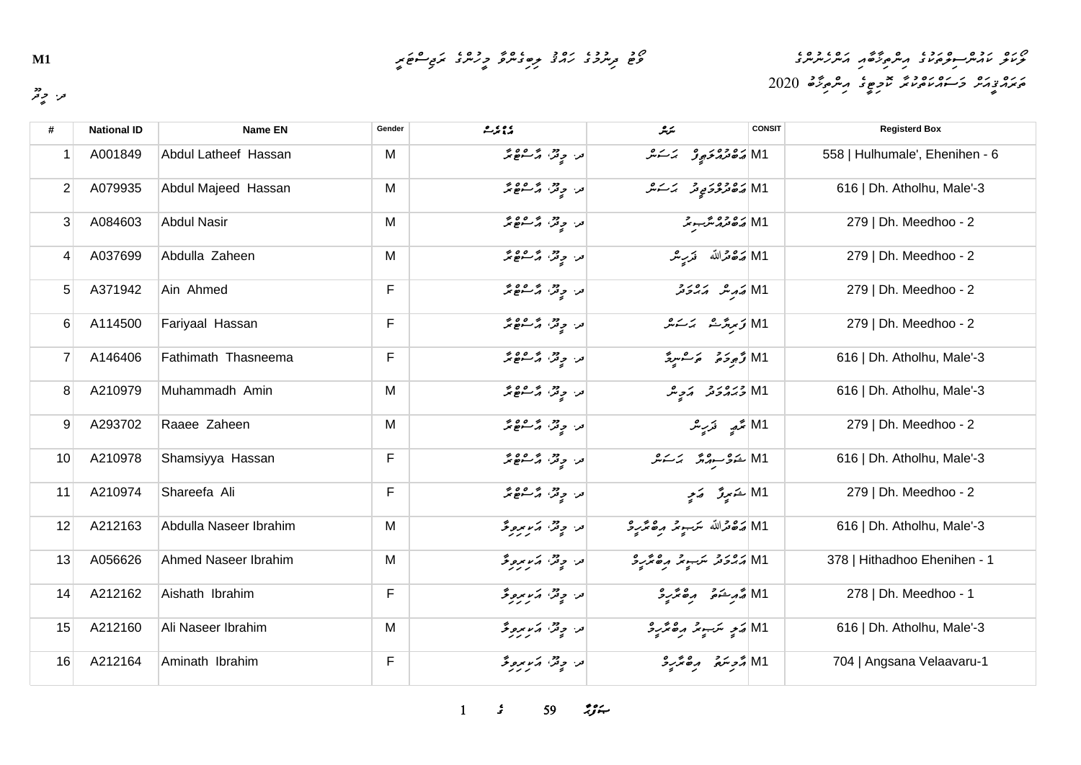*sCw7q7s5w7m< o<n9nOoAw7o< sCq;mAwBoEw7q<m; wBm;vB* م من المرة المرة المرة المرجع المرجع في المركبة 2020<br>مجم*د المريض المربوط المربع المرجع في المراجع المركبة* 

| #              | <b>National ID</b> | Name EN                | Gender      | ړ دیکر ک                      | ىترىتر                                               | <b>CONSIT</b> | <b>Registerd Box</b>           |
|----------------|--------------------|------------------------|-------------|-------------------------------|------------------------------------------------------|---------------|--------------------------------|
| -1             | A001849            | Abdul Latheef Hassan   | M           | ىن بوتى، ئەسمەتلى             | M1 <i>مەھەرم جو</i> ر برىكەش                         |               | 558   Hulhumale', Ehenihen - 6 |
| $\overline{2}$ | A079935            | Abdul Majeed Hassan    | M           | ىن ئەتر، ئەسمىھەتە            | M1 كەھەترى <i>زى قو</i> ر كەسكەش                     |               | 616   Dh. Atholhu, Male'-3     |
| 3              | A084603            | <b>Abdul Nasir</b>     | M           | مر ۔ وِمْرُ اگر شَرْحَ مُرُ   | M1 مەھ <i>تىرە</i> ئىر بىر                           |               | 279   Dh. Meedhoo - 2          |
| 4              | A037699            | Abdulla Zaheen         | M           | ىر. بارتۇ، ئارسىۋېتر          | M1 كەھەراللە   نىرىبەشر                              |               | 279   Dh. Meedhoo - 2          |
| 5              | A371942            | Ain Ahmed              | $\mathsf F$ | ىر. بەتر، ئەسمىھەتە           | M1 <i>مَهِ شهر مَدْوَ</i> مَر                        |               | 279   Dh. Meedhoo - 2          |
| 6              | A114500            | Fariyaal Hassan        | $\mathsf F$ | ىن بەر ئەسمەت                 | M1 كۆپرەگەشقىيەت ئەستەنگە                            |               | 279   Dh. Meedhoo - 2          |
| 7              | A146406            | Fathimath Thasneema    | $\mathsf F$ | مر ۔ وِمْرُ اگر شَرْحَ مُرُ   | M1 زَّجِرَة مَ سَنْ يَعْ                             |               | 616   Dh. Atholhu, Male'-3     |
| 8              | A210979            | Muhammadh Amin         | M           | ىن بەتر، ئەسمىھەتە            | M1 <i>5223 كەچ</i> ىر                                |               | 616   Dh. Atholhu, Male'-3     |
| 9              | A293702            | Raaee Zaheen           | M           | مرا وِتْرٌا مُرْسُوْجُرٌ      | M1 بَرْمٍ نَرَرٍ شَرْ                                |               | 279   Dh. Meedhoo - 2          |
| 10             | A210978            | Shamsiyya Hassan       | $\mathsf F$ | امر - جو تر من الله عليه الله | M1 خەۋسو <i>مەڭ بى</i> كەش                           |               | 616   Dh. Atholhu, Male'-3     |
| 11             | A210974            | Shareefa Ali           | $\mathsf F$ | مرا وِتْرٌا مُرْسُوْجُرٌ      | M1 ڪيوتر ڪيو                                         |               | 279   Dh. Meedhoo - 2          |
| 12             | A212163            | Abdulla Naseer Ibrahim | M           | ىن چ <sup>و</sup> چ، مەمبوق   | M1 أَرَە قُرْاللَّهُ ۖ مَرَجَعَةٌ ۖ مِرَةٌ مَّرْرِدْ |               | 616   Dh. Atholhu, Male'-3     |
| 13             | A056626            | Ahmed Naseer Ibrahim   | M           | ىن جٍنْنٌ مَا برە بْنُ        | M1 <i>ב بح</i> دة ترجيحه وكالجميدة                   |               | 378   Hithadhoo Ehenihen - 1   |
| 14             | A212162            | Aishath Ibrahim        | $\mathsf F$ | لا وقرا مسترور                | M1 #مرِڪمة م <i>وڭترب</i> و                          |               | 278   Dh. Meedhoo - 1          |
| 15             | A212160            | Ali Naseer Ibrahim     | M           | من جي ته ان تر مرجو چ         | M1   رَمِ سَ سَعِ مِنْ مِرْهُ مَّرْرِ دُ             |               | 616   Dh. Atholhu, Male'-3     |
| 16             | A212164            | Aminath Ibrahim        | $\mathsf F$ | ىر. دېگر، مەمبرونۇ            | M1 مَّ حِ سَمَّە ً مِنْ مِحْرَبِ 2                   |               | 704   Angsana Velaavaru-1      |

*r@p> .@*

*1 s* 59 *i*<sub>s</sub> *s*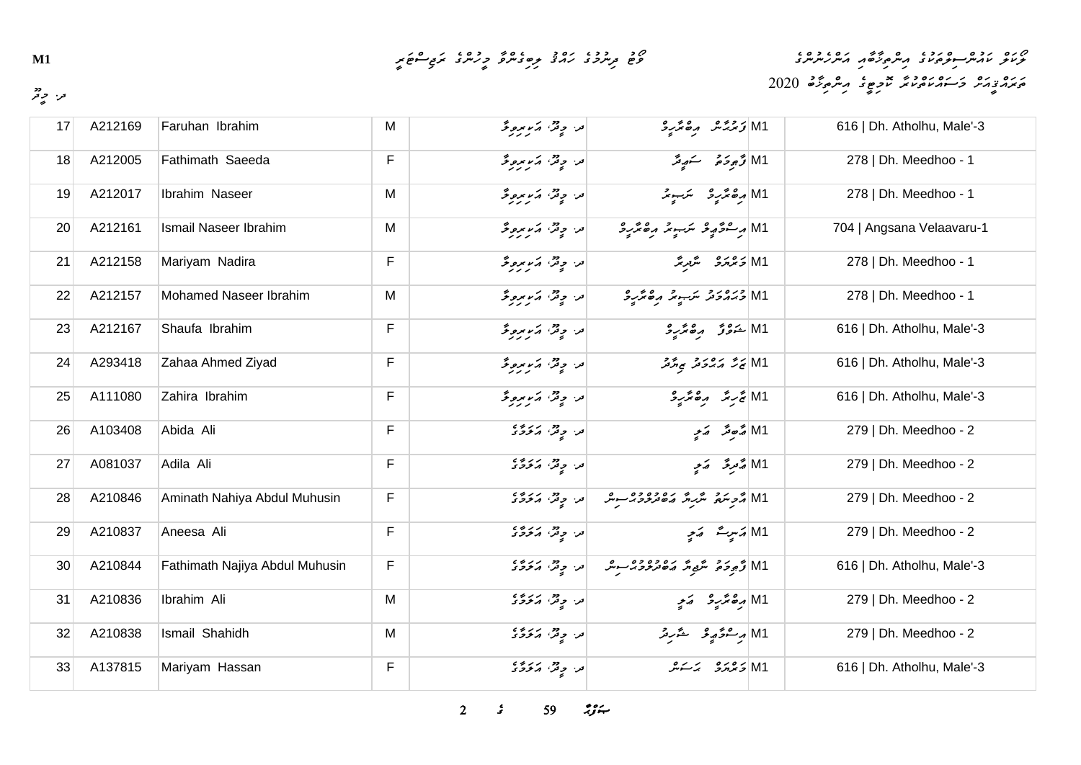*sCw7q7s5w7m< o<n9nOoAw7o< sCq;mAwBoEw7q<m; wBm;vB* م من المرة المرة المرة المرجع المرجع في المركبة 2020<br>مجم*د المريض المربوط المربع المرجع في المراجع المركبة* 

| 17              | A212169 | Faruhan Ibrahim                | M           | ىر. جەنئە، مەسم بورغ         | M1 كَرَيْرَيْكُرْ بِرَصْبَرْرِدْ                                                                     | 616   Dh. Atholhu, Male'-3 |
|-----------------|---------|--------------------------------|-------------|------------------------------|------------------------------------------------------------------------------------------------------|----------------------------|
| 18              | A212005 | Fathimath Saeeda               | F           | در چنگ مکر مرد و څ           | M1 وَجوحَۃ سَنہوشَ                                                                                   | 278   Dh. Meedhoo - 1      |
| 19              | A212017 | Ibrahim Naseer                 | M           | ا در اولاد کام مرونگ         | M1 مەھمگىر تەسىر ئىككى ئىسىر ئىككىن ئىككىن ئىككىن ئىككىن ئىككىن ئىككىن ئىككىن ئىككىن ئىككىن ئىككىن ئ | 278   Dh. Meedhoo - 1      |
| 20              | A212161 | Ismail Naseer Ibrahim          | M           | من الرقم الكرام مرجوع        | M1 <sub>مر</sub> شۇ <sub>م</sub> پۇ سەببەتمە مەھەر پە                                                | 704   Angsana Velaavaru-1  |
| 21              | A212158 | Mariyam Nadira                 | F           | اللا الإقلاء أكاما مرجونخر   | M1 كەيمەيزى ئىمبەيگە                                                                                 | 278   Dh. Meedhoo - 1      |
| 22              | A212157 | Mohamed Naseer Ibrahim         | M           | من جي مگر مگر مربور محر      | M1 <i>وبرو دو مرسومی م</i> ی <i>مرب</i> و                                                            | 278   Dh. Meedhoo - 1      |
| 23              | A212167 | Shaufa Ibrahim                 | $\mathsf F$ | من جي مگر مگر مربور گ        | M1 خۇرق مەمگرى <sub>د</sub> ى                                                                        | 616   Dh. Atholhu, Male'-3 |
| 24              | A293418 | Zahaa Ahmed Ziyad              | $\mathsf F$ | لرا وِفْرٌا مَا مِعْوَ       | M1 کے <i>گہ کہ ب</i> گہ کر ہے جگہ تھر                                                                | 616   Dh. Atholhu, Male'-3 |
| 25              | A111080 | Zahira Ibrahim                 | $\mathsf F$ | أمرا وفرش وكالمروغ           | M1 تج سِتَمَّہ مِنصَمَّہُ جِ                                                                         | 616   Dh. Atholhu, Male'-3 |
| 26              | A103408 | Abida Ali                      | F           | ا در او ده کرونو د           | M1 مُحصِّدٌ   مَدِ                                                                                   | 279   Dh. Meedhoo - 2      |
| 27              | A081037 | Adila Ali                      | F           | ا در او ده کار ده کار        | M1 صَّمِرتَ صَعِ                                                                                     | 279   Dh. Meedhoo - 2      |
| 28              | A210846 | Aminath Nahiya Abdul Muhusin   | $\mathsf F$ |                              | M1 مُّ مِسَمَّى سُّرِيسٌ مَصْعَرُونَ مِسْشَرٍ أَسْ مِنْ مَوَوَّى مَ                                  | 279   Dh. Meedhoo - 2      |
| 29              | A210837 | Aneesa Ali                     | $\mathsf F$ | من حٍ فَنْ الْمَاحْرَى       | M1 پرسريح پر تو                                                                                      | 279   Dh. Meedhoo - 2      |
| 30 <sup>°</sup> | A210844 | Fathimath Najiya Abdul Muhusin | $\mathsf F$ |                              | M1 رَّجِوَمَ مَّرْجِعٌ مَصْرُوْرُ مِّسْبِسْ   مَنْ وِمْنْ مَوَوَّدًى                                 | 616   Dh. Atholhu, Male'-3 |
| 31              | A210836 | Ibrahim Ali                    | M           | من حٍ فَنْ الْمَاحْرَى       | M1 مەھەمگەر قە ھەم يە                                                                                | 279   Dh. Meedhoo - 2      |
| 32              | A210838 | Ismail Shahidh                 | M           | أقرا وفرا كالمروء            | M1 م <i>ې</i> شۇمۇ ش <sup>ې</sup> رى <i>د</i>                                                        | 279   Dh. Meedhoo - 2      |
| 33              | A137815 | Mariyam Hassan                 | F           | من حٍ فِشْ، أَيَرَ وَجُوَ يَ | M1 كەيمە <i>كى بەسكەنل</i>                                                                           | 616   Dh. Atholhu, Male'-3 |

*2 sC 59 nNw?mS*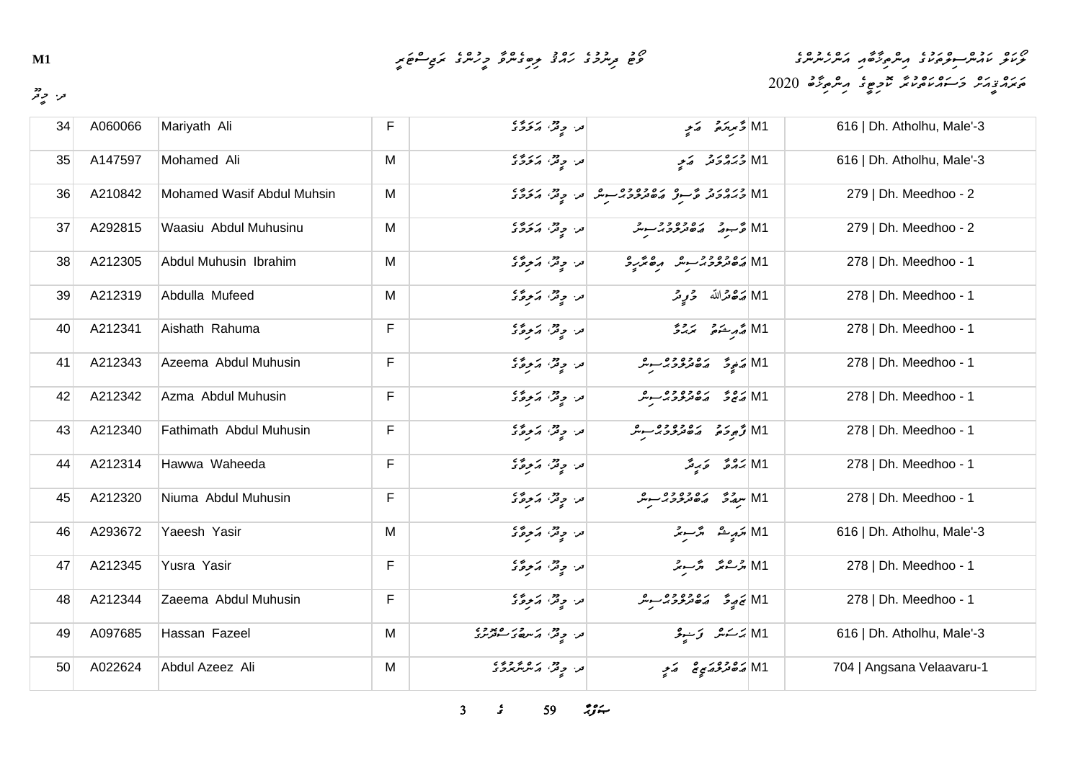*sCw7q7s5w7m< o<n9nOoAw7o< sCq;mAwBoEw7q<m; wBm;vB* م من المرة المرة المرة المرجع المرجع في المركبة 2020<br>مجم*د المريض المربوط المربع المرجع في المراجع المركبة* 

| 34 | A060066 | Mariyath Ali               | $\mathsf{F}$ | د. وِفْرُ، مَعَرَّى                   | M1 محبورتمر محمو                                       | 616   Dh. Atholhu, Male'-3 |
|----|---------|----------------------------|--------------|---------------------------------------|--------------------------------------------------------|----------------------------|
| 35 | A147597 | Mohamed Ali                | M            | در چینې کمنځرۍ                        | M1 <i>5 ټره 5 تر مر</i> م                              | 616   Dh. Atholhu, Male'-3 |
| 36 | A210842 | Mohamed Wasif Abdul Muhsin | M            |                                       | M1 وبروترو ومسوح مقافر وواسوش الملا المحمد من المتفاوي | 279   Dh. Meedhoo - 2      |
| 37 | A292815 | Waasiu Abdul Muhusinu      | M            | أمرا وفرا كالمروء                     | M1 <i>قُ-دە" مەھەر جەج</i> رىسوسى                      | 279   Dh. Meedhoo - 2      |
| 38 | A212305 | Abdul Muhusin Ibrahim      | M            | در او چرا کارونای                     | M1   مەھەر ئەرجىزىسى مەھەر ئەرج                        | 278   Dh. Meedhoo - 1      |
| 39 | A212319 | Abdulla Mufeed             | M            | ا در او چرا کم مرکز کا                | M1 كەھەراللە   3ىرىتر                                  | 278   Dh. Meedhoo - 1      |
| 40 | A212341 | Aishath Rahuma             | $\mathsf{F}$ | ىر. چ <sup>و</sup> چ، كەچر <i>ە</i> ئ | M1 <i>مەمبىغى ئەبرق</i>                                | 278   Dh. Meedhoo - 1      |
| 41 | A212343 | Azeema Abdul Muhusin       | $\mathsf F$  | امرا وفرا أروحي                       | M1 كەنبەۇ كەھەر <i>ۈدە بەيى</i> ر                      | 278   Dh. Meedhoo - 1      |
| 42 | A212342 | Azma Abdul Muhusin         | $\mathsf F$  | ىر. چ <sup>و</sup> چ، كەچر <i>ە</i> ئ | M1 كەنج <i>گە كەھەر بوجە</i> سىدىگە                    | 278   Dh. Meedhoo - 1      |
| 43 | A212340 | Fathimath Abdul Muhusin    | $\mathsf F$  | ىر. چ <sup>ون</sup> ، مەجرەتى         | M1 زَّجِرَة رَهُ صَوَّرْحَرَ رَّ سِرْ                  | 278   Dh. Meedhoo - 1      |
| 44 | A212314 | Hawwa Waheeda              | $\mathsf F$  | ىر. چ <sup>و</sup> چ، كەنچەنچ         | M1 <i>بَرْدُوَّة وَب</i> ِيْرَ                         | 278   Dh. Meedhoo - 1      |
| 45 | A212320 | Niuma Abdul Muhusin        | F            | ا در او چراه کرمونو کا                | M1 سهرمَ مَه مورود مستر                                | 278   Dh. Meedhoo - 1      |
| 46 | A293672 | Yaeesh Yasir               | M            | ىر. چ <sup>و</sup> چ، كەنچەنچ         | M1 ا <i>نزویشہ</i> م <i>رَّ</i> سومر                   | 616   Dh. Atholhu, Male'-3 |
| 47 | A212345 | Yusra Yasir                | $\mathsf F$  | ىر. چ <sup>و</sup> چ، كەچر <i>ە</i> ئ | M1 پر شهر پر سه پر                                     | 278   Dh. Meedhoo - 1      |
| 48 | A212344 | Zaeema Abdul Muhusin       | $\mathsf F$  | ا در او چراه کرمونو کا                | M1 يَهُمِرُّ مَهُ مُرْمُرْ حَرْبِ مِسْرِ               | 278   Dh. Meedhoo - 1      |
| 49 | A097685 | Hassan Fazeel              | M            | ور وجه که سرور ۲۶ ورو                 | M1   پرسترس کی نیوی M                                  | 616   Dh. Atholhu, Male'-3 |
| 50 | A022624 | Abdul Azeez Ali            | M            | در چ <sup>ور</sup> بر <i>مرش بروی</i> | M1 <i>مَـُھورُوْمَ بِي</i> ءَ <i>مَ</i> ٰحٍ            | 704   Angsana Velaavaru-1  |

**3** *s* **59** *z s*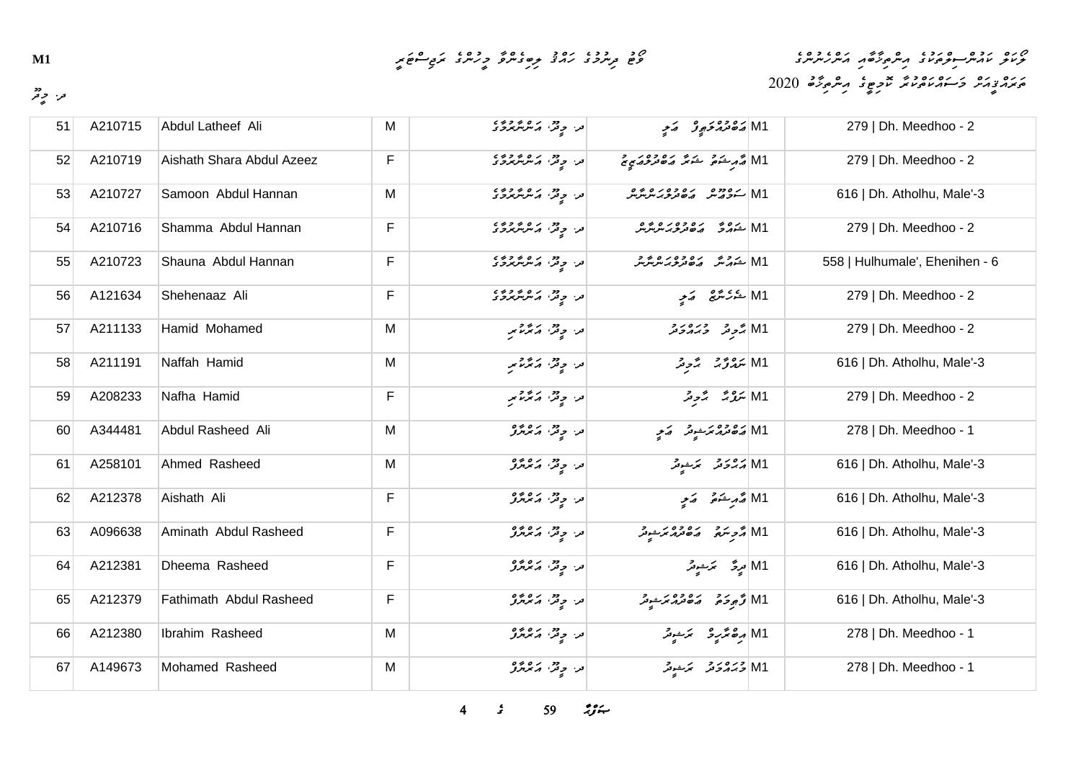*sCw7q7s5w7m< o<n9nOoAw7o< sCq;mAwBoEw7q<m; wBm;vB* م من المرة المرة المرة المرجع المرجع في المركبة 2020<br>مجم*د المريض المربوط المربع المرجع في المراجع المركبة* 

| 51 | A210715 | Abdul Latheef Ali         | M           | د. دی گروه ده د                      | M1 <i>בَ څُوڅو چو</i> ژ کرم                                     | 279   Dh. Meedhoo - 2          |
|----|---------|---------------------------|-------------|--------------------------------------|-----------------------------------------------------------------|--------------------------------|
| 52 | A210719 | Aishath Shara Abdul Azeez | F           | ا در اولار، کماسر شرور د             | M1 ۾ پرڪو ۽ ڪو رکھ ترحمد <sub>کي</sub> ج                        | 279   Dh. Meedhoo - 2          |
| 53 | A210727 | Samoon Abdul Hannan       | M           | امرا وفرا كالمراكب                   |                                                                 | 616   Dh. Atholhu, Male'-3     |
| 54 | A210716 | Shamma Abdul Hannan       | F           | و. وفرا ما ما ده و                   | M1 خەرق كەھەر <i>ۈر ئارىگە</i> ر                                | 279   Dh. Meedhoo - 2          |
| 55 | A210723 | Shauna Abdul Hannan       | $\mathsf F$ | د. دٍیْن مُرکز مُرکز ده د            | M1 خەرش مەھىرىرىرىترىتر                                         | 558   Hulhumale', Ehenihen - 6 |
| 56 | A121634 | Shehenaaz Ali             | $\mathsf F$ | تر، ویژ، ماسرسربروی                  | M1 ڪريميرچ <i>چو</i>                                            | 279   Dh. Meedhoo - 2          |
| 57 | A211133 | Hamid Mohamed             | M           | ىن جەنئى ئەنگەنلىر                   | M1  بُرْحِ مِرْ مُرَ بِرُ مِرْ                                  | 279   Dh. Meedhoo - 2          |
| 58 | A211191 | Naffah Hamid              | M           | مرا وقرا مكرماتين                    | M1 سَمَدُوَّبُّ بُرَّحِ مَرْ                                    | 616   Dh. Atholhu, Male'-3     |
| 59 | A208233 | Nafha Hamid               | $\mathsf F$ | ىن چەش كەنگەنلىر                     | M1 سَمَدْتَہ شَّحِقَّہُ                                         | 279   Dh. Meedhoo - 2          |
| 60 | A344481 | Abdul Rasheed Ali         | M           | تن ۔ وِتْرُ کے مرکز و                | M1 كەھە <i>تەھ كەنىۋەتر كەي</i> چ                               | 278   Dh. Meedhoo - 1          |
| 61 | A258101 | Ahmed Rasheed             | M           | تر. وفرا كالمروفر                    | M1   كەبۇ تەكەن ئىمكە ئىرىسى ئىراقىلار                          | 616   Dh. Atholhu, Male'-3     |
| 62 | A212378 | Aishath Ali               | $\mathsf F$ | ىر. دېم، مەمەر                       | M1 مَگهرِ مُشَمَّر مَگرِ ج                                      | 616   Dh. Atholhu, Male'-3     |
| 63 | A096638 | Aminath Abdul Rasheed     | $\mathsf F$ | ىر. چەقتى كەنجەمل                    | M1 مُتَّحِسَّعَ مَصْمَّرْ مَسْتَبِعْدَ                          | 616   Dh. Atholhu, Male'-3     |
| 64 | A212381 | Dheema Rasheed            | $\mathsf F$ | تن ۔ وِتْرُ کے مرکز و                | M1 مرِدَّ - سَرْشومْر                                           | 616   Dh. Atholhu, Male'-3     |
| 65 | A212379 | Fathimath Abdul Rasheed   | $\mathsf F$ | ا در او در کار در در در              | M1 زَّجِ دَمَ صَ صَ صَ صَ صَرْمَ عَبْدِ مِنْ                    | 616   Dh. Atholhu, Male'-3     |
| 66 | A212380 | Ibrahim Rasheed           | M           | د. وفرا منگرو                        | M1 مەھەرىپ كىمىسى ئىككىتى ئىككىتى ئىككىتى ئىككىت بىر ئىككىت كىل | 278   Dh. Meedhoo - 1          |
| 67 | A149673 | Mohamed Rasheed           | M           | ىر. چ <sup>ور</sup> ، ئ <i>ەبەرۇ</i> | M1   <i>32,252 بَرَحْوِيْر</i> ُ                                | 278   Dh. Meedhoo - 1          |

*4 sC 59 nNw?mS*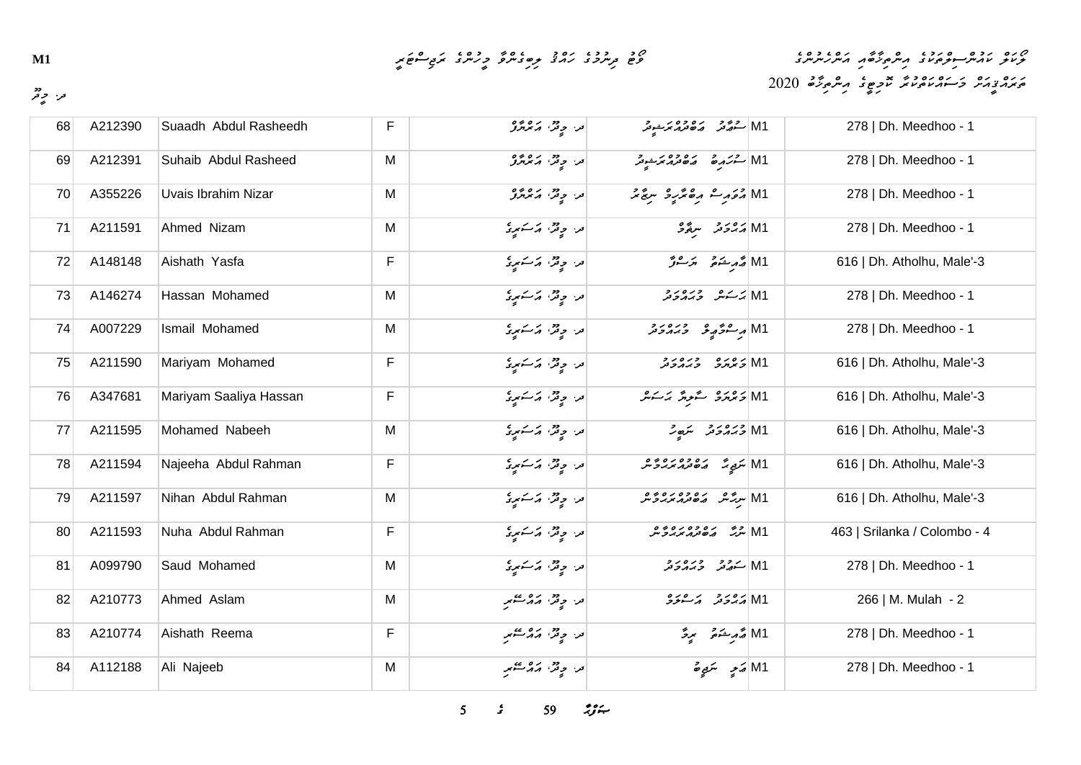*sCw7q7s5w7m< o<n9nOoAw7o< sCq;mAwBoEw7q<m; wBm;vB* م من المرة المرة المرة المرجع المرجع في المركبة 2020<br>مجم*د المريض المربوط المربع المرجع في المراجع المركبة* 

| 68 | A212390 | Suaadh Abdul Rasheedh  | F           | ىر. ج <sup>وم</sup> ، ك <i>ەيدى</i> ر | M1 شۇنىڭ مەھ <i>ەرە بىر</i> ىنبەتر                                                                             | 278   Dh. Meedhoo - 1        |
|----|---------|------------------------|-------------|---------------------------------------|----------------------------------------------------------------------------------------------------------------|------------------------------|
| 69 | A212391 | Suhaib Abdul Rasheed   | M           | ا در او ده که بر در و                 | M1 شركرة كان وده برشوتر                                                                                        | 278   Dh. Meedhoo - 1        |
| 70 | A355226 | Uvais Ibrahim Nizar    | M           | ا در او چرا که هر پروژ                | M1 مۇم بە مەھمەر ئىس سىتىم                                                                                     | 278   Dh. Meedhoo - 1        |
| 71 | A211591 | Ahmed Nizam            | M           | ىر. چ <sup>ور</sup> ، كەسكەپرى        | M1 كەش <sup>ى</sup> قىر سىنگەنى                                                                                | 278   Dh. Meedhoo - 1        |
| 72 | A148148 | Aishath Yasfa          | $\mathsf F$ | ىر. چ <sup>ور</sup> ، كەسكەپرى        | M1 ۾َ مِ شَمَعَ هَ سَرْءَ تَرَ                                                                                 | 616   Dh. Atholhu, Male'-3   |
| 73 | A146274 | Hassan Mohamed         | M           | مرا وفرا أأسكوى                       | M1 ئەسەھرە جەم ئەھرىتىر                                                                                        | 278   Dh. Meedhoo - 1        |
| 74 | A007229 | Ismail Mohamed         | M           | ا در اېږدنه که کشوره                  | M1 م حوَّمٍ و محمد الله عنه و معرفة الله حرف الله عنه الله عنه الله عنه الله عنه الله عنه الله عنه ا           | 278   Dh. Meedhoo - 1        |
| 75 | A211590 | Mariyam Mohamed        | $\mathsf F$ | مرا وفرش كالسكيرى                     | M1 كەبەرە بەرەرە                                                                                               | 616   Dh. Atholhu, Male'-3   |
| 76 | A347681 | Mariyam Saaliya Hassan | F           | مرا وفرا مكرمونى                      | M1 <i>كَمُمْهَرْ جُمْعِيمٌ</i> بَرَسَمْهُ                                                                      | 616   Dh. Atholhu, Male'-3   |
| 77 | A211595 | Mohamed Nabeeh         | M           | ىر. بوقر، كەسكەپرى                    | M1 322.2 سَرَمٍ حَرَ                                                                                           | 616   Dh. Atholhu, Male'-3   |
| 78 | A211594 | Najeeha Abdul Rahman   | $\mathsf F$ | ىر. جەنقى، ئەسكەنبورى                 | M1 سَمِعٍ بَرَّ صَعْرَ مُرْسَرَةٌ مَرَّ –                                                                      | 616   Dh. Atholhu, Male'-3   |
| 79 | A211597 | Nihan Abdul Rahman     | M           | ا در او ده که کرد که د                | M1 مېرگىر كەھ <i>ەرە مەھ</i>                                                                                   | 616   Dh. Atholhu, Male'-3   |
| 80 | A211593 | Nuha Abdul Rahman      | $\mathsf F$ | مرا وفرش كالسكيرى                     | M1 بزرٌ برە دەبرە بور                                                                                          | 463   Srilanka / Colombo - 4 |
| 81 | A099790 | Saud Mohamed           | M           | ىر. چ <sup>ور</sup> ، كەسكەپرى        | M1 كەرتىر بەربەر بورىتىر                                                                                       | 278   Dh. Meedhoo - 1        |
| 82 | A210773 | Ahmed Aslam            | M           | ىر. چ <sup>ور</sup> ، كەكەستەس        | M1 كەبرى قىرىم كەنگەنى ئىسلام ئىسلام ئىسلام ئىسلام ئىسلام ئىشلار ئىسلام ئىسلام ئىسلام ئىسلام ئىسلام ئىسلام ئىس | 266   M. Mulah - 2           |
| 83 | A210774 | Aishath Reema          | $\mathsf F$ | مرا ۔ وہ کہ کہ کشمیر                  | M1 صَّەشَعَةَ مِرَةً                                                                                           | 278   Dh. Meedhoo - 1        |
| 84 | A112188 | Ali Najeeb             | M           | ىر. <sub>ئې</sub> تى، كەكەكتەپر       |                                                                                                                | 278   Dh. Meedhoo - 1        |

*5 sC 59 nNw?mS*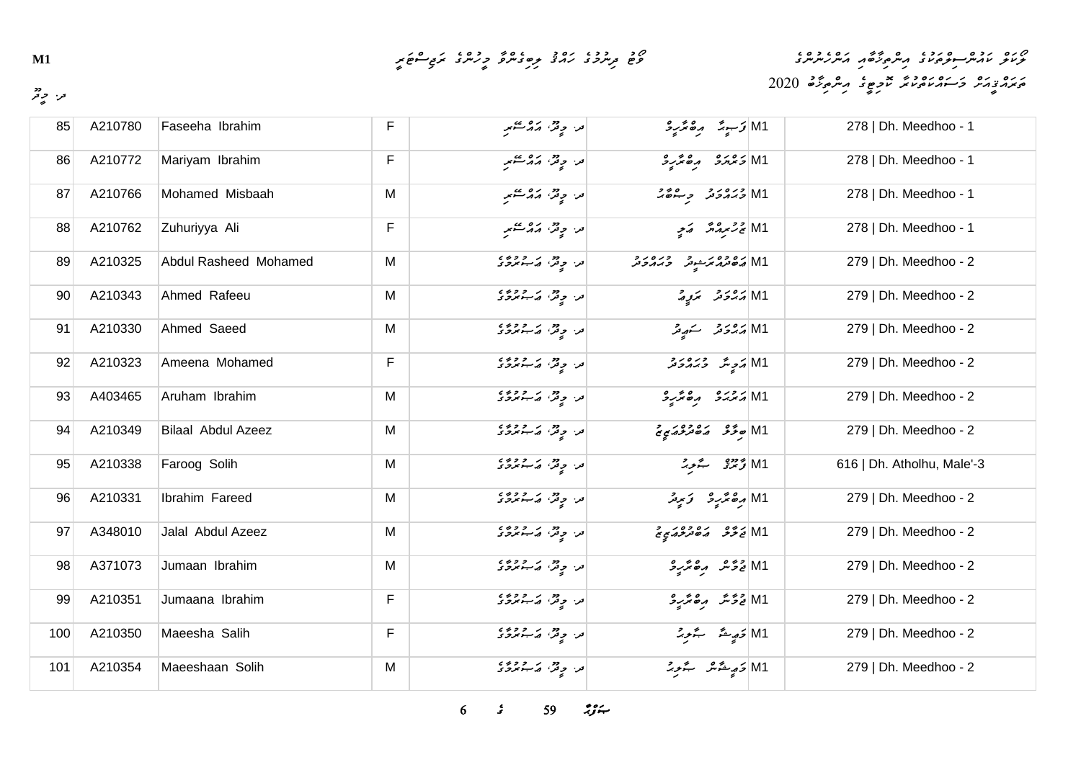*sCw7q7s5w7m< o<n9nOoAw7o< sCq;mAwBoEw7q<m; wBm;vB* م من المرة المرة المرة المرجع المرجع في المركبة 2020<br>مجم*د المريض المربوط المربع المرجع في المراجع المركبة* 

| 85  | A210780 | Faseeha Ibrahim           | $\mathsf F$ | ىر. جەنئى، ئەنەسىسىر                                                                                 | M1 كۆسەن مەھمگەپى                        | 278   Dh. Meedhoo - 1      |
|-----|---------|---------------------------|-------------|------------------------------------------------------------------------------------------------------|------------------------------------------|----------------------------|
| 86  | A210772 | Mariyam Ibrahim           | F           | ا در المحمد المرکز المحمد المحمد الله الله الله المحمد الله الله عليه الله الله الله عليه الله الله  | M1 كالمريكر من المراجع المراجع           | 278   Dh. Meedhoo - 1      |
| 87  | A210766 | Mohamed Misbaah           | M           | ا در المحمد المرکز المحمد المحمد الله الله الله المحمد الله الله عليه الله الله الله عليه الله الله  | M1 32025 وبدة 2                          | 278   Dh. Meedhoo - 1      |
| 88  | A210762 | Zuhuriyya Ali             | $\mathsf F$ | ا در المحمد المرکز المحمد المحمد الله الله الله عليه الله الله عليه الله الله عليه الله الله الله عل | M1 ىن <i>تر بر دگر م</i> ركز ك           | 278   Dh. Meedhoo - 1      |
| 89  | A210325 | Abdul Rasheed Mohamed     | M           | یں وقت کے معروف                                                                                      | M1 <i>ړه ده پرېغونز تر ده د و</i>        | 279   Dh. Meedhoo - 2      |
| 90  | A210343 | Ahmed Rafeeu              | M           | ى دەپ كەسىردى                                                                                        | M1 كەش <sup>ى</sup> كەتىر كىرى ئىر       | 279   Dh. Meedhoo - 2      |
| 91  | A210330 | Ahmed Saeed               | M           | ى دەر كەشلەردە                                                                                       | M1   پرژی تر سکھیے تھ                    | 279   Dh. Meedhoo - 2      |
| 92  | A210323 | Ameena Mohamed            | F           | ى دەپ كەسىردى                                                                                        | M1 كەچ ئىر ئەير ئەر ئىر                  | 279   Dh. Meedhoo - 2      |
| 93  | A403465 | Aruham Ibrahim            | M           | المزاح فراء المستعرف                                                                                 | M1  كاترىكى مەھەرىكى                     | 279   Dh. Meedhoo - 2      |
| 94  | A210349 | <b>Bilaal Abdul Azeez</b> | M           | لا وطرا والعمادة                                                                                     | M1 ھِجُعْ صَ <sup>وو</sup> مِ <i>جي</i>  | 279   Dh. Meedhoo - 2      |
| 95  | A210338 | Faroog Solih              | M           | ى دەپ كەسىردى                                                                                        | M1 ۇترىۋە شەرجە                          | 616   Dh. Atholhu, Male'-3 |
| 96  | A210331 | Ibrahim Fareed            | M           | ى دەر ئەسىردە                                                                                        | M1 مەھ ئۇر قى ئۇ تەرىتىلىر               | 279   Dh. Meedhoo - 2      |
| 97  | A348010 | Jalal Abdul Azeez         | M           | ى دەپ كەسىردى                                                                                        |                                          | 279   Dh. Meedhoo - 2      |
| 98  | A371073 | Jumaan Ibrahim            | M           | ى دەپ كەسىردى                                                                                        |                                          | 279   Dh. Meedhoo - 2      |
| 99  | A210351 | Jumaana Ibrahim           | F           | ا در او ده که سومروان                                                                                | M1 ق <sub>ۇ</sub> ۋىتر ب <i>رھىتى</i> يۇ | 279   Dh. Meedhoo - 2      |
| 100 | A210350 | Maeesha Salih             | $\mathsf F$ | المراا وفراء كالمرودي                                                                                | M1 كەرىش سەمبەر                          | 279   Dh. Meedhoo - 2      |
| 101 | A210354 | Maeeshaan Solih           | M           | د. وگر، در دوره و                                                                                    | M1  تەرىشەش سەمبەر                       | 279   Dh. Meedhoo - 2      |

*6 sC 59 nNw?mS*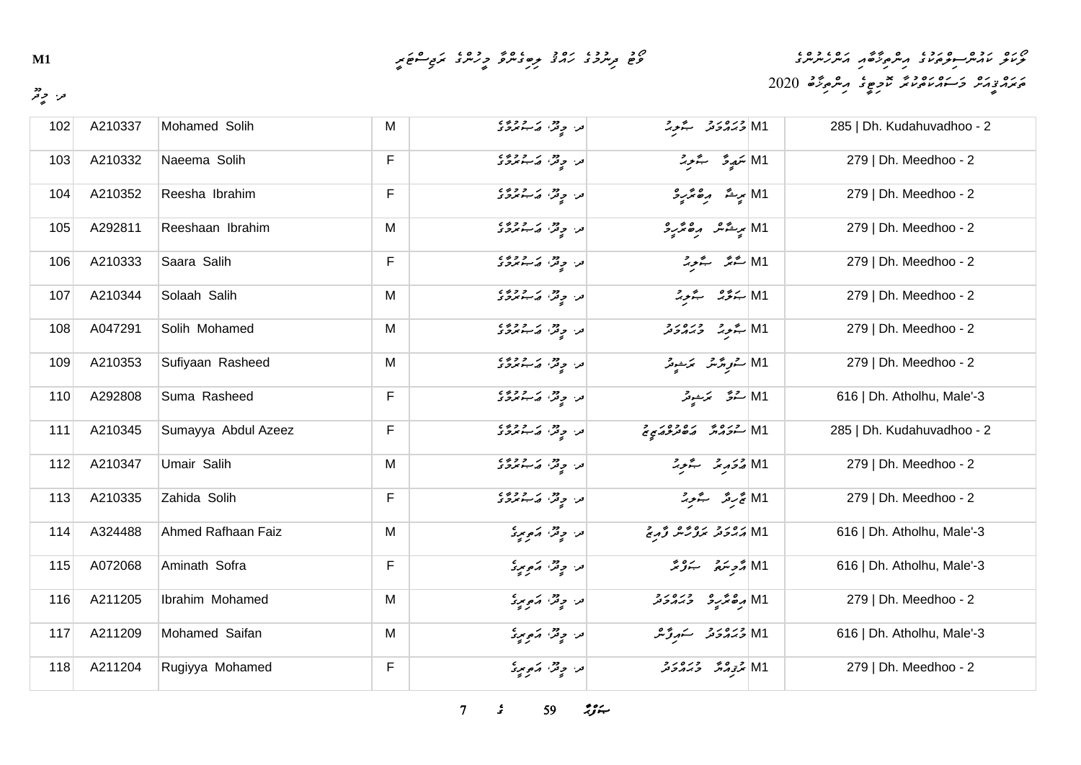*sCw7q7s5w7m< o<n9nOoAw7o< sCq;mAwBoEw7q<m; wBm;vB* م من المرة المرة المرة المرجع المرجع في المركبة 2020<br>مجم*د المريض المربوط المربع المرجع في المراجع المركبة* 

| 102 | A210337 | Mohamed Solih       | M           | تر. وفرا كالمبتوري                         | M1 <i>5223 سگور</i> 2              | 285   Dh. Kudahuvadhoo - 2 |
|-----|---------|---------------------|-------------|--------------------------------------------|------------------------------------|----------------------------|
| 103 | A210332 | Naeema Solih        | $\mathsf F$ | ى دەپ كەسىردە                              | M1 سَمِيرَ جَوبَرُ                 | 279   Dh. Meedhoo - 2      |
| 104 | A210352 | Reesha Ibrahim      | $\mathsf F$ | تر، وفرا، كارودون                          | M1  مرِثٌہ ا <i>ر چگرد</i> ِ ح     | 279   Dh. Meedhoo - 2      |
| 105 | A292811 | Reeshaan Ibrahim    | M           | ى دەپ كەسىردى                              | M1  مرِڪْسُ مِـھُتَّرِےْ           | 279   Dh. Meedhoo - 2      |
| 106 | A210333 | Saara Salih         | F           | د. وفق كەسەمبورى                           | M1 گنگر گور <sup>2</sup>           | 279   Dh. Meedhoo - 2      |
| 107 | A210344 | Solaah Salih        | M           | تر، وفرا، ماستروی                          | M1 بەۋر بەرز                       | 279   Dh. Meedhoo - 2      |
| 108 | A047291 | Solih Mohamed       | M           | ىر. دەر. ئەسەمرور                          | M1 - جوبر - وبرورو                 | 279   Dh. Meedhoo - 2      |
| 109 | A210353 | Sufiyaan Rasheed    | M           | ى دەپ كەسىردى                              | M1 کے پوہر مگر میں تقریبات         | 279   Dh. Meedhoo - 2      |
| 110 | A292808 | Suma Rasheed        | F           | ى دەپ كەسىردە                              | M1 گەنۇ - ئىزىشونتر                | 616   Dh. Atholhu, Male'-3 |
| 111 | A210345 | Sumayya Abdul Azeez | F           | تر. وفق كالباعدوى                          | M1 شوره پره دور د                  | 285   Dh. Kudahuvadhoo - 2 |
| 112 | A210347 | Umair Salih         | M           | تر، وفرا، كارودون                          | M1  پژوَړ پر سره برو پر            | 279   Dh. Meedhoo - 2      |
| 113 | A210335 | Zahida Solih        | F           | ىر. دەر. ئەسەمرور                          | M1 تج رِمَّز سُمَّوِرُ             | 279   Dh. Meedhoo - 2      |
| 114 | A324488 | Ahmed Rafhaan Faiz  | M           | ىر. جەنئى، مەھ بىرى                        | M1 <i>ב بۇ</i> 1955 كىلى بىر قەرىج | 616   Dh. Atholhu, Male'-3 |
| 115 | A072068 | Aminath Sofra       | F           | ىر. جەنز، مەم بىرى                         | M1 مَّ حِسَمَة سَنَوْتَمُّ         | 616   Dh. Atholhu, Male'-3 |
| 116 | A211205 | Ibrahim Mohamed     | M           | ىر. چ <sup>و</sup> چ، مەم بېرى             | M1 مەھگرىرى ئەمەدىر                | 279   Dh. Meedhoo - 2      |
| 117 | A211209 | Mohamed Saifan      | M           | ىر. جەنز، مەم بىرى                         | M1 تۇ <i>بزە تەر سەر ۋىل</i> ە     | 616   Dh. Atholhu, Male'-3 |
| 118 | A211204 | Rugiyya Mohamed     | F           | ىر. ج <sup>و</sup> ڭر، مەم <sub>ە</sub> سى | M1 ټرن <sub>و</sub> پر په دره در   | 279   Dh. Meedhoo - 2      |

*7 sC 59 nNw?mS*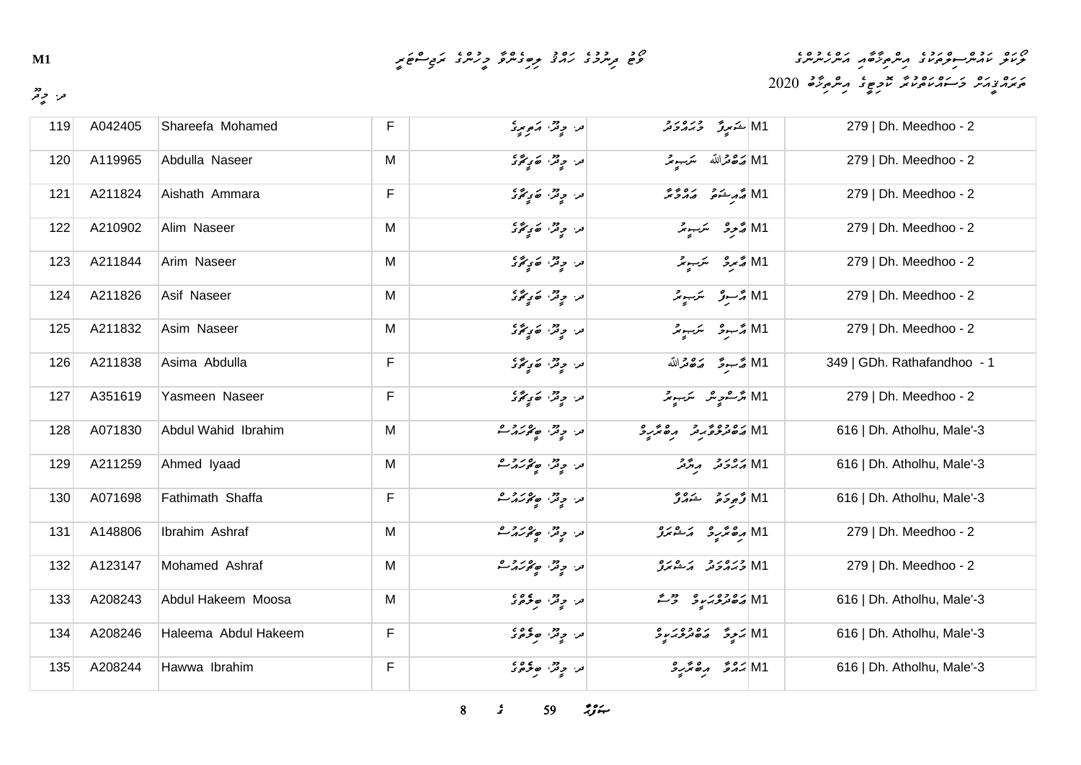*sCw7q7s5w7m< o<n9nOoAw7o< sCq;mAwBoEw7q<m; wBm;vB* م من المرة المرة المرة المرجع المرجع في المركبة 2020<br>مجم*د المريض المربوط المربع المرجع في المراجع المركبة* 

| 119 | A042405 | Shareefa Mohamed     | F           | ىر. ج <sup>وج</sup> ر، مەم برى | M1 ڪمپرتر - <i>3 پرو</i> وتر                 | 279   Dh. Meedhoo - 2       |
|-----|---------|----------------------|-------------|--------------------------------|----------------------------------------------|-----------------------------|
| 120 | A119965 | Abdulla Naseer       | M           | تر ۔ چین کا پاکار              | M1 كَەھمَدَاللە مَرَسِومَّد                  | 279   Dh. Meedhoo - 2       |
| 121 | A211824 | Aishath Ammara       | $\mathsf F$ | در چ <sup>و</sup> ر، ھي گھي    | M1 مەم ئىقتى ھەدىجە ئىر                      | 279   Dh. Meedhoo - 2       |
| 122 | A210902 | Alim Naseer          | M           | تر ۔ چ <sup>و</sup> ر صريحي    | M1 محجو محمد المعرضية بحر                    | 279   Dh. Meedhoo - 2       |
| 123 | A211844 | Arim Naseer          | M           | در چين ڪي گري                  | M1 ۾َمبِروُ - سَرَبِيمُرُ                    | 279   Dh. Meedhoo - 2       |
| 124 | A211826 | Asif Naseer          | M           | تر: جِنْرٌ، صَرِيحُودُ         | M1 ۾َسورُ - سَرَسومَرُ-                      | 279   Dh. Meedhoo - 2       |
| 125 | A211832 | Asim Naseer          | M           | تر، جِنْرٌ، صَرِكْرُى          | M1 م <sup>ح</sup> سبوڤ س <i>رس</i> بيٹر      | 279   Dh. Meedhoo - 2       |
| 126 | A211838 | Asima Abdulla        | $\mathsf F$ | در چ <sup>و</sup> ر، ھي گھي    | M1 ۾َ-جِرَ صَدَّقَ لَلهَ                     | 349   GDh. Rathafandhoo - 1 |
| 127 | A351619 | Yasmeen Naseer       | $\mathsf F$ | در چ <sup>و</sup> ر، ھي گھي    | M1 اگرىشموپىگە - سَرَىبوپتر                  | 279   Dh. Meedhoo - 2       |
| 128 | A071830 | Abdul Wahid Ibrahim  | M           | ىر. جەنئە ھەمجەشىر ھ           | M1 <i>مَـُـھوتَرِ قُرِّيرٌ مِـھوتَّرِ وَ</i> | 616   Dh. Atholhu, Male'-3  |
| 129 | A211259 | Ahmed Iyaad          | M           | ىر. جەنئى ھەم ئەم سى           | M1  كەبۇ ئەر مەمگەتر                         | 616   Dh. Atholhu, Male'-3  |
| 130 | A071698 | Fathimath Shaffa     | F           | ىر. جەنى ھەرىر م               | M1 رَّجِ حَمَّ شَهْرٌ مَ                     | 616   Dh. Atholhu, Male'-3  |
| 131 | A148806 | Ibrahim Ashraf       | M           | ىر. جەنئى ھەم ئەم ك            | M1 رەئمەر ئەھمىر<br>11 رەئمەر ئىسىر          | 279   Dh. Meedhoo - 2       |
| 132 | A123147 | Mohamed Ashraf       | M           | ىر. جەنى ھەرىر ئ               | M1 دېږونو ترشينو                             | 279   Dh. Meedhoo - 2       |
| 133 | A208243 | Abdul Hakeem Moosa   | M           | ادر دونر، ھوھوی                | M1   مَەمْرُوْبَرْرِ 3 قَرْبٌ                | 616   Dh. Atholhu, Male'-3  |
| 134 | A208246 | Haleema Abdul Hakeem | $\mathsf F$ | امر وقرص موجود                 | M1 يَجِعٌ صَ صَعْرَ جَبَ رِحِيمٍ وَ          | 616   Dh. Atholhu, Male'-3  |
| 135 | A208244 | Hawwa Ibrahim        | $\mathsf F$ | تر. دور. ھوھوی                 | M1 <i>بَدْهُ *</i><br>دەغرىي                 | 616   Dh. Atholhu, Male'-3  |

**8** *s* **59** *n***<sub>y</sub> <b>***s s*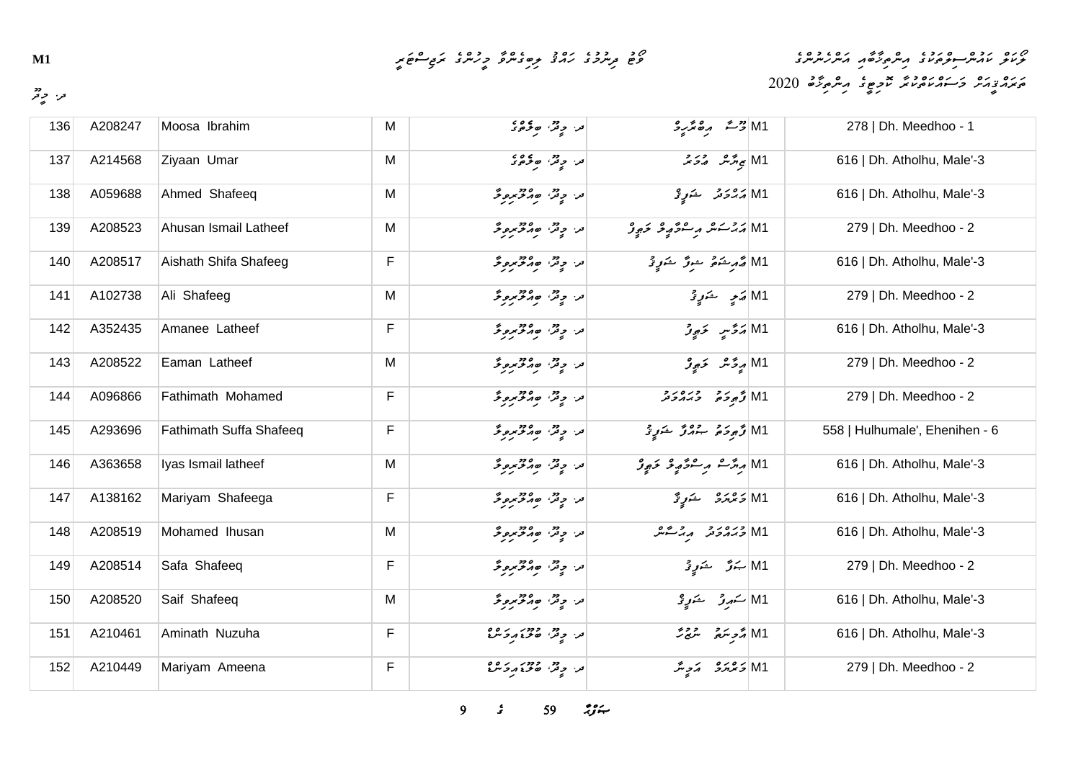*sCw7q7s5w7m< o<n9nOoAw7o< sCq;mAwBoEw7q<m; wBm;vB* م من المرة المرة المرة المرجع المرجع في المركبة 2020<br>مجم*د المريض المربوط المربع المرجع في المراجع المركبة* 

| 136 | A208247 | Moosa Ibrahim           | M           | در وله وده و                           | M1   خرشہ میں مقدید م                                 | 278   Dh. Meedhoo - 1          |
|-----|---------|-------------------------|-------------|----------------------------------------|-------------------------------------------------------|--------------------------------|
| 137 | A214568 | Ziyaan Umar             | M           | در دور هومود                           | M1 ىې ئ <sup>ۇرىق</sup> ە ئەخ <sup>ى</sup> ر          | 616   Dh. Atholhu, Male'-3     |
| 138 | A059688 | Ahmed Shafeeq           | M           | ىر. دې ھەممىرون                        | M1 كەش <sup>ى</sup> ر قىر ئىكتىمى تىلىكتىن ئىكتىمى ئى | 616   Dh. Atholhu, Male'-3     |
| 139 | A208523 | Ahusan Ismail Latheef   | M           | ىر. دې ھەممىرونخ                       | M1 كەرجىسى مەسكەگەرى مىھوق                            | 279   Dh. Meedhoo - 2          |
| 140 | A208517 | Aishath Shifa Shafeeg   | $\mathsf F$ | ىر. دېر، ھەر تورو ئ                    | M1 صَّەمِ شَمَعَ صَ مِنْ تَسَوَّرٍ تَحْ               | 616   Dh. Atholhu, Male'-3     |
| 141 | A102738 | Ali Shafeeg             | M           | ىر. دې ھەممىرو ئ                       | M1 كەمچە ھەرپىتى                                      | 279   Dh. Meedhoo - 2          |
| 142 | A352435 | Amanee Latheef          | F           | ىر. دېر، ھەر تورو ئ                    | M1 كەڭ س <sub>ى</sub> ر كەب <i>وت</i>                 | 616   Dh. Atholhu, Male'-3     |
| 143 | A208522 | Eaman Latheef           | M           | ىر. دە ھەم مەر                         | M1 م <sub>ح</sub> رثه تحجي <sup>و</sup>               | 279   Dh. Meedhoo - 2          |
| 144 | A096866 | Fathimath Mohamed       | $\mathsf F$ | ىر. دې ھەممىرونخ                       | M1 زَّجِرَتْ حَرَمْ دَرَ                              | 279   Dh. Meedhoo - 2          |
| 145 | A293696 | Fathimath Suffa Shafeeq | $\mathsf F$ | ىر. دې ھەممىرونۇ                       | M1 ژَجِرَة جَهْرٌ حَبَوِيْ                            | 558   Hulhumale', Ehenihen - 6 |
| 146 | A363658 | Iyas Ismail latheef     | M           | ىر. دې ھەممىرونخ                       | M1 مِتَرَّے مِے تَوَمِّدَ تَرجوز                      | 616   Dh. Atholhu, Male'-3     |
| 147 | A138162 | Mariyam Shafeega        | $\mathsf F$ | ىر. دېر، ھەر تورو ئ                    | M1 كى يىر ھۇر ئىس ئىس ئىرا ئىشتىر ئى                  | 616   Dh. Atholhu, Male'-3     |
| 148 | A208519 | Mohamed Ihusan          | M           | ىر. جەنئى ھەر ئۆيمرى ئ                 | M1 <i>5 جو جو جي مريض</i> مريض مر                     | 616   Dh. Atholhu, Male'-3     |
| 149 | A208514 | Safa Shafeeq            | $\mathsf F$ | ىر. دې ھەممىرو ئ                       | M1 جَوَّڙ ڪوي <sup>چ</sup>                            | 279   Dh. Meedhoo - 2          |
| 150 | A208520 | Saif Shafeeq            | M           | ىر. دېگر، ھەر مەيدە ئ                  | M1 ڪمبرقر ڪو <i>پ</i> ڙ                               | 616   Dh. Atholhu, Male'-3     |
| 151 | A210461 | Aminath Nuzuha          | $\mathsf F$ | د. وتر، صور روه                        | M1 مُجِسَعَ مِنْ مِنْ مِنْ                            | 616   Dh. Atholhu, Male'-3     |
| 152 | A210449 | Mariyam Ameena          | F           | <b>נקי פְ</b> נ <i>קי סיב</i> ו תפיתו. | M1 كاير برگر مركز برگر                                | 279   Dh. Meedhoo - 2          |

*9 s* 59 *f*<sub>3</sub> *s*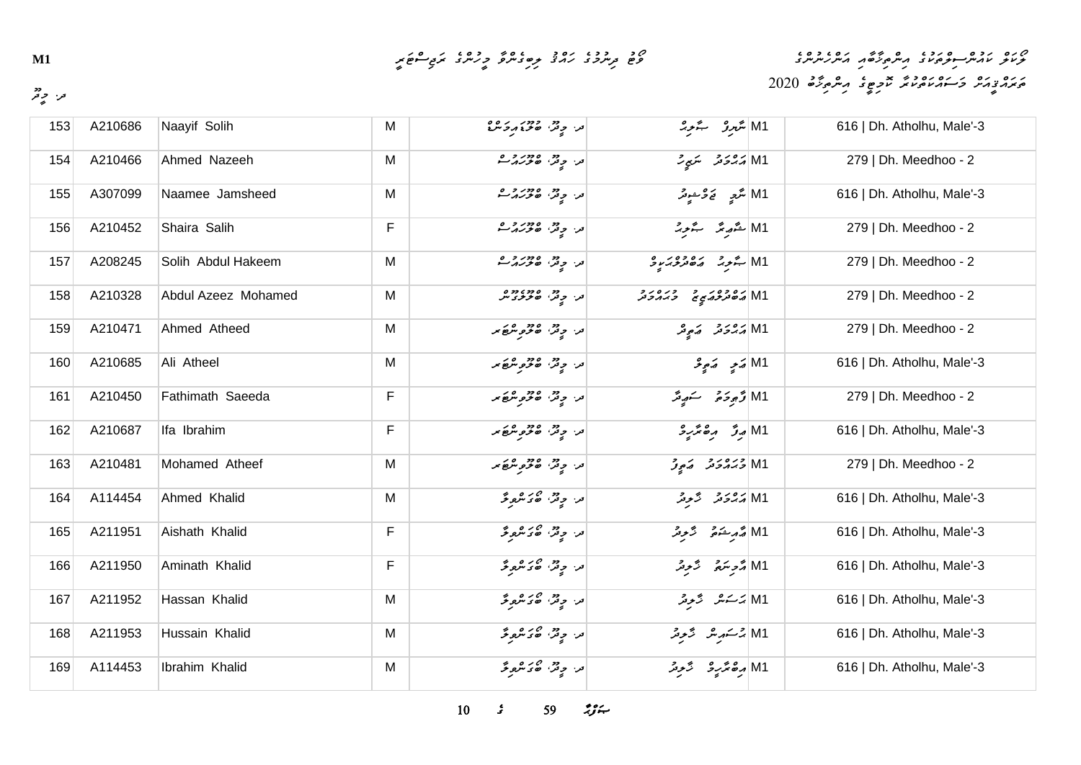*sCw7q7s5w7m< o<n9nOoAw7o< sCq;mAwBoEw7q<m; wBm;vB* م من المرة المرة المرة المرجع المرجع في المركبة 2020<br>مجم*د المريض المربوط المربع المرجع في المراجع المركبة* 

| 153 | A210686 | Naayif Solih        | M           | ور دور دور ره ه                                        | M1 شَهرِوْ گویڈ                                                                                                                                                                                                                 | 616   Dh. Atholhu, Male'-3 |
|-----|---------|---------------------|-------------|--------------------------------------------------------|---------------------------------------------------------------------------------------------------------------------------------------------------------------------------------------------------------------------------------|----------------------------|
| 154 | A210466 | Ahmed Nazeeh        | M           | ىر. دور، ھۆرى ھ                                        | M1 كەندى كىرىمى تىرىپ                                                                                                                                                                                                           | 279   Dh. Meedhoo - 2      |
| 155 | A307099 | Naamee Jamsheed     | M           | ىر. جەنى ھۆرەك                                         | M1 سَّرَ <sub>حِ نَ</sub> ے وَ <sub>شو</sub> مز                                                                                                                                                                                 | 616   Dh. Atholhu, Male'-3 |
| 156 | A210452 | Shaira Salih        | $\mathsf F$ | ى دىر، ھەردى                                           | M1 شَهِ بَدْ جَمْعِ بِرَ                                                                                                                                                                                                        | 279   Dh. Meedhoo - 2      |
| 157 | A208245 | Solih Abdul Hakeem  | M           | بر دور، ۱۳۶۵ و.                                        | M1 جُعِرَ حَدَّقَوَمَ مِدَّ                                                                                                                                                                                                     | 279   Dh. Meedhoo - 2      |
| 158 | A210328 | Abdul Azeez Mohamed | M           | در ود ودوره وه<br>در وتر، <i>ه و و</i> رس              | M1 בסתלפה ביסקיק                                                                                                                                                                                                                | 279   Dh. Meedhoo - 2      |
| 159 | A210471 | Ahmed Atheed        | M           | ىر. بەلگە ھۆھ سىھىم                                    | M1 كەش <sup>ى</sup> قىر كەم <sub>ۇ</sub> تىر                                                                                                                                                                                    | 279   Dh. Meedhoo - 2      |
| 160 | A210685 | Ali Atheel          | M           | ىر. بوتر، ھۆۋىترىغ بر                                  | M1 <i>ڇَجِ ڇَڇِ</i> ءُ                                                                                                                                                                                                          | 616   Dh. Atholhu, Male'-3 |
| 161 | A210450 | Fathimath Saeeda    | F           | ى دە ھۆھ ھە                                            | M1 گَهِ دَمَ حَمَدٍ مَّذَ                                                                                                                                                                                                       | 279   Dh. Meedhoo - 2      |
| 162 | A210687 | Ifa Ibrahim         | F           | ىر. بەلگە ھۆھ سەھىر                                    | M1 مِنَّ مِـ مُحَمِّدٍ \$                                                                                                                                                                                                       | 616   Dh. Atholhu, Male'-3 |
| 163 | A210481 | Mohamed Atheef      | M           | مر. وم <sup>و</sup> ر موجو مربع مر                     | M1 <i>وَبَرُو دَوَ</i> کَمَ مِوْثَرِ                                                                                                                                                                                            | 279   Dh. Meedhoo - 2      |
| 164 | A114454 | Ahmed Khalid        | M           | ىر. چ <sup>ۈر 6</sup> ە ئىرە ئىچ                       | M1   پر بر پی بر محمد بر بر تر بر تر بر تر بر تر بر تر بر تر بر تر بر تر بر تر بر تر بر تر بر تر بر بر تر بر ت<br>مردم بر تر بر تر بر تر بر تر بر تر بر تر بر تر بر تر بر تر بر تر بر تر بر تر بر تر بر تر بر تر بر تر بر تر بر | 616   Dh. Atholhu, Male'-3 |
| 165 | A211951 | Aishath Khalid      | $\mathsf F$ | ىر. جەنئى، ھەتتىھەتى                                   | M1 مَگْرِسْتَمْ گُرْمِتْر                                                                                                                                                                                                       | 616   Dh. Atholhu, Male'-3 |
| 166 | A211950 | Aminath Khalid      | $\mathsf F$ | ىر. بەلگە ئەر ئەرەپ                                    | M1 مَّحِسَمَ تَحْمِمُ                                                                                                                                                                                                           | 616   Dh. Atholhu, Male'-3 |
| 167 | A211952 | Hassan Khalid       | M           | ىر. ب <sub>و</sub> تر، ھ <sub>ۇ</sub> سھو <del>گ</del> | M1 بَرَسَة مَّ رَّحِيمَ                                                                                                                                                                                                         | 616   Dh. Atholhu, Male'-3 |
| 168 | A211953 | Hussain Khalid      | M           | ىر. بەلگە ئەر ئەرەپ                                    | M1 بڑے پہ شہ محمد محمد محمد ال                                                                                                                                                                                                  | 616   Dh. Atholhu, Male'-3 |
| 169 | A114453 | Ibrahim Khalid      | M           | ىر. چ <sup>وش</sup> ھىمىھىگە                           | M1 رەتمەر ئىمىقىدى M1                                                                                                                                                                                                           | 616   Dh. Atholhu, Male'-3 |

*10 s* 59  $23$   $\div$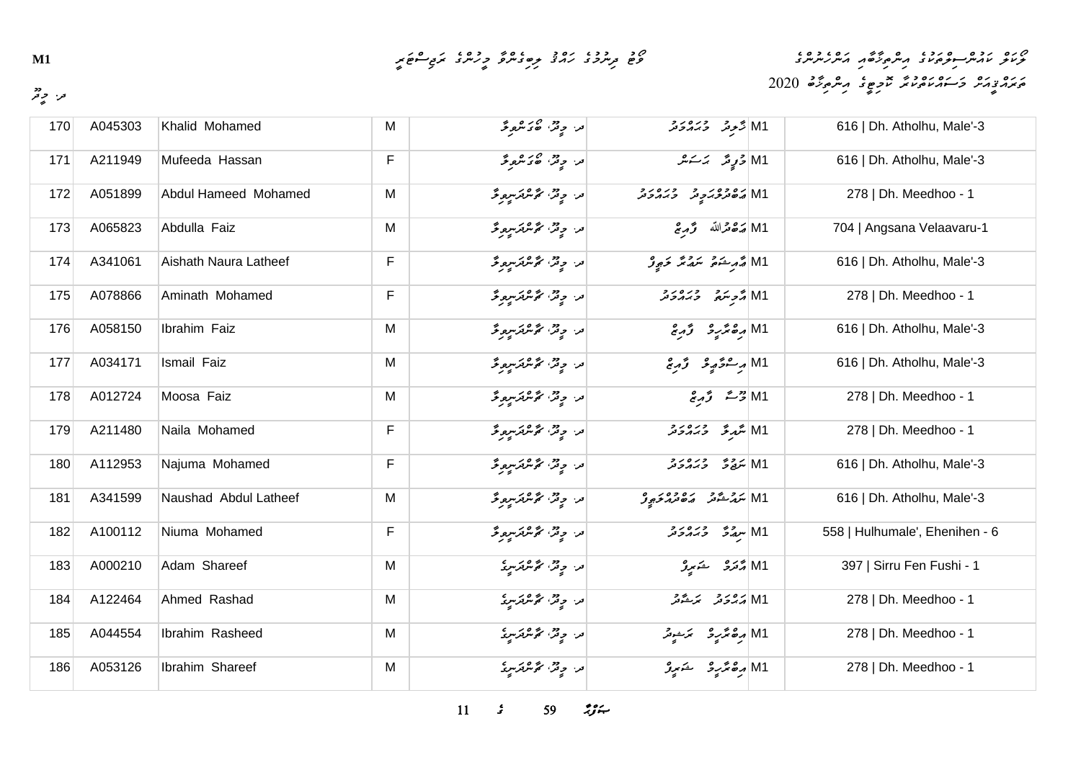*sCw7q7s5w7m< o<n9nOoAw7o< sCq;mAwBoEw7q<m; wBm;vB* م من المرة المرة المرة المرجع المرجع في المركبة 2020<br>مجم*د المريض المربوط المربع المرجع في المراجع المركبة* 

| 170 | A045303 | Khalid Mohamed        | M            | ىر. دەپ ھىمبروگ                               | M1 رَّحِيمٌ    دۡ تِرَ دُرُوَ تَدۡ                                                                   | 616   Dh. Atholhu, Male'-3     |
|-----|---------|-----------------------|--------------|-----------------------------------------------|------------------------------------------------------------------------------------------------------|--------------------------------|
| 171 | A211949 | Mufeeda Hassan        | $\mathsf F$  | لا وچر، ځو شوڅ                                | M1   جۇ بۇ ئەسكەنلە                                                                                  | 616   Dh. Atholhu, Male'-3     |
| 172 | A051899 | Abdul Hameed Mohamed  | M            | ىر. چ <sup>وش ب</sup> ۇشترسى <i>م</i> ىگە     | M1 בטינקיק ב-2010 ביניק                                                                              | 278   Dh. Meedhoo - 1          |
| 173 | A065823 | Abdulla Faiz          | M            | ىر. چ <sup>ۈر</sup> ، ئۇسرىرسىرىگ             | M1 كَرْھْ قَرْاللَّهُ وَكَرْمَ حَ                                                                    | 704   Angsana Velaavaru-1      |
| 174 | A341061 | Aishath Naura Latheef | $\mathsf{F}$ | ىر. ج <sup>وم</sup> ى، ئۇس <i>رىترىترى</i> گە | M1 مَّ مِسْدَمَّ سَمَّةٌ مَّ جِوِرْ                                                                  | 616   Dh. Atholhu, Male'-3     |
| 175 | A078866 | Aminath Mohamed       | $\mathsf F$  | ىر. چ <sup>ۈر</sup> ، ئۇسرىرسىرىگ             | M1 مَّ حِسَمَة صَدَّ حَدَّ حَدَّ                                                                     | 278   Dh. Meedhoo - 1          |
| 176 | A058150 | Ibrahim Faiz          | M            | ىر. چ <sup>ە</sup> ئۇس <i>قىرىرى قى</i>       | M1 مەھەمگەر تىم ئۇمرىمى                                                                              | 616   Dh. Atholhu, Male'-3     |
| 177 | A034171 | Ismail Faiz           | M            | ىر. چ <sup>ور،</sup> ئۇسرىرسىرىگ              | M1 مِ سْرَّمْ وِ تَوْمِ جَ                                                                           | 616   Dh. Atholhu, Male'-3     |
| 178 | A012724 | Moosa Faiz            | M            | ىر. چ <sup>ۈر</sup> ، ئۇسرىرسىرىگ             | M1 تۇرىج ئۇم <i>بى</i> ج                                                                             | 278   Dh. Meedhoo - 1          |
| 179 | A211480 | Naila Mohamed         | $\mathsf{F}$ | ىر. چ <sup>ور،</sup> ئۇسرىرسىرىگ              | M1 سَمَدِیَّ حَ <sup>ر</sup> َمُ حَ <sup>و</sup>                                                     | 278   Dh. Meedhoo - 1          |
| 180 | A112953 | Najuma Mohamed        | $\mathsf F$  | ىر. چ <sup>ۈر</sup> ، ئۇسرىرسىرىگ             | M1 يَرْدِعُ - دَيَرْدُوَنْرَ                                                                         | 616   Dh. Atholhu, Male'-3     |
| 181 | A341599 | Naushad Abdul Latheef | M            | ىر. چ <sup>ور،</sup> ئۇسرىرسىرىگ              | M1 <i>سَمَ شَ</i> مَر صَ <i>مَّ مَرْمُ حَبِّي وَ</i>                                                 | 616   Dh. Atholhu, Male'-3     |
| 182 | A100112 | Niuma Mohamed         | F            | ىر. چ <sup>ور،</sup> ئۇسرىرسىرىگ              | M1 سرچ ح بره د تر                                                                                    | 558   Hulhumale', Ehenihen - 6 |
| 183 | A000210 | Adam Shareef          | M            | ىر. جەنئى، كۆشۈرسىگە                          | M1 مُرْمَرْد شَمَعِرْتُر                                                                             | 397   Sirru Fen Fushi - 1      |
| 184 | A122464 | Ahmed Rashad          | M            | د. دٍ قرْ، گُرْسْرْمَتْرَسِرْ                 | M1 كەبر بىر كەر ئىگەنتىر                                                                             | 278   Dh. Meedhoo - 1          |
| 185 | A044554 | Ibrahim Rasheed       | M            | ىر. ج <sup>ود</sup> ، گەش <i>قىرىن</i> ى      | M1 مەھەرىپ كىمىسى ئىراكىيەت كىل                                                                      | 278   Dh. Meedhoo - 1          |
| 186 | A053126 | Ibrahim Shareef       | M            | ىر. ج <sup>و</sup> ش كۇنترىترىي <sub>گ</sub>  | M1 مەھمەر ئىسىمى ئىستىر ئىسىمىدا ئىستىر ئىستىر ئىستىر ئىستان ئىستىر ئىستان ئىستىر ئىستىر ئىستىر ئىست | 278   Dh. Meedhoo - 1          |

 $11$  *s* 59  $23$   $-$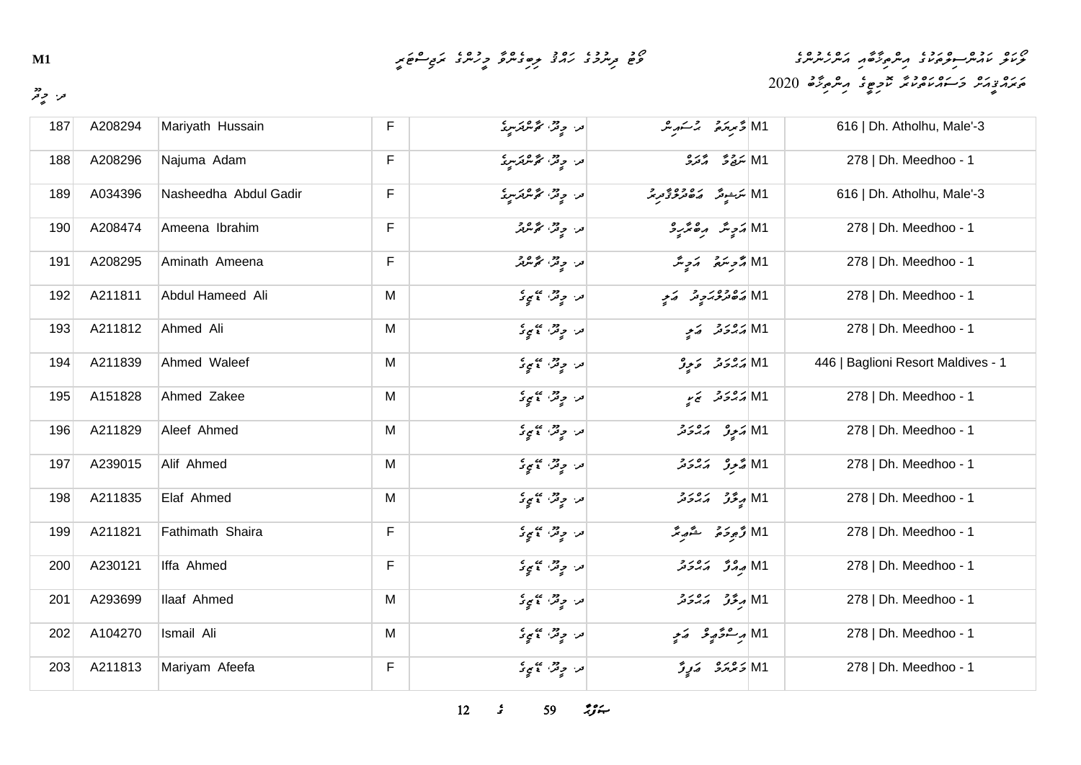*sCw7q7s5w7m< o<n9nOoAw7o< sCq;mAwBoEw7q<m; wBm;vB* م من المرة المرة المرة المرجع المرجع في المركبة 2020<br>مجم*د المريض المربوط المربع المرجع في المراجع المركبة* 

| 187 | A208294 | Mariyath Hussain      | F           | ىر. جەنئى، ئۇشكەس ئى         | M1  جُېږمَرُمُ په مُسَمرِ بنگر      | 616   Dh. Atholhu, Male'-3         |
|-----|---------|-----------------------|-------------|------------------------------|-------------------------------------|------------------------------------|
| 188 | A208296 | Najuma Adam           | $\mathsf F$ | ىر. جەنئى، ئۇشكىرسى          | M1 سَرَةٍ حَمَّ صَمَّرَتَّ          | 278   Dh. Meedhoo - 1              |
| 189 | A034396 | Nasheedha Abdul Gadir | $\mathsf F$ | ىر. جەنئى، ئۇشكىرسى          | M1 سَرَشِيشَ صَرَحْتَ تَرِيمَرُ     | 616   Dh. Atholhu, Male'-3         |
| 190 | A208474 | Ameena Ibrahim        | $\mathsf F$ | ىر. جەنئى ئەھرىر             | M1  مَرِیشْ مِیهْ مَمْرِدْ          | 278   Dh. Meedhoo - 1              |
| 191 | A208295 | Aminath Ameena        | F           | ىر. جەنئى ئەھرىر             | M1 مَرْحِ مَعْهُ مَصِمَّر           | 278   Dh. Meedhoo - 1              |
| 192 | A211811 | Abdul Hameed Ali      | M           | قرا جو قراء عام تح تح        | M1  پرڅوريچو پر او چې پر            | 278   Dh. Meedhoo - 1              |
| 193 | A211812 | Ahmed Ali             | M           | تر ۔ چوڑ، عمیری              | M1 <i>ټرې تر چې</i>                 | 278   Dh. Meedhoo - 1              |
| 194 | A211839 | Ahmed Waleef          | M           | تر ۔ چوڑ، عمیری              | M1 كەردى قىمى تىرى                  | 446   Baglioni Resort Maldives - 1 |
| 195 | A151828 | Ahmed Zakee           | M           | تر ۔ چوڑ، عمیری              | M1 كەش <sup>ى</sup> تەڭرىپ تىم يىل  | 278   Dh. Meedhoo - 1              |
| 196 | A211829 | Aleef Ahmed           | M           | تر ۔ چوڑ، عمیری              | M1 كەمچە ئەسىم ئەرىكىسىسى M1        | 278   Dh. Meedhoo - 1              |
| 197 | A239015 | Alif Ahmed            | M           | ور. ج <sup>ود ب</sup> ه مي د | M1 مَّحِرْ مَدْدَمْ                 | 278   Dh. Meedhoo - 1              |
| 198 | A211835 | Elaf Ahmed            | M           | تر ۔ چوڑ، عمیری              | M1 م <i>وحَّقَ مَدْوَمَّ</i> رُ     | 278   Dh. Meedhoo - 1              |
| 199 | A211821 | Fathimath Shaira      | $\mathsf F$ | ور. ج <sup>ود</sup> ر، عمری  | M1 زَّەپرىق شَەر شَّ                | 278   Dh. Meedhoo - 1              |
| 200 | A230121 | Iffa Ahmed            | F           | ور چ <sup>ور دی</sup> ج      | M1 م <i>ەشۇ مەدى</i> تى             | 278   Dh. Meedhoo - 1              |
| 201 | A293699 | llaaf Ahmed           | M           | تر ۔ چوڑ، عمیری              | M1 م <i>ې</i> گۇ كەرگەنگە           | 278   Dh. Meedhoo - 1              |
| 202 | A104270 | Ismail Ali            | M           | تر ۔ چوڑ، عمیری              | M1   مِرْ شَوَّ مِرْ = \$ مَرْ حِيْ | 278   Dh. Meedhoo - 1              |
| 203 | A211813 | Mariyam Afeefa        | F           | مر ۔ ج قراء می می می         | M1  كابر بركر كار محمد بورگ         | 278   Dh. Meedhoo - 1              |

*12 s* 59 *if*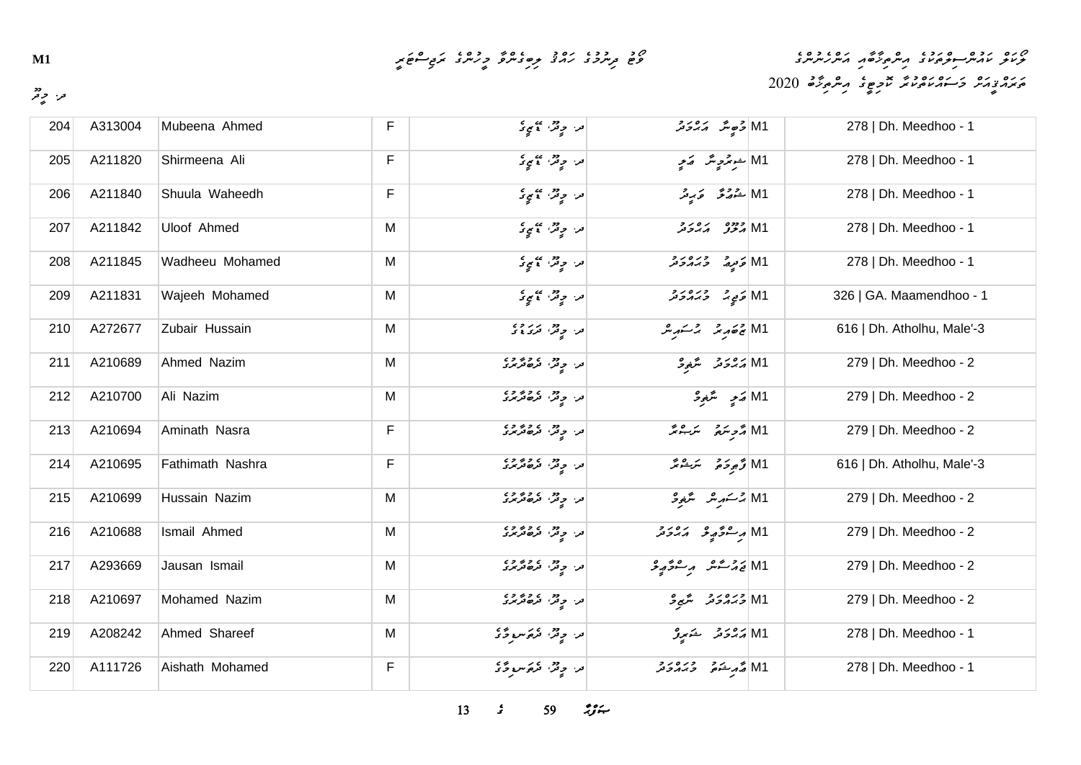*sCw7q7s5w7m< o<n9nOoAw7o< sCq;mAwBoEw7q<m; wBm;vB* م من المرة المرة المرة المرجع المرجع في المركبة 2020<br>مجم*د المريض المربوط المربع المرجع في المراجع المركبة* 

| 204 | A313004 | Mubeena Ahmed      | $\mathsf F$ | تر، جي تر، عي تحيي تحر                                                         | M1   جَرِم شَر مَدْحَدَّر                         | 278   Dh. Meedhoo - 1      |
|-----|---------|--------------------|-------------|--------------------------------------------------------------------------------|---------------------------------------------------|----------------------------|
| 205 | A211820 | Shirmeena Ali      | F           | تر. چ <sup>ود رہ</sup> ئی تو ت                                                 | M1 ڪويٽر <i>وينگر پرکم</i> و                      | 278   Dh. Meedhoo - 1      |
| 206 | A211840 | Shuula Waheedh     | $\mathsf F$ | ور. ج <sup>ود</sup> ۽ سيءَ                                                     | M1 شەھەتى ق <i>ەب</i> ەتر                         | 278   Dh. Meedhoo - 1      |
| 207 | A211842 | <b>Uloof Ahmed</b> | M           | ور. ج <sup>ود</sup> ۽ سيءَ                                                     | M1 دوده بره د و.                                  | 278   Dh. Meedhoo - 1      |
| 208 | A211845 | Wadheeu Mohamed    | M           | $\left  \begin{matrix} a_1 & a_2 & a_3 \ c_1 & c_2 & c_3 \end{matrix} \right $ | M1 كومرچ ح چرك ديمبر<br>سياسي الله جيمبر بر سياسي | 278   Dh. Meedhoo - 1      |
| 209 | A211831 | Wajeeh Mohamed     | M           | ور. ج <sup>ود ري</sup> جي تح                                                   | M1 كوب <sub>و</sub> ر محد دور                     | 326   GA. Maamendhoo - 1   |
| 210 | A272677 | Zubair Hussain     | M           | تر ۔ وفر تری دی                                                                | M1 ج ھَ مريمه پر شمهريمبر                         | 616   Dh. Atholhu, Male'-3 |
| 211 | A210689 | Ahmed Nazim        | M           | تر. وفر، ترج <sup>و</sup> و ۽<br>تر. <i>و</i> فر، ترجنرين                      | M1 كەش <sup>ى</sup> كە ئىم ئىقى ئى                | 279   Dh. Meedhoo - 2      |
| 212 | A210700 | Ali Nazim          | M           | تر. وفر، ترج <sup>و</sup> و ۽<br>تر. <i>و</i> فر، ترجنرين                      | M1  رَمٍ سَّهْدٍ \$                               | 279   Dh. Meedhoo - 2      |
| 213 | A210694 | Aminath Nasra      | $\mathsf F$ | در ود. ووود                                                                    | M1 مَّ حِبِّرَة مِنْ مَرْبَعْتُهُ                 | 279   Dh. Meedhoo - 2      |
| 214 | A210695 | Fathimath Nashra   | $\mathsf F$ | در وده ووووه<br>در وتر، تر <i>ه</i> تریر                                       | M1 رَّجِ دَحْرَ مَرَ يَشْرَ يَرْ                  | 616   Dh. Atholhu, Male'-3 |
| 215 | A210699 | Hussain Nazim      | M           | در. <sub>حر</sub> ود عاد و د<br>در ح <sub>و</sub> فر، فر <i>ه فر</i> مزی       | M1 پرڪيريش سگھون <sup>چ</sup>                     | 279   Dh. Meedhoo - 2      |
| 216 | A210688 | Ismail Ahmed       | M           | د. وفر عدد وه<br>د. وفر تره ترس                                                | M1 م <i>وس<sup>و</sup>ۇمىۋە مەدە</i> تر           | 279   Dh. Meedhoo - 2      |
| 217 | A293669 | Jausan Ismail      | M           | در ود.<br>در وتر، تر <i>ه ترس</i>                                              | M1 ئۇرگەش مەش <i>ۇم</i> بۇ                        | 279   Dh. Meedhoo - 2      |
| 218 | A210697 | Mohamed Nazim      | M           | در - دوم و در و د<br>  در - در در در در در                                     | M1   <i>3223ء3 سگ</i> بے 5                        | 279   Dh. Meedhoo - 2      |
| 219 | A208242 | Ahmed Shareef      | M           | لا وِفْرٌ، فَرْجُ سَوَ وَ وَ                                                   | M1 كەش <sup>ى</sup> قىر سىتەمىي <sup>ت</sup> ى    | 278   Dh. Meedhoo - 1      |
| 220 | A111726 | Aishath Mohamed    | F           | ىر. دەر. ئەركىرىدۇ ئ                                                           | M1 مَّەرِ شَمَّة حَ يَدَهُ حَ يَر                 | 278   Dh. Meedhoo - 1      |

*13 s* 59 *if*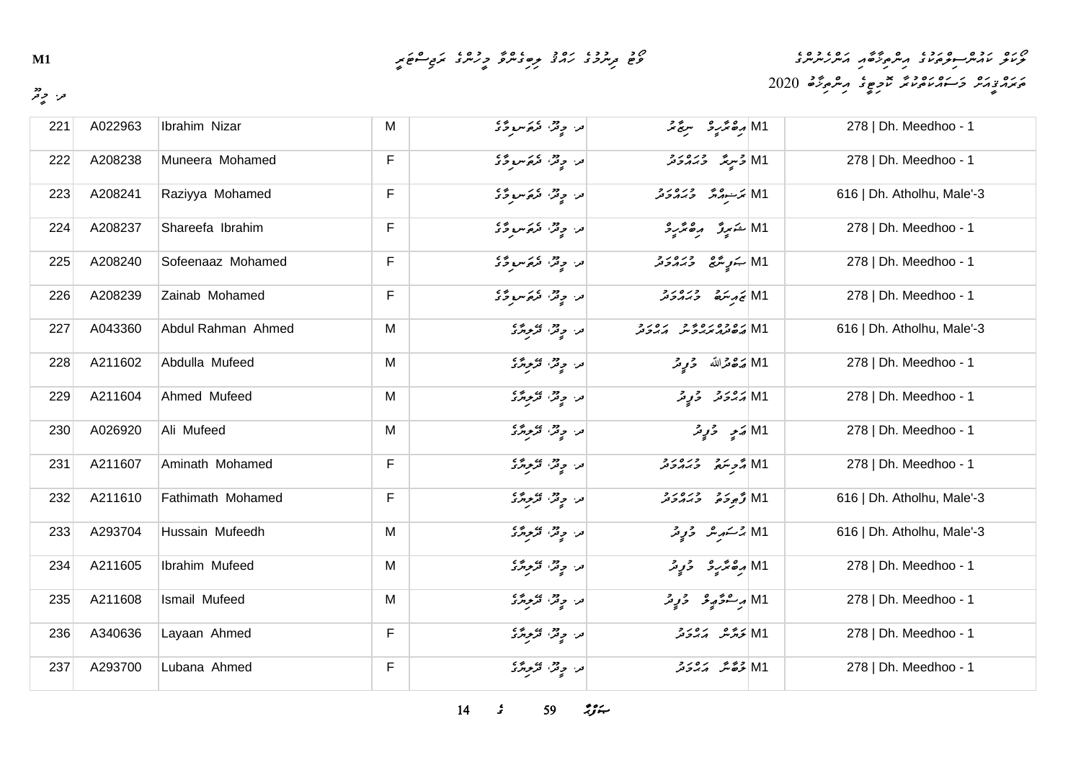*sCw7q7s5w7m< o<n9nOoAw7o< sCq;mAwBoEw7q<m; wBm;vB* م من المرة المرة المرة المرجع المرجع في المركبة 2020<br>مجم*د المريض المربوط المربع المرجع في المراجع المركبة* 

| 221 | A022963 | Ibrahim Nizar      | M            | ىر. چ <sup>و</sup> چ، ترەكسو <i>53</i>                                                             | M1 مەھمگەيى ھەمەتچىمە                            | 278   Dh. Meedhoo - 1      |
|-----|---------|--------------------|--------------|----------------------------------------------------------------------------------------------------|--------------------------------------------------|----------------------------|
| 222 | A208238 | Muneera Mohamed    | $\mathsf F$  | ىر. ج <sup>ەن</sup> ئى ترەكىرىدۇ ئەت                                                               | M1  3سٍبكّر - 3بر25تر                            | 278   Dh. Meedhoo - 1      |
| 223 | A208241 | Raziyya Mohamed    | $\mathsf F$  | ىر. ج <sup>و</sup> ش ترەكسىدۇ ئ                                                                    | M1 بَرَىن <i>ِ دەر جەم</i> ەر د                  | 616   Dh. Atholhu, Male'-3 |
| 224 | A208237 | Shareefa Ibrahim   | $\mathsf F$  | ىر. چ <sup>و</sup> ڭ ترەكسى دى                                                                     | M1 شەمرى <i>ق مەھترى</i> رى                      | 278   Dh. Meedhoo - 1      |
| 225 | A208240 | Sofeenaaz Mohamed  | $\mathsf F$  | لا وِفْرٌ، فَرْجُ سَوَ وَ وَ                                                                       | M1 بَيَوِيتَرَجْ     3 جَرْمُ 3 قَرْ             | 278   Dh. Meedhoo - 1      |
| 226 | A208239 | Zainab Mohamed     | $\mathsf{F}$ | ىر. ج <sup>و</sup> ش ترەكسى دى                                                                     | M1 تج م سَرَة محمد حمد حمد                       | 278   Dh. Meedhoo - 1      |
| 227 | A043360 | Abdul Rahman Ahmed | M            | قدر المحمد المحمد المحمد المحمد المحمد المحمد المحمد المحمد المحمد المحمد المحمد المحمد المحمد الم | M1   مەھەمە <i>مەدۋىتى   مەدۋى</i> ر             | 616   Dh. Atholhu, Male'-3 |
| 228 | A211602 | Abdulla Mufeed     | M            | ىر. دېڭر، ئۇرمۇرى                                                                                  | M1  رَحْمَدْاللَّه دَّوِيْرَ                     | 278   Dh. Meedhoo - 1      |
| 229 | A211604 | Ahmed Mufeed       | M            | ىر. دەر ئۇرمۇر                                                                                     | M1 كەش <sup>ى</sup> كەنگە قىلى قىلىپ قىلىنىڭ بىر | 278   Dh. Meedhoo - 1      |
| 230 | A026920 | Ali Mufeed         | M            | امر ۔ چمہ می گرورگری                                                                               | M1  پَرِ پِ گَرِيْرٌ                             | 278   Dh. Meedhoo - 1      |
| 231 | A211607 | Aminath Mohamed    | $\mathsf F$  | ىر. ج <sup>وم</sup> ى، ئۇجەدى                                                                      | M1 مُجِسَعِ حَبَيْدَوَنِرَ                       | 278   Dh. Meedhoo - 1      |
| 232 | A211610 | Fathimath Mohamed  | $\mathsf F$  | در ۔ وقرا ترجمہوری                                                                                 | M1 ژَجِرَة وَبَرْمُرَة لِهِ                      | 616   Dh. Atholhu, Male'-3 |
| 233 | A293704 | Hussain Mufeedh    | M            | الدا وليما تروردى                                                                                  | M1  پرسکو بنگر تح <i>و</i> یتر                   | 616   Dh. Atholhu, Male'-3 |
| 234 | A211605 | Ibrahim Mufeed     | M            | ىر. چەقر، قرىچەترى                                                                                 | M1 <sub>م</sub> ەمگەر ئىقىدىنى كەرىگە            | 278   Dh. Meedhoo - 1      |
| 235 | A211608 | Ismail Mufeed      | M            | در - دوم محر در دی                                                                                 | M1 مرڪو <i>گير ئي جي چر</i>                      | 278   Dh. Meedhoo - 1      |
| 236 | A340636 | Layaan Ahmed       | $\mathsf F$  | ىر. دېتر، ئۇرمەرد                                                                                  | M1 كَرْتَرْسْ    دُرْدَوْرْ                      | 278   Dh. Meedhoo - 1      |
| 237 | A293700 | Lubana Ahmed       | $\mathsf F$  | ىر. دېگر، ئۇرىردى                                                                                  | M1 قِرْھَ مَبْر مَدْرَمْر                        | 278   Dh. Meedhoo - 1      |

*14 s* 59 *if*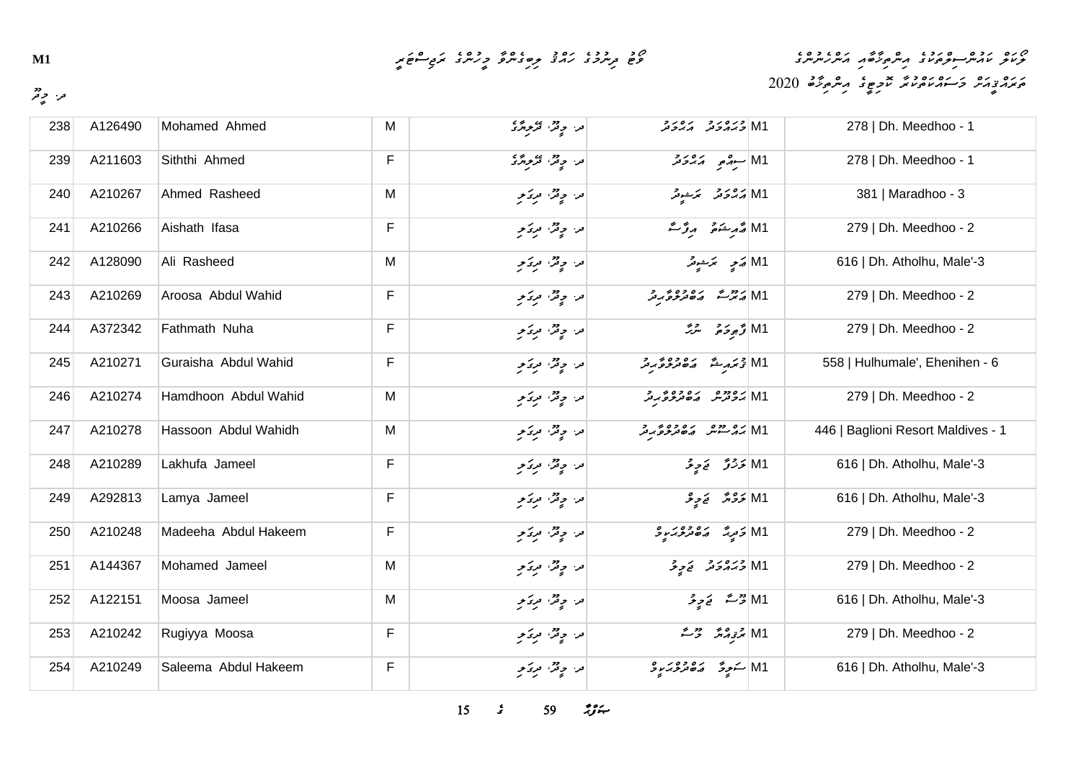*sCw7q7s5w7m< o<n9nOoAw7o< sCq;mAwBoEw7q<m; wBm;vB* م من المرة المرة المرة المرجع المرجع في المركبة 2020<br>مجم*د المريض المربوط المربع المرجع في المراجع المركبة* 

| 238 | A126490 | Mohamed Ahmed        | M           | ىر. دېمر، ئۇرمۇر         | M1 <i>ב برە برە ب</i> روتر                        | 278   Dh. Meedhoo - 1              |
|-----|---------|----------------------|-------------|--------------------------|---------------------------------------------------|------------------------------------|
| 239 | A211603 | Siththi Ahmed        | F           | د. دٍیْرٌ، تَرْمِرْدٌ دَ | M1 سورمو برجوجر                                   | 278   Dh. Meedhoo - 1              |
| 240 | A210267 | Ahmed Rasheed        | M           | مر ۔ ویژ، مریکو          | M1   كەش <sup>ى</sup> كىمى كىمى كىرىدىنى كىشى بىر | 381   Maradhoo - 3                 |
| 241 | A210266 | Aishath Ifasa        | $\mathsf F$ | قرا وفرا فروكو           | M1 ۾َمبِ شَمَرُ مِتَرَ مَّہُ ا                    | 279   Dh. Meedhoo - 2              |
| 242 | A128090 | Ali Rasheed          | M           | مر ۔ جي مرڪب             | M1 صَعِيد سَمَسْوِمْرُ                            | 616   Dh. Atholhu, Male'-3         |
| 243 | A210269 | Aroosa Abdul Wahid   | $\mathsf F$ | مر ۔ ویژ، مریکو          | M1 كەنزىش كەھەر <i>جەمبەت</i> ر                   | 279   Dh. Meedhoo - 2              |
| 244 | A372342 | Fathmath Nuha        | $\mathsf F$ | مر ۔ ویژ، مریکو          | M1 وَجِوحَة مِنْ شَرَبَّهُ                        | 279   Dh. Meedhoo - 2              |
| 245 | A210271 | Guraisha Abdul Wahid | $\mathsf F$ | مر ۔ وِمْرٌ، مردَّمِ     | M1 تۇبترىرىش مەھەر <i>ۋە ب</i> وتر                | 558   Hulhumale', Ehenihen - 6     |
| 246 | A210274 | Hamdhoon Abdul Wahid | M           | قرا وفرا فروكو           | M1 גوترس مەمەمەر د                                | 279   Dh. Meedhoo - 2              |
| 247 | A210278 | Hassoon Abdul Wahidh | M           | مر ۔ ویژ، مریکو          | M1 بزوجع مەھەر <i>ۋە بە</i> ر                     | 446   Baglioni Resort Maldives - 1 |
| 248 | A210289 | Lakhufa Jameel       | $\mathsf F$ | مر ۔ ویژ، مریکو          | M1 كَرْرْدٌ كَ وِ وْ                              | 616   Dh. Atholhu, Male'-3         |
| 249 | A292813 | Lamya Jameel         | F           | مر ۔ وِمْرٌ، مردَّمِ     | M1 كَرَدْنَدْ كَ <sub>ى ت</sub> وگ                | 616   Dh. Atholhu, Male'-3         |
| 250 | A210248 | Madeeha Abdul Hakeem | $\mathsf F$ | مر ۔ وِمْرٌ، مردَّمِ     | M1  كەيپەتتىر كەھە <i>ترىۋىزى</i> يەتى            | 279   Dh. Meedhoo - 2              |
| 251 | A144367 | Mohamed Jameel       | M           | مر ۔ ویژ، مریکو          | M1  ت <i>ح پر دې</i> تو تو تو تو                  | 279   Dh. Meedhoo - 2              |
| 252 | A122151 | Moosa Jameel         | M           | مر ۔ جي مرڪب             | M1 رُحَمَّ نَح <sub>حِر</sub> ثَرَ                | 616   Dh. Atholhu, Male'-3         |
| 253 | A210242 | Rugiyya Moosa        | $\mathsf F$ | اللا المحيض الريحالي     | M1 برتو پر هم حق مشک                              | 279   Dh. Meedhoo - 2              |
| 254 | A210249 | Saleema Abdul Hakeem | F           | امر: حيثرٌ، مريحة من     | M1 سَجِرةَ صَرْحَدَ مِرْدِ                        | 616   Dh. Atholhu, Male'-3         |

*15 s* 59 *if*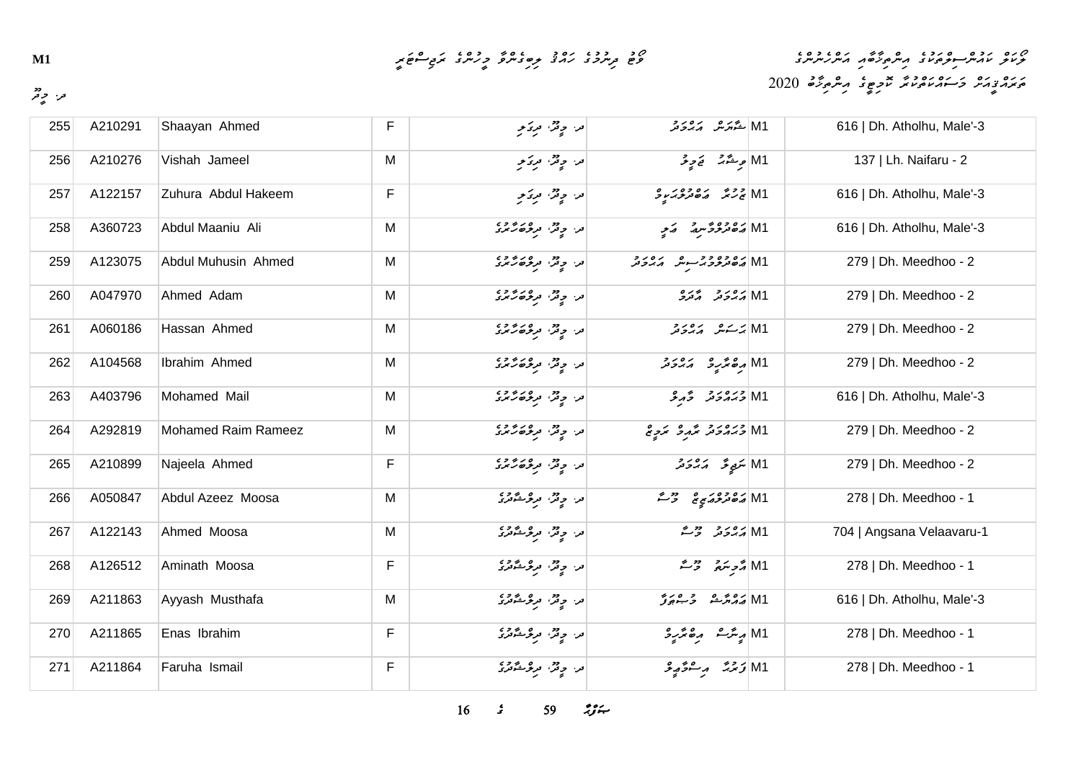*sCw7q7s5w7m< o<n9nOoAw7o< sCq;mAwBoEw7q<m; wBm;vB* م من المرة المرة المرة المرجع المرجع في المركبة 2020<br>مجم*د المريض المربوط المربع المرجع في المراجع المركبة* 

| 255 | A210291 | Shaayan Ahmed              | $\mathsf{F}$ | مر ۔ وِمْرٌ مِرکو                   | M1 گەترىش كەبرى قىر                        | 616   Dh. Atholhu, Male'-3 |
|-----|---------|----------------------------|--------------|-------------------------------------|--------------------------------------------|----------------------------|
| 256 | A210276 | Vishah Jameel              | M            | مر ۔ وِیْرُ مِرکو                   | M1 مِشَہُ کَے یوگر                         | 137   Lh. Naifaru - 2      |
| 257 | A122157 | Zuhura Abdul Hakeem        | $\mathsf F$  | مرا وقرا مرتاح                      | M1 يحرثر مەھىر دىرو                        | 616   Dh. Atholhu, Male'-3 |
| 258 | A360723 | Abdul Maaniu Ali           | M            | تر. دٍ پُرْ، ترِیرُہ دی             | M1   رَەمْعُرْحَرَّسِهُ   رَمْحِ           | 616   Dh. Atholhu, Male'-3 |
| 259 | A123075 | Abdul Muhusin Ahmed        | M            | تر. وٍ پُرُ، ترِعْرَہ ُو ۽          | M1 <i>مەھەر ۋە جەس</i> ىس مەر <i>ۋەر ۋ</i> | 279   Dh. Meedhoo - 2      |
| 260 | A047970 | Ahmed Adam                 | M            | در وفر تروه دوء                     | M1 كەبرى قىر ئەترى                         | 279   Dh. Meedhoo - 2      |
| 261 | A060186 | Hassan Ahmed               | M            | تر. دٍ پُرْ، ترِیرُہ دی             | M1 ئەسەمىر بەيدى قىر                       | 279   Dh. Meedhoo - 2      |
| 262 | A104568 | Ibrahim Ahmed              | M            | تر. دٍ پُرُ، ترِیْرَہ دِی           | M1 مەھمگىيە ھەردىنى                        | 279   Dh. Meedhoo - 2      |
| 263 | A403796 | Mohamed Mail               | M            | د. چ <sup>ور</sup> مر <i>خ</i> ص در | M1 <i>5&gt;۶۶ و محمد می</i>                | 616   Dh. Atholhu, Male'-3 |
| 264 | A292819 | <b>Mohamed Raim Rameez</b> | M            | د. دٍیْرٌ، مِروْھَ رُمُرَد          | M1 كەندە دىر ئەر ئىمى ئىر                  | 279   Dh. Meedhoo - 2      |
| 265 | A210899 | Najeela Ahmed              | $\mathsf F$  | تر. دٍ پُرْ، ترِیرُہ دی             | M1 سَمِعٍ مَدَ - دَمَرَ مَدَ               | 279   Dh. Meedhoo - 2      |
| 266 | A050847 | Abdul Azeez Moosa          | M            | تر. وِيْرُ، تَرِوْشُوَتْرُو         | M1 <i>مَەمْرُوْمَى ج</i>                   | 278   Dh. Meedhoo - 1      |
| 267 | A122143 | Ahmed Moosa                | M            | تر. وفرٌ، تروګورو و                 | M1 پروتر وحت                               | 704   Angsana Velaavaru-1  |
| 268 | A126512 | Aminath Moosa              | F            | تر. وفرٌ، تروٌ شهری                 | M1 أَمَّ مِسَمَّدٍ حَمَّدٌ                 | 278   Dh. Meedhoo - 1      |
| 269 | A211863 | Ayyash Musthafa            | M            | تر. وفره تروڅوندو                   | M1 كەبەر ئەرەپە ئەرەپەتىكى ئىس             | 616   Dh. Atholhu, Male'-3 |
| 270 | A211865 | Enas Ibrahim               | F            | امر: وقتر، مرکز شوری                | M1 مٍسَّرْتْ مِنْ مَّرْبِةْ                | 278   Dh. Meedhoo - 1      |
| 271 | A211864 | Faruha Ismail              | F            | د. دٍیْرٌ، دروشوری                  | M1 كَرَيْرٌ - مِرْ مُرَّمَّةٍ هِ عُرْ      | 278   Dh. Meedhoo - 1      |

*16 s* 59 *if*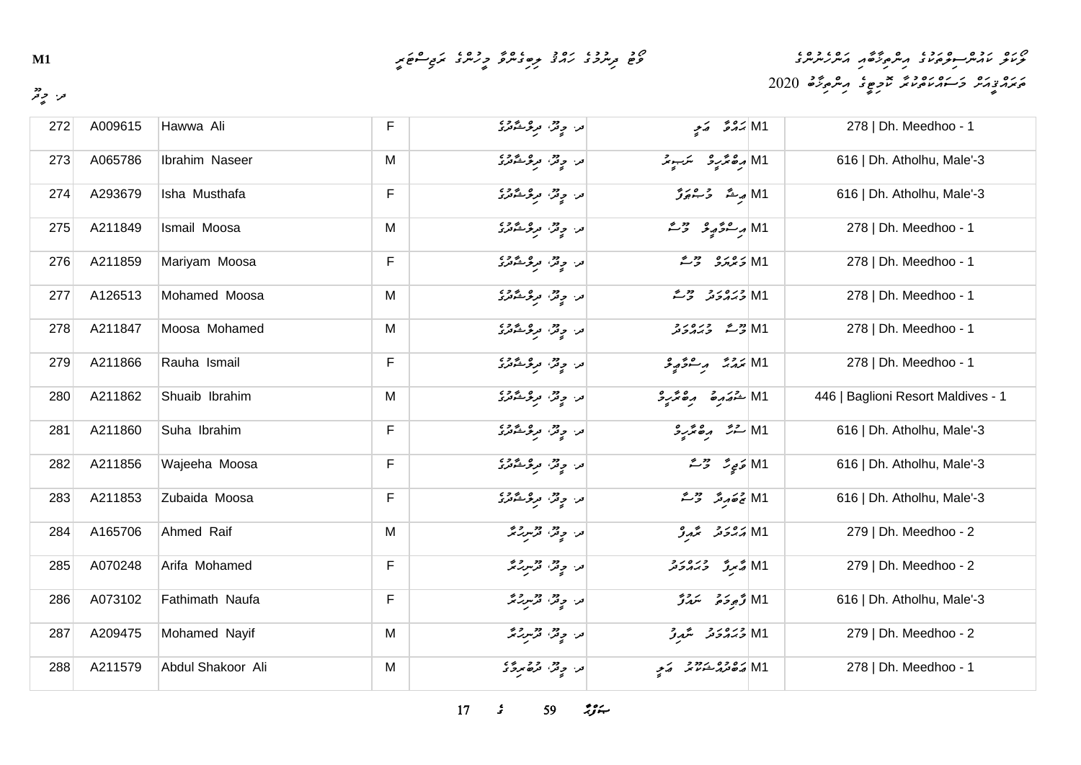*sCw7q7s5w7m< o<n9nOoAw7o< sCq;mAwBoEw7q<m; wBm;vB* م من المرة المرة المرة المرجع المرجع في المركبة 2020<br>مجم*د المريض المربوط المربع المرجع في المراجع المركبة* 

| 272 | A009615 | Hawwa Ali         | $\mathsf F$ | ىر. بەتر، مرگزىشىرى               | M1   پَروُنَّ   کَرَمَوِ                    | 278   Dh. Meedhoo - 1              |
|-----|---------|-------------------|-------------|-----------------------------------|---------------------------------------------|------------------------------------|
| 273 | A065786 | Ibrahim Naseer    | M           | ىر. چ <sup>ور</sup> ، ترگرىشىرى   | M1 مِرەڭرىرى سَرَىبِيْتْر                   | 616   Dh. Atholhu, Male'-3         |
| 274 | A293679 | Isha Musthafa     | $\mathsf F$ | ور ۔ وفرا فرقرشوں و               | M1 مِثَّۃٌ وَجُوَرَ                         | 616   Dh. Atholhu, Male'-3         |
| 275 | A211849 | Ismail Moosa      | M           | د. وفر مروشهره                    | M1 مِرْ مُحَمَّدٍ حَمْ حَمَّدَ الْمَسَمَّدِ | 278   Dh. Meedhoo - 1              |
| 276 | A211859 | Mariyam Moosa     | $\mathsf F$ | تر. دٍیژ، تروکشوری                | M1 كەبەر بۇرگە ئەسىگە                       | 278   Dh. Meedhoo - 1              |
| 277 | A126513 | Mohamed Moosa     | M           | تر. وِيْرُ، تَرِوْشُوَتْرَى       | M1 كەندە ئەترىشى ئۆت                        | 278   Dh. Meedhoo - 1              |
| 278 | A211847 | Moosa Mohamed     | M           | د. دٍیژ، دروځشوری                 | M1 تۇشە ئەيرە ئەرى                          | 278   Dh. Meedhoo - 1              |
| 279 | A211866 | Rauha Ismail      | $\mathsf F$ | تر. وفر، ترو شور و ،              | M1 بَرَيْرٌ مِ سُوَّمِ وَ                   | 278   Dh. Meedhoo - 1              |
| 280 | A211862 | Shuaib Ibrahim    | M           | د. وفر مروشهره                    | M1 ش <i>ەمەم ھەمەمب</i> و                   | 446   Baglioni Resort Maldives - 1 |
| 281 | A211860 | Suha Ibrahim      | $\mathsf F$ | تر. وفر، ترو شور و ،              | M1 كەنز ب <i>ەھت</i> رىيى                   | 616   Dh. Atholhu, Male'-3         |
| 282 | A211856 | Wajeeha Moosa     | $\mathsf F$ | تر. وفرٌ، تروګورو و               | M1 حَ مِي حَ حَمْدَ حَمْد                   | 616   Dh. Atholhu, Male'-3         |
| 283 | A211853 | Zubaida Moosa     | F           | تر. وفر، ترو شهرو ،               | M1 نج صَهرِ مَثَرِ حَقِّ شَدَّ              | 616   Dh. Atholhu, Male'-3         |
| 284 | A165706 | Ahmed Raif        | M           | ىر. جەنئە، قرىبرىرىگە             | M1 كەش <sup>ى</sup> تىر ئىگەر تى            | 279   Dh. Meedhoo - 2              |
| 285 | A070248 | Arifa Mohamed     | $\mathsf F$ | ىر. جەنئى، ئۇسرىرىگە              | M1 مَحْمِرَةٌ حَمَدَ مَرَّةٌ                | 279   Dh. Meedhoo - 2              |
| 286 | A073102 | Fathimath Naufa   | $\mathsf F$ | ىر. جەنئە، ئۇسرىرىگە              | M1 وَّجِ دَمَّةَ مَسَمَّدَةَ                | 616   Dh. Atholhu, Male'-3         |
| 287 | A209475 | Mohamed Nayif     | M           | ا در المحركة المحر مركز مركز مركز | M1  <i>وبزوجو سمدق</i>                      | 279   Dh. Meedhoo - 2              |
| 288 | A211579 | Abdul Shakoor Ali | M           | ىر. دولا، مرە بروگ                | M1 كەھەرمەدە ج. كەب                         | 278   Dh. Meedhoo - 1              |

*17 s* 59 *if*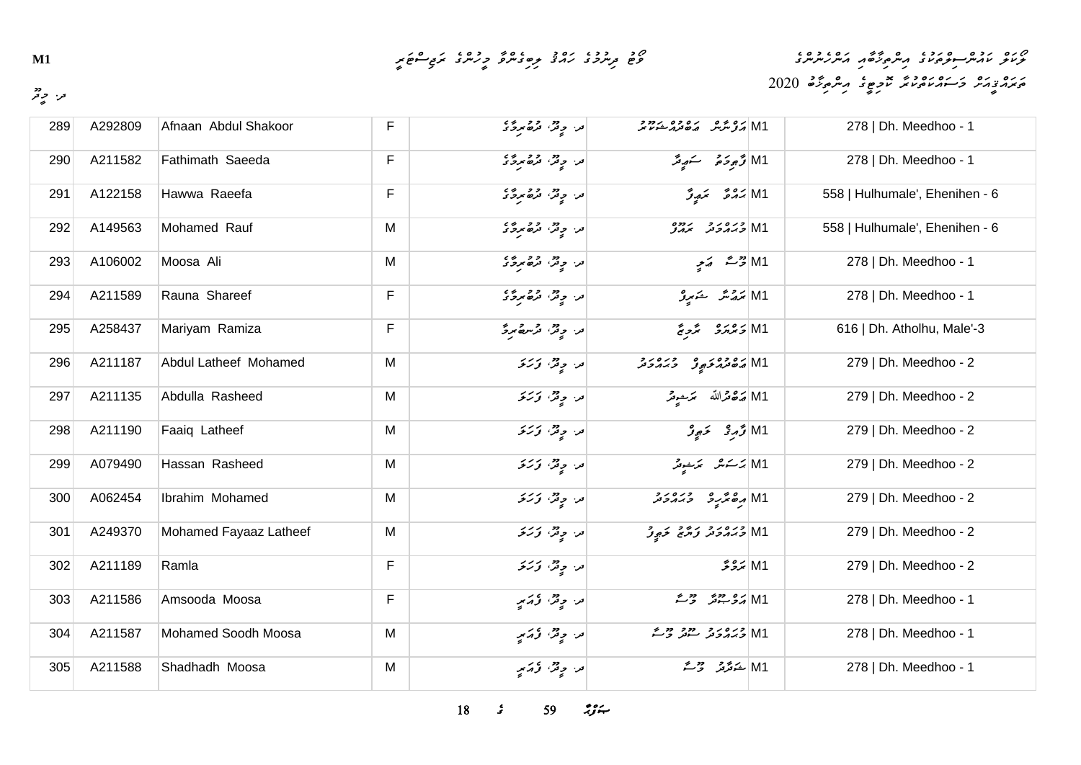*sCw7q7s5w7m< o<n9nOoAw7o< sCq;mAwBoEw7q<m; wBm;vB* م من المرة المرة المرة المرجع المرجع في المركبة 2020<br>مجم*د المريض المربوط المربع المرجع في المراجع المركبة* 

| 289 | A292809 | Afnaan Abdul Shakoor   | $\mathsf F$ | ىر. دۇر، ترەپردى                                   | M1 كەنۇبىر كەر كەھەر ئەدەر دەر | 278   Dh. Meedhoo - 1          |
|-----|---------|------------------------|-------------|----------------------------------------------------|--------------------------------|--------------------------------|
| 290 | A211582 | Fathimath Saeeda       | $\mathsf F$ | ىر. دېڭ ترەمردگ                                    | M1 قَ جوحَة مَ سَنَ صِمَّةِ    | 278   Dh. Meedhoo - 1          |
| 291 | A122158 | Hawwa Raeefa           | $\mathsf F$ | ىر. دۇر، ترەپردى                                   | M1   يَرْدُمَّ = سَمِيوَّ      | 558   Hulhumale', Ehenihen - 6 |
| 292 | A149563 | Mohamed Rauf           | M           | تر. وِتْرُ، ترەپروگ                                | M1 <i>3225 مەدە</i> ر          | 558   Hulhumale', Ehenihen - 6 |
| 293 | A106002 | Moosa Ali              | M           | ىر. ج <sup>و</sup> ر، تر <i>ە</i> بردگ             | M1 فخرشہ تھ ج                  | 278   Dh. Meedhoo - 1          |
| 294 | A211589 | Rauna Shareef          | $\mathsf F$ | ىر. ج <sup>وم</sup> ى، تر <i>ە</i> مبرد <i>گ</i> ى | M1 بَرَیْرَ شَمَعِرُوْ         | 278   Dh. Meedhoo - 1          |
| 295 | A258437 | Mariyam Ramiza         | F           | ا در امریکر، فرس مرگز                              | M1 كَرْمَرْدْ مُدَّدِيَّ       | 616   Dh. Atholhu, Male'-3     |
| 296 | A211187 | Abdul Latheef Mohamed  | M           | ىر، بەق تەترى                                      | M1 בפינג צק, 2 - 2000 K        | 279   Dh. Meedhoo - 2          |
| 297 | A211135 | Abdulla Rasheed        | M           | ىر، چ <sup>ەن</sup> ، ق <sup>ە</sup> تكى           | M1 كەڭداللە كەن بوقر           | 279   Dh. Meedhoo - 2          |
| 298 | A211190 | Faaiq Latheef          | M           | ىر. رەپى، ئەترىخە                                  | M1 وَمَرِ حَمَّدٍ وَ           | 279   Dh. Meedhoo - 2          |
| 299 | A079490 | Hassan Rasheed         | M           | ىر، بەيتى، تەترىتى                                 | M1  پرستەنلە    ئەسىيەتلە      | 279   Dh. Meedhoo - 2          |
| 300 | A062454 | Ibrahim Mohamed        | M           | د. چ <sup>و</sup> ر، ترکت                          | M1 مەھمەر 250.000 كىل          | 279   Dh. Meedhoo - 2          |
| 301 | A249370 | Mohamed Fayaaz Latheef | M           | د. چ <sup>و</sup> ڻ ترکتو                          | M1 څنه څخه وگړي ځېږو           | 279   Dh. Meedhoo - 2          |
| 302 | A211189 | Ramla                  | $\mathsf F$ | اما اوتژا تخاتری                                   | M1 بزوگ                        | 279   Dh. Meedhoo - 2          |
| 303 | A211586 | Amsooda Moosa          | $\mathsf F$ | ىر. چ <sup>و</sup> چ، ئۇن <i>ە</i> پ               | M1 پروېنو وي.                  | 278   Dh. Meedhoo - 1          |
| 304 | A211587 | Mohamed Soodh Moosa    | M           | لدا وفرا وكرمر                                     | M1 دېرونه سور دي.              | 278   Dh. Meedhoo - 1          |
| 305 | A211588 | Shadhadh Moosa         | M           | ىر. دېڭر، ئۇندىر                                   | M1 ڪوترنر - تڙڪ                | 278   Dh. Meedhoo - 1          |

*18 s* 59 *i*<sub>s</sub> $\approx$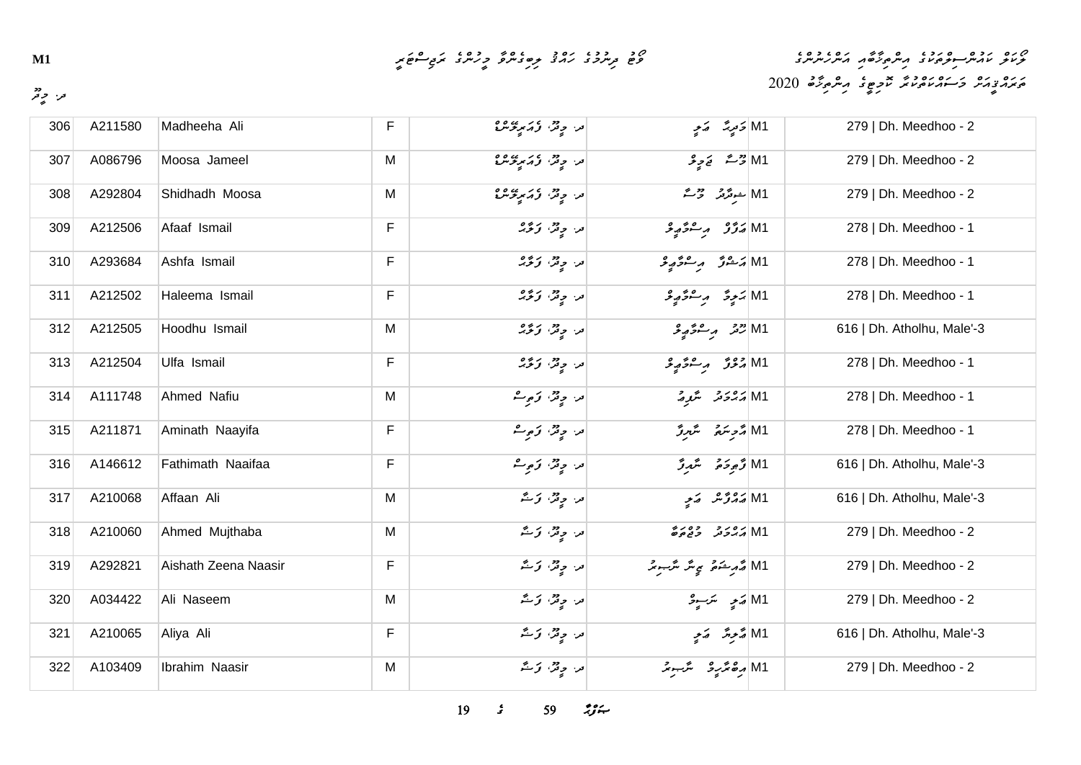*sCw7q7s5w7m< o<n9nOoAw7o< sCq;mAwBoEw7q<m; wBm;vB* م من المرة المرة المرة المرجع المرجع في المركبة 2020<br>مجم*د المريض المربوط المربع المرجع في المراجع المركبة* 

| 306 | A211580 | Madheeha Ali         | $\mathsf F$  | ىر. دېر، زېرىرىيە دە                     | M1   حَ مِيدً   صَ مِي               | 279   Dh. Meedhoo - 2      |
|-----|---------|----------------------|--------------|------------------------------------------|--------------------------------------|----------------------------|
| 307 | A086796 | Moosa Jameel         | M            | ىر. دېڭ ۋە بېرىرىن                       | M1 تخریحہ <sub>تح</sub> وی           | 279   Dh. Meedhoo - 2      |
| 308 | A292804 | Shidhadh Moosa       | M            | ىن جۇنى ئەمبرىمىتى                       | M1 خوتر ترقر منتقب                   | 279   Dh. Meedhoo - 2      |
| 309 | A212506 | Afaaf Ismail         | $\mathsf F$  | ىر. مەنتى، ئەنتىر                        | M1  رَزَّوْ بِرِ شَوَّمِ وَ          | 278   Dh. Meedhoo - 1      |
| 310 | A293684 | Ashfa Ismail         | $\mathsf F$  | ىر. چ <sup>ەدە</sup> ، تەنۇبر            | M1  رَ؎ْرُ مِرْ مِرْ مُرَّمَّةٍ مِنْ | 278   Dh. Meedhoo - 1      |
| 311 | A212502 | Haleema Ismail       | $\mathsf{F}$ | ىر. چ <sup>ەدە</sup> ، تەنۇبر            | M1   يَرِوءٌ - مِرْ يُوتُورُ \$      | 278   Dh. Meedhoo - 1      |
| 312 | A212505 | Hoodhu Ismail        | M            | ىر. چ <sup>ەد</sup> ترىۋە                | M1 تُرْتَمْ بِرِ صُوَّرٍ عُرُ        | 616   Dh. Atholhu, Male'-3 |
| 313 | A212504 | Ulfa Ismail          | $\mathsf F$  | ىر. چ <sup>ەن</sup> تەنۋىر               | M1 2 <i>3 م شۇم</i> ۇ                | 278   Dh. Meedhoo - 1      |
| 314 | A111748 | Ahmed Nafiu          | M            | ىر، چەتتى، ئۇچەتتى                       | M1 كەش <sup>ى</sup> تىر ئىتى بىر شەر | 278   Dh. Meedhoo - 1      |
| 315 | A211871 | Aminath Naayifa      | F            | ىر، چەش، ئەھمەت                          | M1 مُّحِ سَمَّعَ سَّمَ <i>بِينَّ</i> | 278   Dh. Meedhoo - 1      |
| 316 | A146612 | Fathimath Naaifaa    | $\mathsf F$  | ىر، چ <sup>ە</sup> ن، ئەھمى <sup>م</sup> | M1 زَّجِ دَ مَنْ سَمَّدٍ رَّ         | 616   Dh. Atholhu, Male'-3 |
| 317 | A210068 | Affaan Ali           | M            | مر، وفِشْ وَسَّدَّ                       | M1 <i>مَہُ دُوَّ</i> شَہ کِھو        | 616   Dh. Atholhu, Male'-3 |
| 318 | A210060 | Ahmed Mujthaba       | M            | ىر. رەتر، ترت                            | M1 كەبرىق مىق ئۇمۇھ                  | 279   Dh. Meedhoo - 2      |
| 319 | A292821 | Aishath Zeena Naasir | $\mathsf F$  | ىر. روژ، ترت                             | M1 ۾ً مرڪومج سي مگر مگرسومگر         | 279   Dh. Meedhoo - 2      |
| 320 | A034422 | Ali Naseem           | M            | ىر. رٍيْرٌ، تَرَسَّہُ                    | M1  رَمِ سَرَسِ وَ                   | 279   Dh. Meedhoo - 2      |
| 321 | A210065 | Aliya Ali            | $\mathsf F$  | ىر. رەتر، ترت                            | M1 صَّحِيرٌ صَحِ                     | 616   Dh. Atholhu, Male'-3 |
| 322 | A103409 | Ibrahim Naasir       | M            | ىر. رٍٽُن تَرَتَّہُ                      | M1 مەھمگەپەق س <sup>ى</sup> رىبومۇ   | 279   Dh. Meedhoo - 2      |

*19 s* 59 *z*<sub>*s*</sub> $\rightarrow$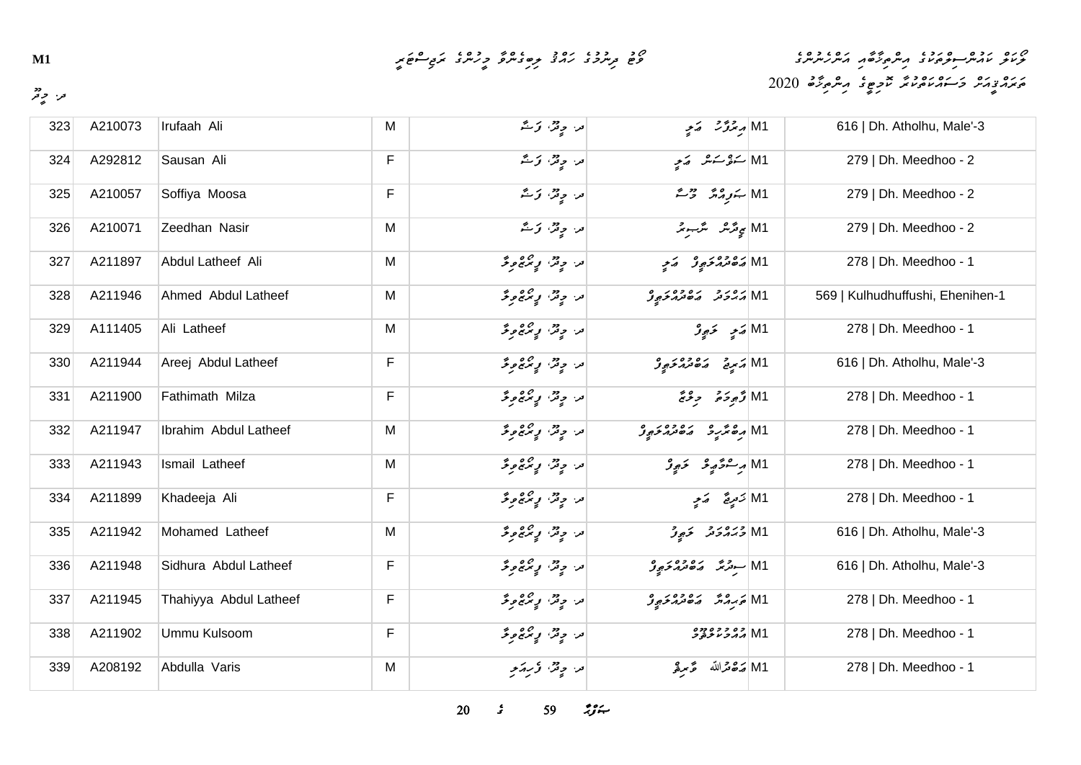*sCw7q7s5w7m< o<n9nOoAw7o< sCq;mAwBoEw7q<m; wBm;vB* م من المرة المرة المرة المرجع المرجع في المركبة 2020<br>مجم*د المريض المربوط المربع المرجع في المراجع المركبة* 

| 323 | A210073 | Irufaah Ali            | M           | ىر. بوتى، ترتّ                               | M1 مِتْرَدَّرْ - مَرِ                      | 616   Dh. Atholhu, Male'-3       |
|-----|---------|------------------------|-------------|----------------------------------------------|--------------------------------------------|----------------------------------|
| 324 | A292812 | Sausan Ali             | F           | ىر، رەش، ئۇنىگە                              | M1 ڪن <i>و ڪنگر چ</i> َمتِر                | 279   Dh. Meedhoo - 2            |
| 325 | A210057 | Soffiya Moosa          | F           | ىر. بوتۇ، تۇڭ                                | M1 بەزەر قەرىئە                            | 279   Dh. Meedhoo - 2            |
| 326 | A210071 | Zeedhan Nasir          | M           | ىر، بەتتى، ئەنت                              | M1 <sub>ک</sub> وئٹریٹر گٹر ہونٹر          | 279   Dh. Meedhoo - 2            |
| 327 | A211897 | Abdul Latheef Ali      | M           | ىر. چ <sup>و</sup> چ، پ <sub>و</sub> چى بولۇ | M1 בەممى ھېرى ھېر                          | 278   Dh. Meedhoo - 1            |
| 328 | A211946 | Ahmed Abdul Latheef    | M           | ىر. دېتر، پېرىنى دېگ                         | M1 <i>ג محمد م</i> ص <i>مر محبو</i> ثر     | 569   Kulhudhuffushi, Ehenihen-1 |
| 329 | A111405 | Ali Latheef            | M           | ىر. دېتر، وېرىج دېڅ                          | M1 <i>ڇَ ڇِ - خَبوِ</i> رُ                 | 278   Dh. Meedhoo - 1            |
| 330 | A211944 | Areej Abdul Latheef    | $\mathsf F$ | ىر. دېگر، توپرچ دېڅ                          | M1 كەيرىق كەھەر <i>مۇج</i> و ئى            | 616   Dh. Atholhu, Male'-3       |
| 331 | A211900 | Fathimath Milza        | $\mathsf F$ | ىر. دېگر، توپرچ دېڅ                          | M1 تَ <i>جِ حَ حَقَّ</i> حَمَّةَ           | 278   Dh. Meedhoo - 1            |
| 332 | A211947 | Ibrahim Abdul Latheef  | M           | د. دٍیْرٌ، دٍیرٌی وِیْ                       | M1 مەھمەر ئەھەرمۇمۇرى<br>سەرھەر مەھەرمۇمۇر | 278   Dh. Meedhoo - 1            |
| 333 | A211943 | Ismail Latheef         | M           | ىر. دېگر، توپرچ ئوگ                          | M1 مرڪوگيرنى تخ <sub>جي</sub> و            | 278   Dh. Meedhoo - 1            |
| 334 | A211899 | Khadeeja Ali           | F           | ىر. دېگر، توپرچ دېڅ                          | M1 كَتَمِيعٌ - صَحٍ                        | 278   Dh. Meedhoo - 1            |
| 335 | A211942 | Mohamed Latheef        | M           | ىر. دېگر، توپرچ دېڅ                          | M1   ج. <i>بر\$د تربي ق</i>                | 616   Dh. Atholhu, Male'-3       |
| 336 | A211948 | Sidhura Abdul Latheef  | $\mathsf F$ | ىر. دېتر، وېرچمونځه                          | M1 – ترىڭ مەھ <i>ىرە خې</i> رۇ             | 616   Dh. Atholhu, Male'-3       |
| 337 | A211945 | Thahiyya Abdul Latheef | $\mathsf F$ | د. دٍیْرٌ، دٍیرٌی وِیْ                       | M1 <i>خ بەمەش مەھەرمۇجۇ</i>                | 278   Dh. Meedhoo - 1            |
| 338 | A211902 | Ummu Kulsoom           | F           | ىر. دېتر، وېژىنمونځ                          | M1 د و د و و د و و                         | 278   Dh. Meedhoo - 1            |
| 339 | A208192 | Abdulla Varis          | M           | ىر. دېڭ كۆركەت                               | M1  رَصْحْرَاللَّهُ – مُحْسِنْتُمْو        | 278   Dh. Meedhoo - 1            |

*20 sC 59 nNw?mS*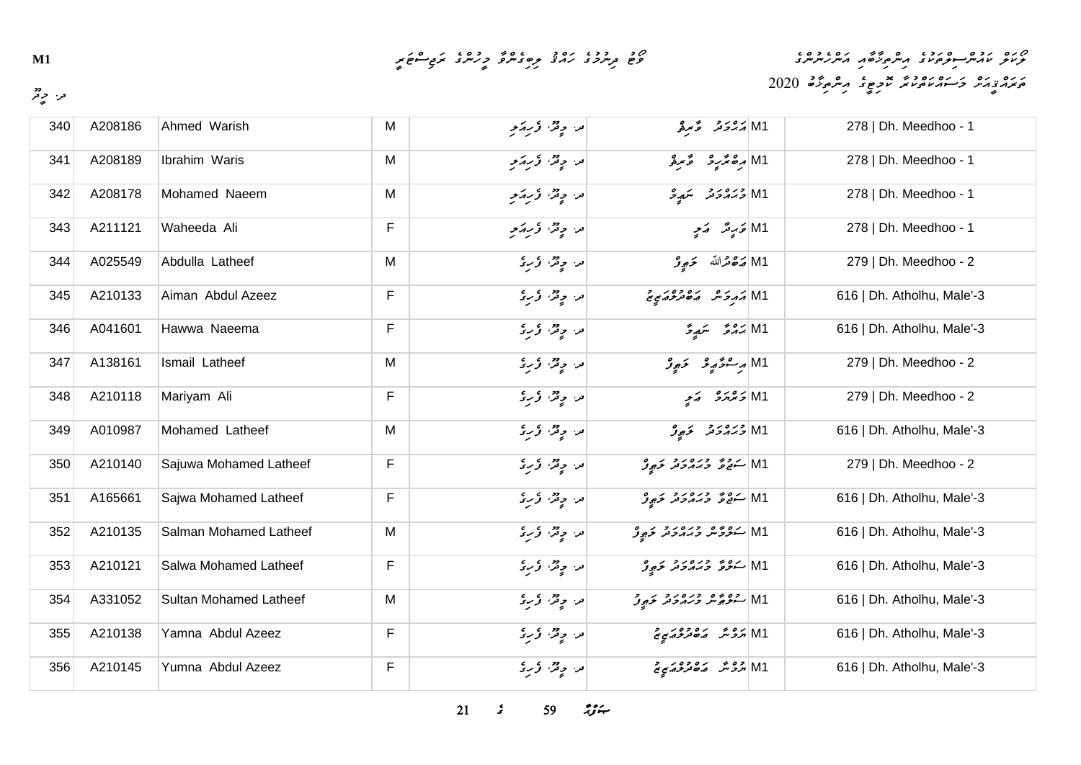*sCw7q7s5w7m< o<n9nOoAw7o< sCq;mAwBoEw7q<m; wBm;vB* م من المرة المرة المرة المرجع المرجع في المركبة 2020<br>مجم*د المريض المربوط المربع المرجع في المراجع المركبة* 

| 340 | A208186 | Ahmed Warish                  | M            | ىر. چ <sup>و</sup> چ، ئ <i>ۇر</i> ىزىر | M1 كەش <sup>ى</sup> ر قىلىقى ئىل                       | 278   Dh. Meedhoo - 1      |
|-----|---------|-------------------------------|--------------|----------------------------------------|--------------------------------------------------------|----------------------------|
| 341 | A208189 | Ibrahim Waris                 | M            | اللا الإقماء كالرماس                   | M1 مەھەرىرى ھەمبۇ                                      | 278   Dh. Meedhoo - 1      |
| 342 | A208178 | Mohamed Naeem                 | M            | اللا ويتن كريركو                       | M1 كەبرى 3 مىقدىمبى ئىش                                | 278   Dh. Meedhoo - 1      |
| 343 | A211121 | Waheeda Ali                   | $\mathsf F$  | اللا ويتن كريركو                       | M1 <i>حَ بِ</i> مَّدَ مِسْ سَ                          | 278   Dh. Meedhoo - 1      |
| 344 | A025549 | Abdulla Latheef               | M            | قرا ولاي توري                          | M1 كەھەراللە ك <i>ۆچ<sub>ۈ</sub>تى</i>                 | 279   Dh. Meedhoo - 2      |
| 345 | A210133 | Aiman Abdul Azeez             | $\mathsf F$  | ورا وفرا كربرى                         | M1 <i>הֿרְב<sup>ֶ</sup>ית הַפּנּיבה <sub>אָ</sub>י</i> | 616   Dh. Atholhu, Male'-3 |
| 346 | A041601 | Hawwa Naeema                  | $\mathsf F$  | لدا چ <sup>ود</sup> ا قریری            | M1 بَرْدُمَّ سَمِيرً                                   | 616   Dh. Atholhu, Male'-3 |
| 347 | A138161 | Ismail Latheef                | M            | قدا وفرا وكري                          | M1 مِ سُمَّ مَ حَمَّدٍ مَ حَمَّدٍ مِ                   | 279   Dh. Meedhoo - 2      |
| 348 | A210118 | Mariyam Ali                   | $\mathsf F$  | لدا ولاي وحري                          | M1   ج <i>اچرچھ   ج</i> اجي                            | 279   Dh. Meedhoo - 2      |
| 349 | A010987 | Mohamed Latheef               | M            | ىر. چ <sup>و</sup> چ، ئۇر <sub>ى</sub> | M1 دُبَرْدْدَتْرَ تَحْبِيْرٌ                           | 616   Dh. Atholhu, Male'-3 |
| 350 | A210140 | Sajuwa Mohamed Latheef        | $\mathsf F$  | الدا المحيض كوريح                      | M1 كەنى ئەزەر ئەرەبىر كەن كىلىنى ئى                    | 279   Dh. Meedhoo - 2      |
| 351 | A165661 | Sajwa Mohamed Latheef         | F            | لدا چ <sup>ود</sup> ا قریری            | M1 سَنَّے وَ بَر مَر وَ عَبورْ E                       | 616   Dh. Atholhu, Male'-3 |
| 352 | A210135 | Salman Mohamed Latheef        | M            | قدا وفرا وكري                          | M1 سَوْدَ شَرِ دَبِرِ دَبِي وَ سَرَ دِبِي وَ           | 616   Dh. Atholhu, Male'-3 |
| 353 | A210121 | Salwa Mohamed Latheef         | $\mathsf{F}$ | مر، ڇاپڙ، وکري                         | M1 كەنزى بەرەر دېمبور كىلىنى ئىلىنى ئى                 | 616   Dh. Atholhu, Male'-3 |
| 354 | A331052 | <b>Sultan Mohamed Latheef</b> | M            | ىر. چ <sup>و</sup> چ، ئۇر <sub>ى</sub> | M1 جوء مي ورەرو توپ <sub>و</sub> تر                    | 616   Dh. Atholhu, Male'-3 |
| 355 | A210138 | Yamna Abdul Azeez             | $\mathsf F$  | لا، ڇاپڙ، وَرِءُ                       | M1 كەر ئەھەر <i>ئەھەر بى</i>                           | 616   Dh. Atholhu, Male'-3 |
| 356 | A210145 | Yumna Abdul Azeez             | F            | لدا ولارا وكرد كالرد                   | M1 ىردىگە بەھ <i>قىرى قى</i> رىم                       | 616   Dh. Atholhu, Male'-3 |

 $21$  *s* 59  $23$   $\div$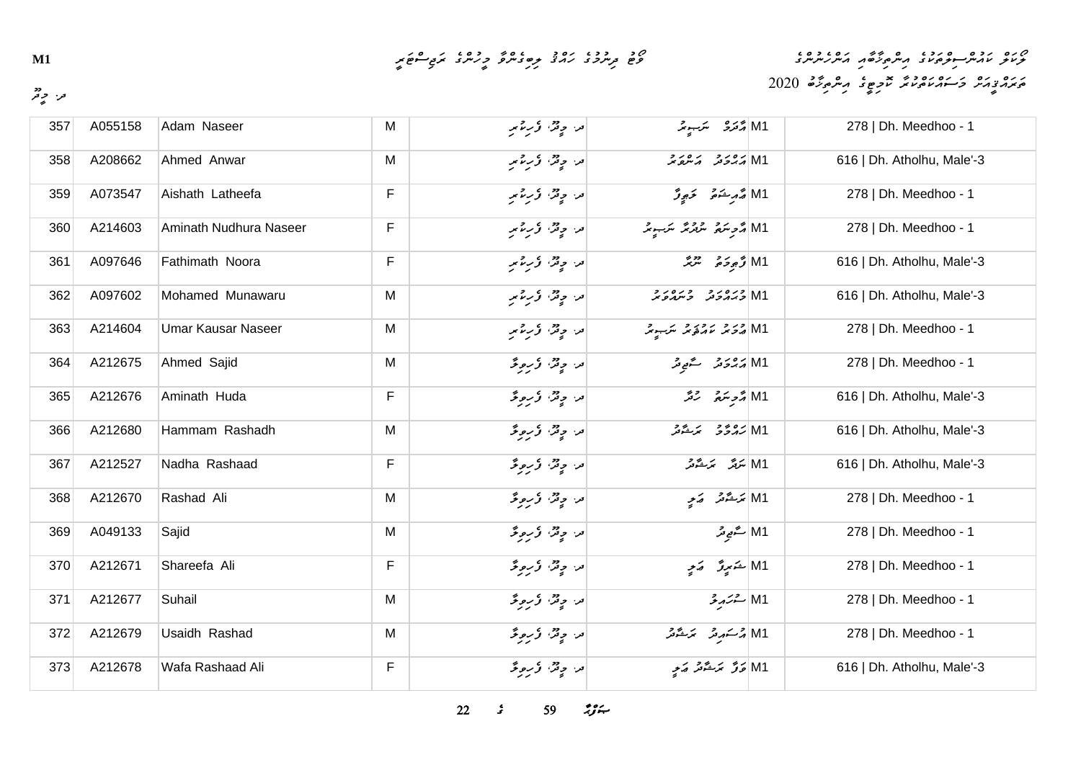*sCw7q7s5w7m< o<n9nOoAw7o< sCq;mAwBoEw7q<m; wBm;vB* م من المرة المرة المرة المرجع المرجع في المركبة 2020<br>مجم*د المريض المربوط المربع المرجع في المراجع المركبة* 

| 357 | A055158 | Adam Naseer               | M            | ىر. جەنئى، ئۇرىقمىر                          |                                          | 278   Dh. Meedhoo - 1      |
|-----|---------|---------------------------|--------------|----------------------------------------------|------------------------------------------|----------------------------|
| 358 | A208662 | Ahmed Anwar               | M            | اللا المحيض كرسر عمير                        | M1  الاجماد محمد المراجع محمد المراجع    | 616   Dh. Atholhu, Male'-3 |
| 359 | A073547 | Aishath Latheefa          | $\mathsf F$  | اللا المحيض كوسرة مر                         | M1 مَّ مِ شَمَّ حَمِّوتَر                | 278   Dh. Meedhoo - 1      |
| 360 | A214603 | Aminath Nudhura Naseer    | $\mathsf{F}$ | اللا الإقلاء كالرارثانين                     | M1 مَّ صِ مَعْ مِ مَرْمَدٌ مَرَسِوِ مِّر | 278   Dh. Meedhoo - 1      |
| 361 | A097646 | Fathimath Noora           | $\mathsf{F}$ | ىر. چ <sup>و</sup> گە، كەرم <sup>ە</sup> بىر | M1 رَّجِ دَحْمَ مَسْتَدَ                 | 616   Dh. Atholhu, Male'-3 |
| 362 | A097602 | Mohamed Munawaru          | M            | ىر. جەنئى، ئۇرىقمىر                          | M1 32022 32022                           | 616   Dh. Atholhu, Male'-3 |
| 363 | A214604 | <b>Umar Kausar Naseer</b> | M            | اللا الإقرار كوريائيل                        | M1 25 كەرگە كەرگە ئىر بىرىد              | 278   Dh. Meedhoo - 1      |
| 364 | A212675 | Ahmed Sajid               | M            | اللا المحيض كورونقى                          | M1 كەثرى قىر سىمبى قىر                   | 278   Dh. Meedhoo - 1      |
| 365 | A212676 | Aminath Huda              | F            | امر: وِثْنٌ کَرَمُونٌ                        | M1 ا <i>مَّ حِ سَعْہ حَ</i> مَّدَ        | 616   Dh. Atholhu, Male'-3 |
| 366 | A212680 | Hammam Rashadh            | M            | امر: وِثْنٌ کَرَمُونٌ                        | M1 كەرگە ئەرگەنگەنى                      | 616   Dh. Atholhu, Male'-3 |
| 367 | A212527 | Nadha Rashaad             | $\mathsf F$  | ىر. دېگر، ۋىرەتخ                             | M1 سَرْمَّر - مَرْشَ <sup>5</sup> مَر    | 616   Dh. Atholhu, Male'-3 |
| 368 | A212670 | Rashad Ali                | M            | ىر: جِنْزٌ، تَوَرِهِ تَرُ                    | M1 بَرَحْتَمَتْ   رَوِ                   | 278   Dh. Meedhoo - 1      |
| 369 | A049133 | Sajid                     | M            | ىر: جٍنْنٌ كَرَبُونٌ                         | M1 ڪوبوتر                                | 278   Dh. Meedhoo - 1      |
| 370 | A212671 | Shareefa Ali              | F            | ىر: جِنْزٌ، تَوَرِهِ تَرُ                    | M1 ڪيپو <i>ڙ مَ</i> ڇ                    | 278   Dh. Meedhoo - 1      |
| 371 | A212677 | Suhail                    | M            | ىر. دېگر، ۋىرەتخ                             | M1 لے ترم <i>ہ</i> تح                    | 278   Dh. Meedhoo - 1      |
| 372 | A212679 | Usaidh Rashad             | M            | امر: وِثْنٌ کَرَمُونٌ                        | M1   پر سَمبرِ تَرَ سَمَّتَرَ مَرَ       | 278   Dh. Meedhoo - 1      |
| 373 | A212678 | Wafa Rashaad Ali          | F            | ىر: جٍنْزٌ: تَوَرِّحَرٌ                      | M1 حَ تَى سَرْشَمْتْر صَعِي              | 616   Dh. Atholhu, Male'-3 |

*22 sC 59 nNw?mS*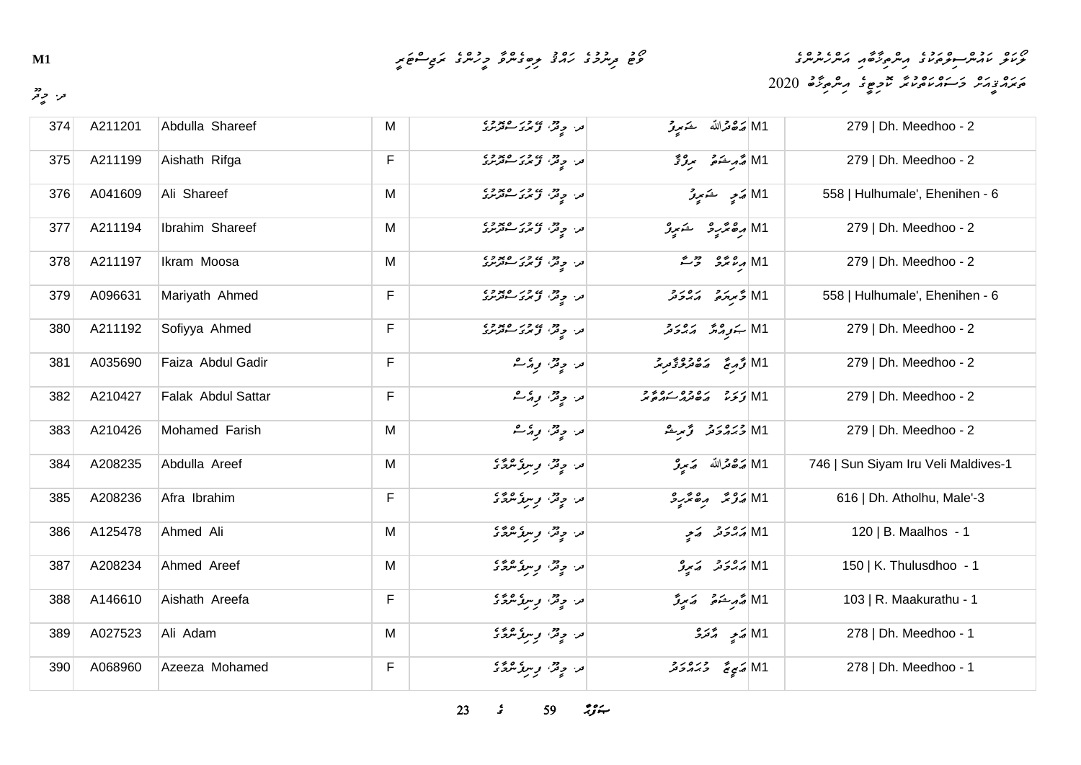*sCw7q7s5w7m< o<n9nOoAw7o< sCq;mAwBoEw7q<m; wBm;vB* م من المرة المرة المرة المرجع المرجع في المركبة 2020<br>مجم*د المريض المربوط المربع المرجع في المراجع المركبة* 

| 374 | A211201 | Abdulla Shareef    | M           |                                                               | M1 كەڭ قىراللە ھەمبوقر            | 279   Dh. Meedhoo - 2               |
|-----|---------|--------------------|-------------|---------------------------------------------------------------|-----------------------------------|-------------------------------------|
| 375 | A211199 | Aishath Rifga      | F           | ور حوالہ اور معدو ہ<br>اور حوالہ کو مرد سور <i>م</i> رد       | M1 مَگرمِشَمَّ سِرْتَزَ           | 279   Dh. Meedhoo - 2               |
| 376 | A041609 | Ali Shareef        | M           | ود ده ده در ۲۶ ورو د<br>در چار و تر دسوتر رو                  | M1 أَرَمِ شَمَيْرَ                | 558   Hulhumale', Ehenihen - 6      |
| 377 | A211194 | Ibrahim Shareef    | M           | ور - دو - در در ۲۶ ور د<br>در - در از کری - در در             | M1 مەھەرىپە ھەمبەتى               | 279   Dh. Meedhoo - 2               |
| 378 | A211197 | Ikram Moosa        | M           |                                                               | M1 مرعمة حقب حق                   | 279   Dh. Meedhoo - 2               |
| 379 | A096631 | Mariyath Ahmed     | $\mathsf F$ | ور دو در در ۲۵ ور در<br>در در تر گریمری سوتربری               | M1 جُمِيرَة حَمَدَ حَمَد          | 558   Hulhumale', Ehenihen - 6      |
| 380 | A211192 | Sofiyya Ahmed      | F           | ود ده در میروه<br>در چ <sup>و</sup> ر، توسری سوتر <i>بر</i> ی | M1 ج <i>وړهگە پروچ</i> وتر        | 279   Dh. Meedhoo - 2               |
| 381 | A035690 | Faiza Abdul Gadir  | $\mathsf F$ | امر، حيثر، وبمث                                               | M1 تَرْمِعٌ صَرْحَةَ مِرْمَرٌ     | 279   Dh. Meedhoo - 2               |
| 382 | A210427 | Falak Abdul Sattar | $\mathsf F$ | ىر. جەنئى، توم <sup>ى ھ</sup>                                 | M1 زَ دَ پَر ده ده بره د د        | 279   Dh. Meedhoo - 2               |
| 383 | A210426 | Mohamed Farish     | M           | امر. ویژ، وی م                                                | M1   ج. <i>جرو ج</i> ر تح برے     | 279   Dh. Meedhoo - 2               |
| 384 | A208235 | Abdulla Areef      | M           | ىر. چ <sup>ۈ</sup> ر، ت <sub>و</sub> سرىسرى ئ                 | M1 كەھ قىراللە     كەمبەتر        | 746   Sun Siyam Iru Veli Maldives-1 |
| 385 | A208236 | Afra Ibrahim       | F           | ىر. چ <sup>و</sup> ر، رسر مرد د                               | M1 <i>مَرْدْ بَرْ م</i> ُعْتَدِدْ | 616   Dh. Atholhu, Male'-3          |
| 386 | A125478 | Ahmed Ali          | M           | ىر. چ <sup>ور،</sup> ت <sub>و</sub> سرۇشۇڭى                   | M1 كەبۇ <i>15 كەي</i> ر           | 120   B. Maalhos - 1                |
| 387 | A208234 | Ahmed Areef        | M           | ىر. دەر بوسۇلىردۇ ئ                                           | M1 كەردى كەرگە كەر                | 150   K. Thulusdhoo - 1             |
| 388 | A146610 | Aishath Areefa     | $\mathsf F$ | ىر. دېگر، وسرگەنگەنگە                                         | M1 مَّەر شَەمَّة كَسَرْتَر        | 103   R. Maakurathu - 1             |
| 389 | A027523 | Ali Adam           | M           | ىر. چ <sup>ۈ</sup> ر، ت <sub>و</sub> سرىسرى ئ                 | M1 كەي گەترى                      | 278   Dh. Meedhoo - 1               |
| 390 | A068960 | Azeeza Mohamed     | F           | ىر. دېگر، وسرگەنگەنگە                                         | M1 كەيم قى ئەم ئەرىجى ئىل         | 278   Dh. Meedhoo - 1               |

*23 sC 59 nNw?mS*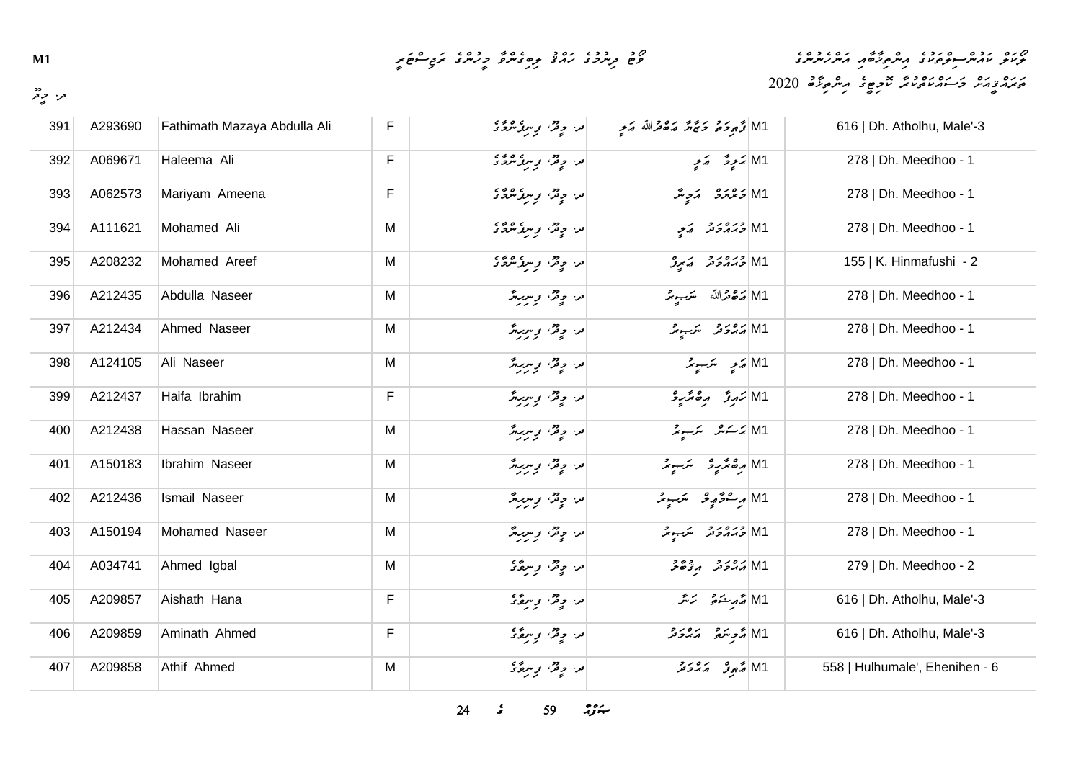*sCw7q7s5w7m< o<n9nOoAw7o< sCq;mAwBoEw7q<m; wBm;vB* م من المرة المرة المرة المرجع المرجع في المركبة 2020<br>مجم*د المريض المربوط المربع المرجع في المراجع المركبة* 

| 391 | A293690 | Fathimath Mazaya Abdulla Ali | $\mathsf F$ | در چینل وسرو مرکز و                         | M1 تَرْجِوحَةً حَيَّةً مَّهْ صَارَّاتَهُ صَعِي | 616   Dh. Atholhu, Male'-3     |
|-----|---------|------------------------------|-------------|---------------------------------------------|------------------------------------------------|--------------------------------|
| 392 | A069671 | Haleema Ali                  | $\mathsf F$ | ىر. چ <sup>و</sup> ر، وسرو مى <i>ج</i> ى    | M1  بَرْجِرَةٌ = مَرْجٍ                        | 278   Dh. Meedhoo - 1          |
| 393 | A062573 | Mariyam Ameena               | $\mathsf F$ | امر وثر وسر معدد                            | M1 كَرْيَرْدْ كَرَمِيْرْ                       | 278   Dh. Meedhoo - 1          |
| 394 | A111621 | Mohamed Ali                  | M           | ىر. چ <sup>و</sup> ش پ <sub>و</sub> سوڭلىرى | M1 دېم دېمر کم                                 | 278   Dh. Meedhoo - 1          |
| 395 | A208232 | Mohamed Areef                | M           | ىر. چ <sup>و</sup> چ، پەس <i>ۇ</i> سرچ      | M1 <i>5 ټر ۶ تر چې</i> رو                      | 155   K. Hinmafushi - 2        |
| 396 | A212435 | Abdulla Naseer               | M           | ان وِٽُن وِسِرِيزٌ                          | M1   رَحْمَدْاللّه مَرَسِوِيْر                 | 278   Dh. Meedhoo - 1          |
| 397 | A212434 | Ahmed Naseer                 | M           | ا در اولاد و سربرگر                         | M1 كەبرى قىر سىزىتىلىكى ئىستىدىكى M1           | 278   Dh. Meedhoo - 1          |
| 398 | A124105 | Ali Naseer                   | M           | اللا وفراء والرزائر                         | M1  رَمِ سَرَبِهِ تَرْ                         | 278   Dh. Meedhoo - 1          |
| 399 | A212437 | Haifa Ibrahim                | $\mathsf F$ | ا در اولاد و سربرگر                         | M1 <i>خەرق مەھتىپ</i> ۇ                        | 278   Dh. Meedhoo - 1          |
| 400 | A212438 | Hassan Naseer                | M           | ان وِٽُن وِسِرِيزٌ                          | M1   پرسک میں مترجہ تھ                         | 278   Dh. Meedhoo - 1          |
| 401 | A150183 | Ibrahim Naseer               | M           | ان وِٽُن وِسِرِيزٌ                          | M1 مەھەرىپە ھەسىر ئىككى ئىستىر ئىس             | 278   Dh. Meedhoo - 1          |
| 402 | A212436 | <b>Ismail Naseer</b>         | M           | ان وِقْرٌ، وِسْرِيرٌ                        | M1 مِرْ مُعَرَّمٍ فَرَ سَرَ مِرْ               | 278   Dh. Meedhoo - 1          |
| 403 | A150194 | Mohamed Naseer               | M           | اللا ويتن والرباش                           | M1 <i>ڈیز م</i> حقہ س <i>رجو پر</i>            | 278   Dh. Meedhoo - 1          |
| 404 | A034741 | Ahmed Igbal                  | M           | ىر. دېڭر، وسرگەنگ                           | M1 كەبرى قىر مەتىھ تى                          | 279   Dh. Meedhoo - 2          |
| 405 | A209857 | Aishath Hana                 | F           | امرا وقرا وسرة كا                           | M1 ۾ م شمھ ت <i>ي م</i> ٿر                     | 616   Dh. Atholhu, Male'-3     |
| 406 | A209859 | Aminath Ahmed                | $\mathsf F$ | د. دٍنْزٌ، وسرةٌ وَ                         | M1 گەجەتتىھ كەبمەد قىر                         | 616   Dh. Atholhu, Male'-3     |
| 407 | A209858 | Athif Ahmed                  | M           | د. دٍیْنٌ وِسِقَّۃٌ                         | M1 ۾ً <i>۾وڻ ה</i> مگرمتر                      | 558   Hulhumale', Ehenihen - 6 |

*24 sC 59 nNw?mS*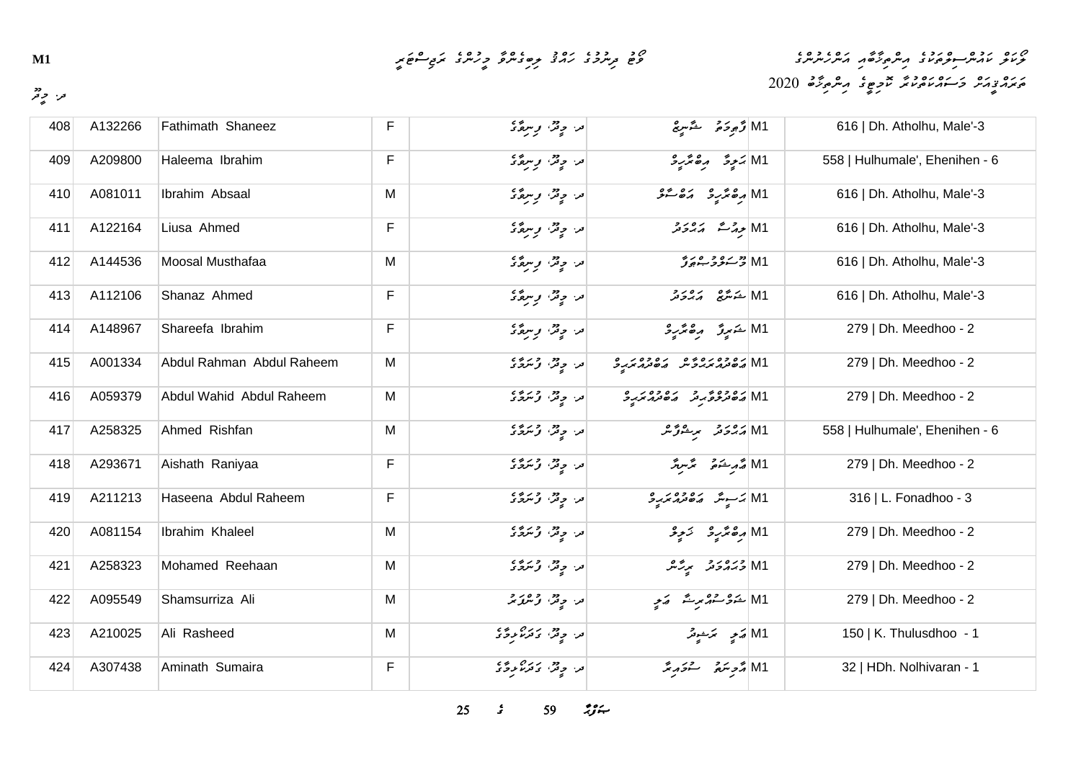*sCw7q7s5w7m< o<n9nOoAw7o< sCq;mAwBoEw7q<m; wBm;vB* م من المرة المرة المرة المرجع المرجع في المركبة 2020<br>مجم*د المريض المربوط المربع المرجع في المراجع المركبة* 

| 408 | A132266 | Fathimath Shaneez         | $\mathsf{F}$ | ىر. دېڭر، وسرگەك                      | M1 گَهِ <i>دَهْ</i> شَمْسِيْر           | 616   Dh. Atholhu, Male'-3     |
|-----|---------|---------------------------|--------------|---------------------------------------|-----------------------------------------|--------------------------------|
| 409 | A209800 | Haleema Ibrahim           | $\mathsf F$  | اللا وليمن وسرهاكا                    | M1 بَرْمٍوَّ مِنْ مِرْدِةِ              | 558   Hulhumale', Ehenihen - 6 |
| 410 | A081011 | Ibrahim Absaal            | M            | ىر. جەنئى، يەسقەت                     | M1 مەھەرىرى مەھ مەم                     | 616   Dh. Atholhu, Male'-3     |
| 411 | A122164 | Liusa Ahmed               | $\mathsf F$  | ىر. دېڭ وسۇڭ                          | M1 جەرمىشقە ئەيزىتىلىر                  | 616   Dh. Atholhu, Male'-3     |
| 412 | A144536 | Moosal Musthafaa          | M            | ىر. دېڭ وسۇڭ                          | M1 تۈشكە ئەم ئەتەر ئە                   | 616   Dh. Atholhu, Male'-3     |
| 413 | A112106 | Shanaz Ahmed              | $\mathsf F$  | د. وِثْرٌ، وِسِعْرٌ                   | M1 خەشھ كەبر <i>ە دى</i> ر              | 616   Dh. Atholhu, Male'-3     |
| 414 | A148967 | Shareefa Ibrahim          | $\mathsf F$  | ىر. چ <sup>ون</sup> ، پەس <i>ۇ</i> ك  | M1 ڪمبرڙ مگريگر                         | 279   Dh. Meedhoo - 2          |
| 415 | A001334 | Abdul Rahman Abdul Raheem | M            | من توفر المحرور وي                    | M1 <i>ב פרס ברית הסינ</i> ה בריב        | 279   Dh. Meedhoo - 2          |
| 416 | A059379 | Abdul Wahid Abdul Raheem  | M            | من برقرم و مرواه م                    | M1 <i>ה פיפי בפי ה פינה הקב</i>         | 279   Dh. Meedhoo - 2          |
| 417 | A258325 | Ahmed Rishfan             | M            | ىر. دۇر، ۋىردە،                       | M1 كەبرى قىر بىر يەر ئىر                | 558   Hulhumale', Ehenihen - 6 |
| 418 | A293671 | Aishath Raniyaa           | $\mathsf{F}$ | ىر. دۇر، ۋىرە ئ                       | M1 مَدْمِيسَة مِنْ مَدْسِدَّ            | 279   Dh. Meedhoo - 2          |
| 419 | A211213 | Haseena Abdul Raheem      | F            | ىر. دۇر، ۋىردە                        | M1 ئەسمىنگە ئەھ <i>ەرە ئەب</i> رى       | 316   L. Fonadhoo - 3          |
| 420 | A081154 | Ibrahim Khaleel           | M            | ىر. دەر. ۋىرە ئ                       | M1 پر <i>چ پڙڻ - ڏي</i> وگر             | 279   Dh. Meedhoo - 2          |
| 421 | A258323 | Mohamed Reehaan           | M            | ىر. دەر. ۋىرە ئ                       | M1  232,3% مرِدَّىْد                    | 279   Dh. Meedhoo - 2          |
| 422 | A095549 | Shamsurriza Ali           | M            | ىر. چ <sup>و</sup> چ، ئۇش <i>ۇ</i> تر | M1 خۇڭ مەمب <sup>ىگە</sup> كەم <u>و</u> | 279   Dh. Meedhoo - 2          |
| 423 | A210025 | Ali Rasheed               | M            | د. وفق ودره دوء                       | M1 <i>۾َ جِ</i> - سَرَشوش               | 150   K. Thulusdhoo - 1        |
| 424 | A307438 | Aminath Sumaira           | F            | تر، وفرس وترره وي                     | M1 مَحْرِسَمَعُ صَنْحَ مِثَّرَ          | 32   HDh. Nolhivaran - 1       |

*25 sC 59 nNw?mS*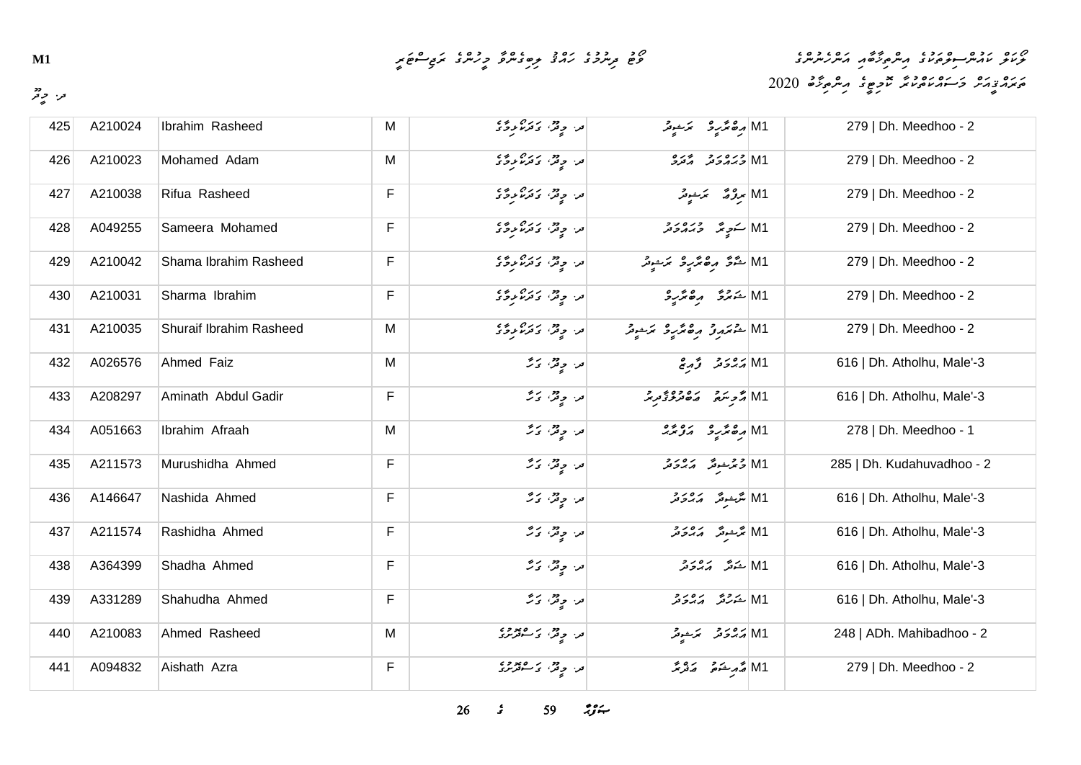*sCw7q7s5w7m< o<n9nOoAw7o< sCq;mAwBoEw7q<m; wBm;vB* م من المرة المرة المرة المرجع المرجع في المركبة 2020<br>مجم*د المريض المربوط المربع المرجع في المراجع المركبة* 

| 425 | A210024 | Ibrahim Rasheed         | M            | تر، وفرس وترره وي                         | M1 مەھەرىپە ھەمبەر بىر                           | 279   Dh. Meedhoo - 2      |
|-----|---------|-------------------------|--------------|-------------------------------------------|--------------------------------------------------|----------------------------|
| 426 | A210023 | Mohamed Adam            | M            | د. وقرص دره وي                            | M1 <i>32322 مح</i> مدة                           | 279   Dh. Meedhoo - 2      |
| 427 | A210038 | Rifua Rasheed           | $\mathsf F$  | لا وه روه وره ده                          | M1 بروگ برشوتر                                   | 279   Dh. Meedhoo - 2      |
| 428 | A049255 | Sameera Mohamed         | $\mathsf F$  | د. وفق ودره وه                            | M1  سَوِيمٌ    وَبَرُودَ تَرْ                    | 279   Dh. Meedhoo - 2      |
| 429 | A210042 | Shama Ibrahim Rasheed   | $\mathsf F$  | د. وفر، د دره و د                         | M1 شَرَّ رِصْتَرِ وَ تَرْشِيْتَر                 | 279   Dh. Meedhoo - 2      |
| 430 | A210031 | Sharma Ibrahim          | $\mathsf F$  | د. وقرص دره وي                            | M1 شەترى <sup>ق</sup> ە مەھە <i>ترى</i> رى       | 279   Dh. Meedhoo - 2      |
| 431 | A210035 | Shuraif Ibrahim Rasheed | M            | د. وقرص دره وي                            | M1 ڪمبرر و هري برڪو                              | 279   Dh. Meedhoo - 2      |
| 432 | A026576 | Ahmed Faiz              | M            | امر: حٍمْرٌ، وَكُرٌ                       | M1 كەشكەتقى ئۇمەنتى                              | 616   Dh. Atholhu, Male'-3 |
| 433 | A208297 | Aminath Abdul Gadir     | $\mathsf F$  | ىر، چ <sup>ە</sup> نى، ئەڭ                | M1 مَّ <i>جِينَهُ مَ</i> مَعْتَزَ جَرَّ بَرِيْرَ | 616   Dh. Atholhu, Male'-3 |
| 434 | A051663 | Ibrahim Afraah          | M            | مرا چينگار کارگ                           | M1 مەھەرىپە ئەرەپەيە                             | 278   Dh. Meedhoo - 1      |
| 435 | A211573 | Murushidha Ahmed        | $\mathsf F$  | ىر، ئەقش، ئەڭ                             | M1 كى ترىشىق كەبرى تىر                           | 285   Dh. Kudahuvadhoo - 2 |
| 436 | A146647 | Nashida Ahmed           | F            | مرا چين کار                               | M1 مَّرْسْبِعَّر     دَيْرَى قر                  | 616   Dh. Atholhu, Male'-3 |
| 437 | A211574 | Rashidha Ahmed          | $\mathsf F$  | مرا چين کار ح                             | M1 بَرْحْبِيْرِ     رَبْرُوَتْرُ                 | 616   Dh. Atholhu, Male'-3 |
| 438 | A364399 | Shadha Ahmed            | $\mathsf F$  | ىر، چ <sup>ەن</sup> كەڭ                   |                                                  | 616   Dh. Atholhu, Male'-3 |
| 439 | A331289 | Shahudha Ahmed          | $\mathsf{F}$ | امر: حٍفْرٌ، كَاثَرٌ                      | M1 خەرقۇ كەردىتى                                 | 616   Dh. Atholhu, Male'-3 |
| 440 | A210083 | Ahmed Rasheed           | M            | یں وقتی کا سطوری                          | M1 كەبۇكى كى سىزىقر                              | 248   ADh. Mahibadhoo - 2  |
| 441 | A094832 | Aishath Azra            | F            | تر، وفرس و مود و ،<br>تر، وفرس و سوتر پرو | M1 مەم شىم مەنىرىتىر                             | 279   Dh. Meedhoo - 2      |

*26 sC 59 nNw?mS*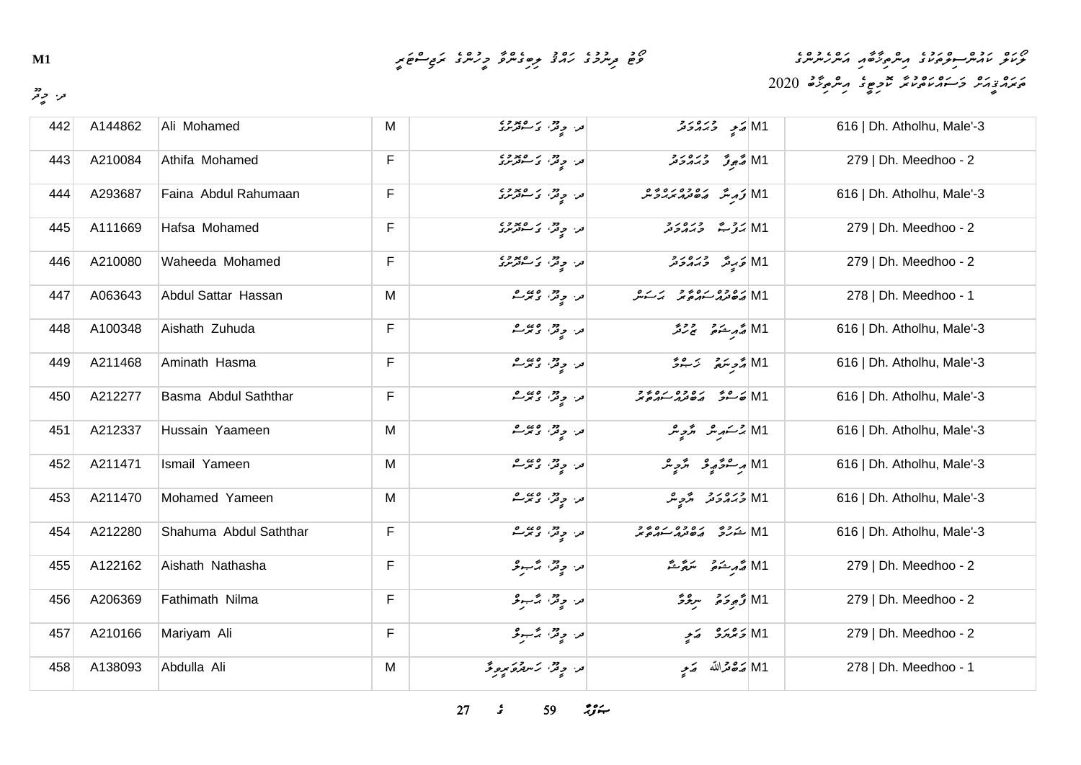*sCw7q7s5w7m< o<n9nOoAw7o< sCq;mAwBoEw7q<m; wBm;vB* م من المرة المرة المرة المرجع المرجع في المركبة 2020<br>مجم*د المريض المربوط المربع المرجع في المراجع المركبة* 

| 442 | A144862 | Ali Mohamed            | M            | اور المحصر المتحدوج<br>المراسم المحصر المحصوص | M1 كەبىر بەرگە ئار                         | 616   Dh. Atholhu, Male'-3 |
|-----|---------|------------------------|--------------|-----------------------------------------------|--------------------------------------------|----------------------------|
| 443 | A210084 | Athifa Mohamed         | F            | یں وقت کے سی دی۔<br>اس وقت کے سی مر           | M1 مَّ جورًا حَ بَرْ مَرَّ حَرَ            | 279   Dh. Meedhoo - 2      |
| 444 | A293687 | Faina Abdul Rahumaan   | F            | ا در اوجن او در ۲۵ وارد و د                   |                                            | 616   Dh. Atholhu, Male'-3 |
| 445 | A111669 | Hafsa Mohamed          | $\mathsf F$  | ور - دوم - راه برواه<br>اور المحافظ - د مورس  | M1 ئەتى ئەسىم ئەرەبىر                      | 279   Dh. Meedhoo - 2      |
| 446 | A210080 | Waheeda Mohamed        | $\mathsf F$  | یں وقتی کے سطوری                              | M1 كۆبەتتى ئەممىز ئەھرىتىلىردا ئىس         | 279   Dh. Meedhoo - 2      |
| 447 | A063643 | Abdul Sattar Hassan    | M            | ادر المحمد المحمد عليه المحمد                 | M1   ئەھەرگە ئەسىر ئەسكەنگە                | 278   Dh. Meedhoo - 1      |
| 448 | A100348 | Aishath Zuhuda         | $\mathsf F$  | ىر. چ <sup>ور</sup> ئەترىش                    | M1 مَگْرِمِسْتَمْعَى تَحْرَمْدَ            | 616   Dh. Atholhu, Male'-3 |
| 449 | A211468 | Aminath Hasma          | $\mathsf F$  | ىر. چەر، ئەترىسى                              | M1 مَّ حِسَمَةٌ تَ سِبْعَةٌ                | 616   Dh. Atholhu, Male'-3 |
| 450 | A212277 | Basma Abdul Saththar   | $\mathsf{F}$ | امر المحص وعده                                | M1 خ مشرق مەھ بىرە بور                     | 616   Dh. Atholhu, Male'-3 |
| 451 | A212337 | Hussain Yaameen        | M            | لا و ده وي ه                                  | M1 برڪوپر گروپر                            | 616   Dh. Atholhu, Male'-3 |
| 452 | A211471 | Ismail Yameen          | M            | ادر المحمد المحمد علي المحمد                  | M1 مرڪوگريو گر <i>چين</i> گر               | 616   Dh. Atholhu, Male'-3 |
| 453 | A211470 | Mohamed Yameen         | M            | ىر. چ <sup>وچ</sup> ە قەيمەت                  | M1   ج. بر جريبر   گرې پر                  | 616   Dh. Atholhu, Male'-3 |
| 454 | A212280 | Shahuma Abdul Saththar | $\mathsf F$  | ىر. چەر، ئەترىسى                              | M1 شرح ده ده بره در پر                     | 616   Dh. Atholhu, Male'-3 |
| 455 | A122162 | Aishath Nathasha       | $\mathsf F$  | امر: ﴿ فِيْنَ الْأَسِيلُونَ                   | M1 مَّ مِ شَمَّ مَتَّ مَّتَ اللَّهُ عَنْهُ | 279   Dh. Meedhoo - 2      |
| 456 | A206369 | Fathimath Nilma        | $\mathsf F$  | مرا چينل گرسونو                               | M1 تۇم <sub>ب</sub> وقە ئىبرىمى ئىل        | 279   Dh. Meedhoo - 2      |
| 457 | A210166 | Mariyam Ali            | $\mathsf F$  | ىر، بوقۇ، ئۇجۇ                                | M1 <i>5 پر پرو ک</i> ے پر                  | 279   Dh. Meedhoo - 2      |
| 458 | A138093 | Abdulla Ali            | M            | ىر. دولا، ئەسلەق برەڭ                         | M1 كەڭ قىراللە     كەمچ                    | 278   Dh. Meedhoo - 1      |

*27 sC 59 nNw?mS*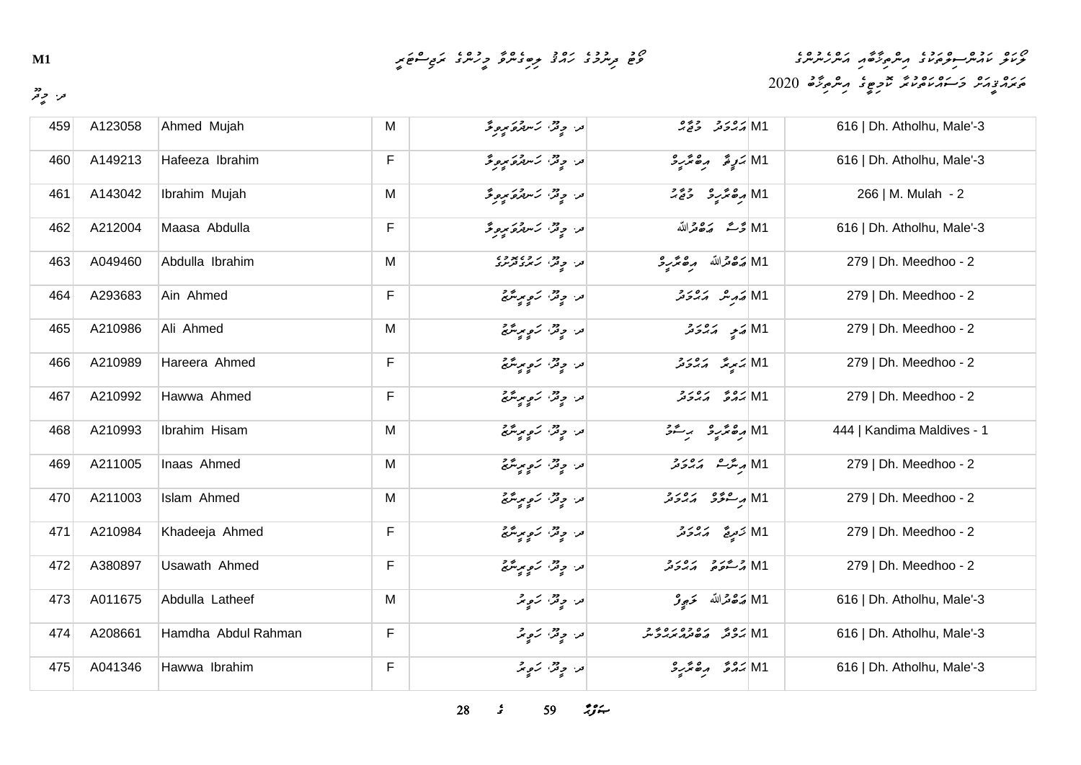*sCw7q7s5w7m< o<n9nOoAw7o< sCq;mAwBoEw7q<m; wBm;vB* م من المرة المرة المرة المرجع المرجع في المركبة 2020<br>مجم*د المريض المربوط المربع المرجع في المراجع المركبة* 

| 459 | A123058 | Ahmed Mujah         | M           | ىر. چ <sup>ور،</sup> ئەس <i>ترۇپرو</i> گ                  | M1 كەبرى قرىق بىر                        | 616   Dh. Atholhu, Male'-3 |
|-----|---------|---------------------|-------------|-----------------------------------------------------------|------------------------------------------|----------------------------|
| 460 | A149213 | Hafeeza Ibrahim     | $\mathsf F$ | ىر. چ <sup>ور،</sup> ئەس <i>ترەً برە</i> ئ                | M1 بَرَرٍ بُمَ     برڠ مَّرَرٍ دُّ       | 616   Dh. Atholhu, Male'-3 |
| 461 | A143042 | Ibrahim Mujah       | M           | ىر. دولا، ئەسلاھ برەڭ                                     | M1 مەھەر ئەھمىيە 3.5%                    | 266   M. Mulah - 2         |
| 462 | A212004 | Maasa Abdulla       | F           | ىر. دولا، ئەسلاھ برەڭ                                     | M1 حَرْجَۃ صَرَهُ مَّدَاللّه             | 616   Dh. Atholhu, Male'-3 |
| 463 | A049460 | Abdulla Ibrahim     | M           | ور - وور<br>ور - ج <sup>و</sup> گر، ار <i>بوری فرس</i> ری | M1   رَحْمَدْاللَّهُ مِنْ مَّرْبِ رَّ    | 279   Dh. Meedhoo - 2      |
| 464 | A293683 | Ain Ahmed           | $\mathsf F$ | ىر. چ <sup>و</sup> ڭ كېمپىتىنى                            | M1 <i>مَهِ شهر مَ</i> حومَد              | 279   Dh. Meedhoo - 2      |
| 465 | A210986 | Ali Ahmed           | M           | ىر. چ <sup>و</sup> ڭ كېمپېتىنى                            | M1 <i>مَرْحِي مَدْ</i> حَ <sup>و</sup> َ | 279   Dh. Meedhoo - 2      |
| 466 | A210989 | Hareera Ahmed       | $\mathsf F$ | ىر. چ <sup>و</sup> چ، ئەھ بېرىنگى                         | M1   يَرْمِدُّ   دَرْدَوْرُ              | 279   Dh. Meedhoo - 2      |
| 467 | A210992 | Hawwa Ahmed         | F           | ىر. چ <sup>و</sup> ر، ئەھمىدىكى                           | M1 بَرْدُوَّ   بَرُدْدَنْدِ              | 279   Dh. Meedhoo - 2      |
| 468 | A210993 | Ibrahim Hisam       | M           | ىر. چ <sup>و</sup> ڭ كېمپېتىنى                            | M1 رەئزىر ئىستىمى                        | 444   Kandima Maldives - 1 |
| 469 | A211005 | Inaas Ahmed         | M           | ىر. چ <sup>و</sup> ڭ كېمپىتىنى                            | M1 مەنگەشقە كەندىخەتىر                   | 279   Dh. Meedhoo - 2      |
| 470 | A211003 | Islam Ahmed         | M           | ىر. چ <sup>و</sup> ڭ كېمپېتىنى                            | M1 م شوتى كەن ئەرەپىر                    | 279   Dh. Meedhoo - 2      |
| 471 | A210984 | Khadeeja Ahmed      | $\mathsf F$ | ىر. چ <sup>و</sup> ڭ كېمپىتىنى                            | M1 زَمرِیَّ     رَرُدَ تَرُ              | 279   Dh. Meedhoo - 2      |
| 472 | A380897 | Usawath Ahmed       | $\mathsf F$ | ىر. چ <sup>و</sup> چ، ئەھ بېرىنگى                         | M1 پر محمد محمد ترديد                    | 279   Dh. Meedhoo - 2      |
| 473 | A011675 | Abdulla Latheef     | M           | ىر. چ <sup>و</sup> چ، كېمپر                               | M1 كَرْھْ مْرَاللَّهُ ۚ خَرْجِوْ لَ      | 616   Dh. Atholhu, Male'-3 |
| 474 | A208661 | Hamdha Abdul Rahman | $\mathsf F$ | ىر، چ <sup>ور</sup> ، ئەھ <sub>ي</sub> ىر                 | M1 ټرونگر پره <i>وه بره و</i> س          | 616   Dh. Atholhu, Male'-3 |
| 475 | A041346 | Hawwa Ibrahim       | F           | ىر. چەقتى، كەھمەتكە                                       | M1  بَرْدُعٌ مِنْ مُحْرَبِ دِّ           | 616   Dh. Atholhu, Male'-3 |

*28 sC 59 nNw?mS*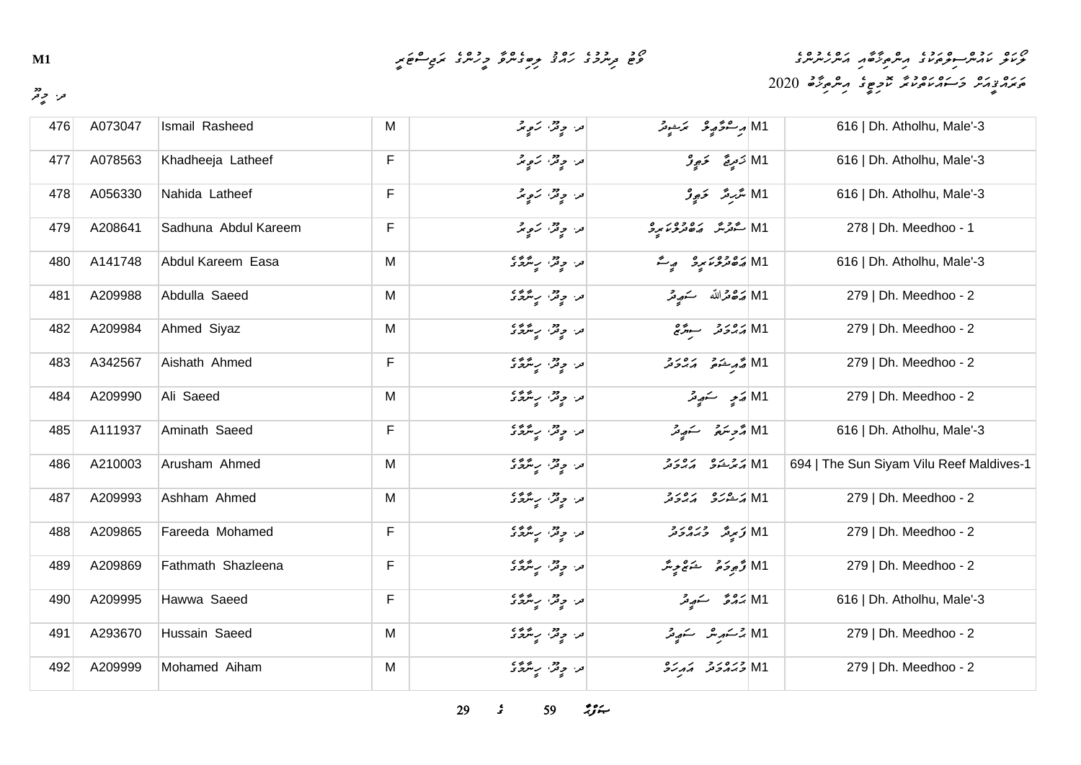*sCw7q7s5w7m< o<n9nOoAw7o< sCq;mAwBoEw7q<m; wBm;vB* م من المرة المرة المرة المرجع المرجع في المركبة 2020<br>مجم*د المريض المربوط المربع المرجع في المراجع المركبة* 

| 476 | A073047 | Ismail Rasheed       | M           | ىر. چ <sup>و</sup> چ، كېمپر               | M1 مِرْ سُمُوَّ مِرْ سَمَرْ مِرْ مِرْدِ مِرْ | 616   Dh. Atholhu, Male'-3               |
|-----|---------|----------------------|-------------|-------------------------------------------|----------------------------------------------|------------------------------------------|
| 477 | A078563 | Khadheeja Latheef    | F           | ىر. چ <sup>ور</sup> ، ئەھ <sub>ي</sub> ىر |                                              | 616   Dh. Atholhu, Male'-3               |
| 478 | A056330 | Nahida Latheef       | $\mathsf F$ | الله: حريقة: كَافِرِيقْرْ                 | M1 سَّربةً وَج <sub>و</sub> ثرَ              | 616   Dh. Atholhu, Male'-3               |
| 479 | A208641 | Sadhuna Abdul Kareem | $\mathsf F$ | ىر، چ <sup>و</sup> ڭ كېمىگە               | M1 گەترىتر بەھ ترىزىدىن ب                    | 278   Dh. Meedhoo - 1                    |
| 480 | A141748 | Abdul Kareem Easa    | M           | ىر. چەش سەھەتى                            | M1 <i>مَەقىۋىنى</i> رۇ ب <sub>ې</sub> ت      | 616   Dh. Atholhu, Male'-3               |
| 481 | A209988 | Abdulla Saeed        | M           | ىر. دېگر، رېترونو                         | M1 كەھەراللە كىھەتر                          | 279   Dh. Meedhoo - 2                    |
| 482 | A209984 | Ahmed Siyaz          | M           | ىر. چ <sup>ور</sup> ، پەنگەى              |                                              | 279   Dh. Meedhoo - 2                    |
| 483 | A342567 | Aishath Ahmed        | $\mathsf F$ | ىر. چەش سەھەتى                            | M1 مَّەرِ شَمَّعْ كَمَدْخَلْر                | 279   Dh. Meedhoo - 2                    |
| 484 | A209990 | Ali Saeed            | M           | ىر. دې رىگەن                              | M1 <i>مَہُجِ</i> سَم <i>یِ</i> تْر           | 279   Dh. Meedhoo - 2                    |
| 485 | A111937 | Aminath Saeed        | $\mathsf F$ | ىر. چ <sup>و</sup> چى سەھەتى              | M1 مَّ حِ سَمَعَ مَصَرِ مِنْ                 | 616   Dh. Atholhu, Male'-3               |
| 486 | A210003 | Arusham Ahmed        | M           | ىر. چ <sup>وش</sup> س <sup>ىر</sup> چە ئ  | M1 كەيمرىشكى كەم كەردىر                      | 694   The Sun Siyam Vilu Reef Maldives-1 |
| 487 | A209993 | Ashham Ahmed         | M           | ىر. دېگر، رېترونو                         | M1 كەشە <i>رە بەرەت</i> ر                    | 279   Dh. Meedhoo - 2                    |
| 488 | A209865 | Fareeda Mohamed      | $\mathsf F$ | ىر. چ <sup>ور</sup> ، سە <i>م</i> گە      | M1 كۆيەتمە ئەتەر ئەرىجەتر                    | 279   Dh. Meedhoo - 2                    |
| 489 | A209869 | Fathmath Shazleena   | $\mathsf F$ | ىر. دې رىگەن                              | M1   تَرْجِرَة حَمَدَ جَمَّحِيشَ             | 279   Dh. Meedhoo - 2                    |
| 490 | A209995 | Hawwa Saeed          | $\mathsf F$ | مر، چې په سرچ د                           | M1 بَرْدُعٌ مَــَم <i>ْدِ</i> نْد            | 616   Dh. Atholhu, Male'-3               |
| 491 | A293670 | Hussain Saeed        | M           | ىر. دې رىگەن                              | M1 پرستمبر سر سک <i>مب</i> ر تر              | 279   Dh. Meedhoo - 2                    |
| 492 | A209999 | Mohamed Aiham        | M           | مرا ۔ وِیْن کِسِرْدُ دُ                   | M1  <i>32,252 مَدِيَ</i> ر                   | 279   Dh. Meedhoo - 2                    |

*29 sC 59 nNw?mS*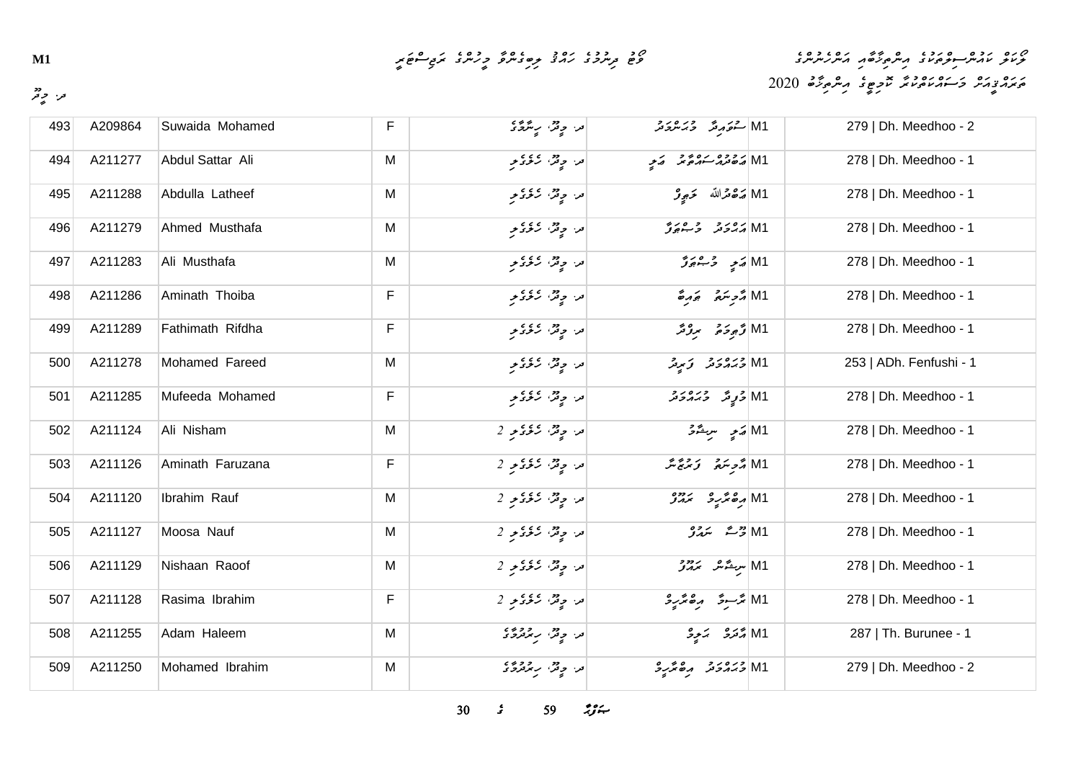*sCw7q7s5w7m< o<n9nOoAw7o< sCq;mAwBoEw7q<m; wBm;vB* م من المرة المرة المرة المرجع المرجع في المركبة 2020<br>مجم*د المريض المربوط المربع المرجع في المراجع المركبة* 

| 493 | A209864 | Suwaida Mohamed  | $\mathsf F$ | مرا چوټش سپر شرکته کا          | M1  ستموّر موته ترسمبر تركيبر من المسلم الس | 279   Dh. Meedhoo - 2   |
|-----|---------|------------------|-------------|--------------------------------|---------------------------------------------|-------------------------|
| 494 | A211277 | Abdul Sattar Ali | M           | مرا ۔ وِگْرٌ، گَرَوْگُرُ مِ    | M1 <i>مەھەرە مەدە مەي</i>                   | 278   Dh. Meedhoo - 1   |
| 495 | A211288 | Abdulla Latheef  | M           | ىر، چ <sup>ەر م</sup> ەندىنى   |                                             | 278   Dh. Meedhoo - 1   |
| 496 | A211279 | Ahmed Musthafa   | M           | مرا ۔ وِقْرُ الرَّجْرَ مِ      | M1 كەبرو قەسىمى ق                           | 278   Dh. Meedhoo - 1   |
| 497 | A211283 | Ali Musthafa     | M           | ىر. دېگر، كەنگەمى              | M1 <i>ڇَجِ - ڇُ-جوَڻَ</i>                   | 278   Dh. Meedhoo - 1   |
| 498 | A211286 | Aminath Thoiba   | $\mathsf F$ | ىر. دېگر، گەنگەنو              | M1 مُتصِبَعُو بِمَدِيثًا                    | 278   Dh. Meedhoo - 1   |
| 499 | A211289 | Fathimath Rifdha | F           | ىر. دېگر، كەنگەمى              | M1 <i>وَّج</i> وحَمَّ سِرُوْمَّر            | 278   Dh. Meedhoo - 1   |
| 500 | A211278 | Mohamed Fareed   | M           | ىر. دېگر، ئىقمىقى              | M1  <i>3223 ق تومي</i> تر                   | 253   ADh. Fenfushi - 1 |
| 501 | A211285 | Mufeeda Mohamed  | $\mathsf F$ | مرا وِفْرٌ، رُوُوُمِ           | M1 تَحْرِيمٌ - تَرَ يَرُوتَرُ -             | 278   Dh. Meedhoo - 1   |
| 502 | A211124 | Ali Nisham       | M           | ىر. چ <sup>و</sup> ش ئىۋەنچە 2 | M1 كەي سىشىمى                               | 278   Dh. Meedhoo - 1   |
| 503 | A211126 | Aminath Faruzana | $\mathsf F$ | ىر. چ <sup>و</sup> ش ئىۋەنچە 2 | M1 گەجەنىدى ئەسىمىتىگىر                     | 278   Dh. Meedhoo - 1   |
| 504 | A211120 | Ibrahim Rauf     | M           | د. دٍیْرٌ، رَوَءٌ دِ 2         | M1 <sub>مر</sub> ھ پڑے محمد ز               | 278   Dh. Meedhoo - 1   |
| 505 | A211127 | Moosa Nauf       | M           | مرا وفق رووم 2                 | M1 چې پنړو                                  | 278   Dh. Meedhoo - 1   |
| 506 | A211129 | Nishaan Raoof    | M           | مرا وفق رووم 2                 | M1 سريڪ مر سرچر تر                          | 278   Dh. Meedhoo - 1   |
| 507 | A211128 | Rasima Ibrahim   | $\mathsf F$ | قرا وفق ريحي و 2               | M1 بَرْسِرَةً مِنْ مِرْبِرْدَ               | 278   Dh. Meedhoo - 1   |
| 508 | A211255 | Adam Haleem      | M           | در پارچی با بروژه د            | M1  المحترى    پرىۋ                         | 287   Th. Burunee - 1   |
| 509 | A211250 | Mohamed Ibrahim  | M           | د. دٍیْرٌ، رِبُرُورٌوَی        | M1 <i>وُبَهُ وَبَدْ مِهْ مُ</i> رِدُّ       | 279   Dh. Meedhoo - 2   |

**30** *s* **59** *n***<sub>s</sub>**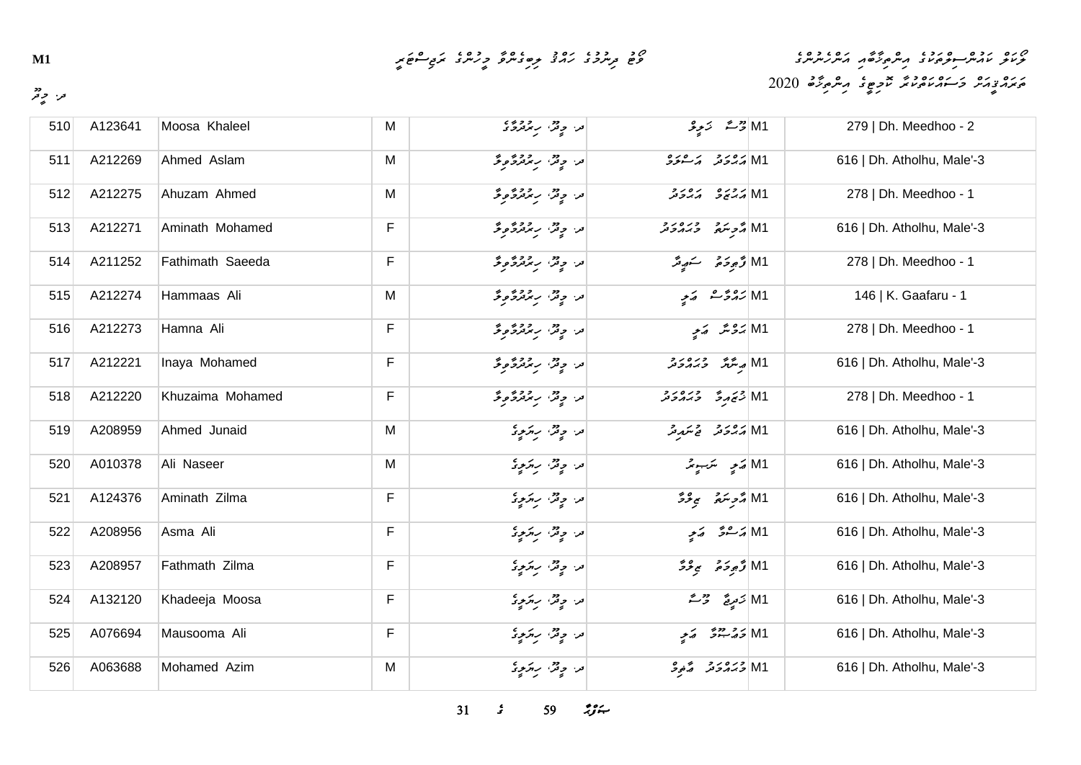*sCw7q7s5w7m< o<n9nOoAw7o< sCq;mAwBoEw7q<m; wBm;vB* م من المرة المرة المرة المرجع المرجع في المركبة 2020<br>مجم*د المريض المربوط المربع المرجع في المراجع المركبة* 

| 510 | A123641 | Moosa Khaleel    | M           | تر، وقرأ، ريزترون                | M1 تۇش تەيدۇ                               | 279   Dh. Meedhoo - 2      |
|-----|---------|------------------|-------------|----------------------------------|--------------------------------------------|----------------------------|
| 511 | A212269 | Ahmed Aslam      | M           | ىر. چ <sup>و</sup> ر، سىرىردگونگ | M1 كەبرىق كەشى <i>رە</i>                   | 616   Dh. Atholhu, Male'-3 |
| 512 | A212275 | Ahuzam Ahmed     | M           | ىر. دېگە رىزىردۇرۇ               | M1 <i>ה ب</i> حو م بره بر د                | 278   Dh. Meedhoo - 1      |
| 513 | A212271 | Aminath Mohamed  | $\mathsf F$ | ىر. دېگە رىزىردۇرۇ               | M1 مَّ حِسَمَةٌ حَمَدَ مَدَّ مَد           | 616   Dh. Atholhu, Male'-3 |
| 514 | A211252 | Fathimath Saeeda | F           | ىر. دەر روزۇغ                    | M1 ۇج <sub>و</sub> ىئ ئىرىگە               | 278   Dh. Meedhoo - 1      |
| 515 | A212274 | Hammaas Ali      | M           | ىر. دېگە رىرترۇپۇ                | M1 كەچ جۇ ھەمبە                            | 146   K. Gaafaru - 1       |
| 516 | A212273 | Hamna Ali        | $\mathsf F$ | ىر. دېگە رىزىردۇرۇ               | M1   پَدُمَّر کَرِ مِ                      | 278   Dh. Meedhoo - 1      |
| 517 | A212221 | Inaya Mohamed    | $\mathsf F$ | ىر. دېگە رىزىردۇرۇ               | M1 مِتَرَمَّرَ حَبَّدَوَمَر                | 616   Dh. Atholhu, Male'-3 |
| 518 | A212220 | Khuzaima Mohamed | F           | د. دٍنْزٌ، رِبْرُ دُرُوُ وِبُرٌ  | M1  تَەَمِرَةً كَ <sup>م</sup> ُدَمَّدَتْر | 278   Dh. Meedhoo - 1      |
| 519 | A208959 | Ahmed Junaid     | M           | تر، وفرش سرکرونگی                | M1 كەبرى قى ئىر قىلىدىنى M1                | 616   Dh. Atholhu, Male'-3 |
| 520 | A010378 | Ali Naseer       | M           | ىر. دېگر، سەكرىكى                | M1   رَمِ سَرَبِهِ تَر                     | 616   Dh. Atholhu, Male'-3 |
| 521 | A124376 | Aminath Zilma    | $\mathsf F$ | د. دوله، روزولا                  | M1 مَّحِسَمَ بِحَرَّ                       | 616   Dh. Atholhu, Male'-3 |
| 522 | A208956 | Asma Ali         | $\mathsf F$ | ىر، چ <sup>و</sup> چ، سەكرچەكى   | M1  پرکسی که پر                            | 616   Dh. Atholhu, Male'-3 |
| 523 | A208957 | Fathmath Zilma   | $\mathsf F$ | در وفرس برکرد کا                 | M1 تَ <i>جِ حَ حَمَّ</i> بِحَرَّمَ         | 616   Dh. Atholhu, Male'-3 |
| 524 | A132120 | Khadeeja Moosa   | $\mathsf F$ | ىر، چ <sup>و</sup> چ، سەكرچەكى   | M1   زَمِرِيحٌ     تَرْ ثُرُ               | 616   Dh. Atholhu, Male'-3 |
| 525 | A076694 | Mausooma Ali     | $\mathsf F$ | امر: حويش سرمز مورد              | M1 خەمبىق كەم                              | 616   Dh. Atholhu, Male'-3 |
| 526 | A063688 | Mohamed Azim     | M           | امرا جي محمد سركر ديم            | M1 <i>5 برو 5 و پر و</i> گ                 | 616   Dh. Atholhu, Male'-3 |

*31 <i>s 59 <i>n*<sub>x</sub>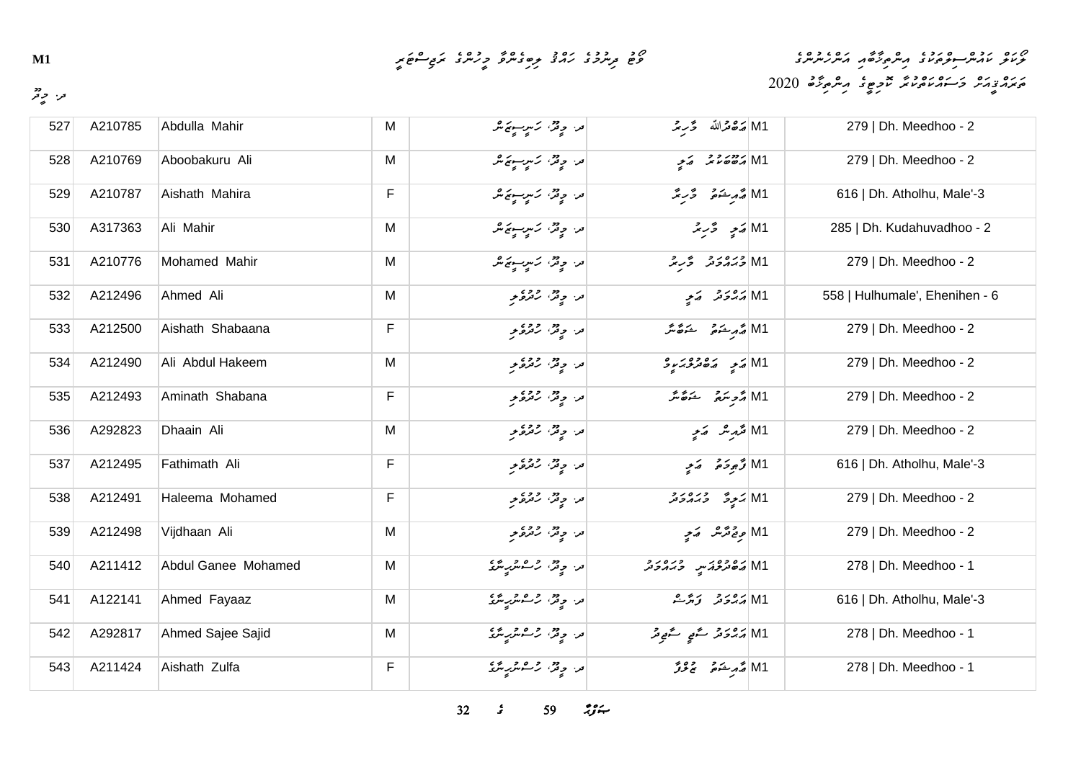*sCw7q7s5w7m< o<n9nOoAw7o< sCq;mAwBoEw7q<m; wBm;vB* م من المرة المرة المرة المرجع المرجع في المركبة 2020<br>مجم*د المريض المربوط المربع المرجع في المراجع المركبة* 

| 527 | A210785 | Abdulla Mahir       | M            | ىر. بوقۇ، كەيرىسىھەش            | M1 كَەھەراللە ئەرىمە                | 279   Dh. Meedhoo - 2          |
|-----|---------|---------------------|--------------|---------------------------------|-------------------------------------|--------------------------------|
| 528 | A210769 | Aboobakuru Ali      | M            | ىر. چەش كەيرىسىيە ئىر           | M1 ر <i>ەھەمىرى م</i> ېر            | 279   Dh. Meedhoo - 2          |
| 529 | A210787 | Aishath Mahira      | $\mathsf{F}$ | ىر. بوقر، كەيرىسىمىر            | M1 مَگْرِمِسْتَعْرِ _ مُحْرِمَدٌ _  | 616   Dh. Atholhu, Male'-3     |
| 530 | A317363 | Ali Mahir           | M            | ىر. بوقۇ، كەيرىسىمىگە           | M1  رَ <sub>ّحِي</sub> _ وَرِ بَرْ  | 285   Dh. Kudahuvadhoo - 2     |
| 531 | A210776 | Mohamed Mahir       | M            | ىر. چ <sup>ور،</sup> كەيرىسىمگر | M1 دېزو دي. د گريز                  | 279   Dh. Meedhoo - 2          |
| 532 | A212496 | Ahmed Ali           | M            | ىر. جەنئى ئەترەكمىي             | M1 كەبۇ <i>قەر كەي</i>              | 558   Hulhumale', Ehenihen - 6 |
| 533 | A212500 | Aishath Shabaana    | F            | ىر. دېڭر، روزې د                | M1 مَّ مِ شَمَّ شَمَّ مَّر          | 279   Dh. Meedhoo - 2          |
| 534 | A212490 | Ali Abdul Hakeem    | M            | ىر. چ <sup>وم</sup> ، شەھرىي    | M1 <i>مَج مَـ مُعَمَّرْ مَدِ</i> ءٌ | 279   Dh. Meedhoo - 2          |
| 535 | A212493 | Aminath Shabana     | $\mathsf{F}$ | ىر. چ <sup>ەن</sup> رومۇم       | M1 مَّ حِ سَمَّ صَنَّصَبَّر         | 279   Dh. Meedhoo - 2          |
| 536 | A292823 | Dhaain Ali          | M            | تر. وِيْرُ، رُتْرُوَمِ          | M1 مَثْهِ بِشَرِ صَعِي              | 279   Dh. Meedhoo - 2          |
| 537 | A212495 | Fathimath Ali       | $\mathsf{F}$ | ىر. جەنئى ئەترەكمىي             | M1 <i>وَّجِ حَقَّ ضَعٍ</i>          | 616   Dh. Atholhu, Male'-3     |
| 538 | A212491 | Haleema Mohamed     | $\mathsf{F}$ | ىر. چ <sup>و</sup> چ، رقبۇغ     | M1 بَرَجِرَةٌ وَبَرَهُ وَتَدْ       | 279   Dh. Meedhoo - 2          |
| 539 | A212498 | Vijdhaan Ali        | M            | ىر. دېڭر، روزې د                | M1 موقے مَّرْش صَعِي                | 279   Dh. Meedhoo - 2          |
| 540 | A211412 | Abdul Ganee Mohamed | M            | ىر. بوقر، راسىمرىرىدى           | M1 בֿילינגליתֶ 25,000 (             | 278   Dh. Meedhoo - 1          |
| 541 | A122141 | Ahmed Fayaaz        | M            | ىن جەنئە رقسەمرىيەتنى           | M1 كەبرى قىر ئەرگەن بىر             | 616   Dh. Atholhu, Male'-3     |
| 542 | A292817 | Ahmed Sajee Sajid   | M            | ىن جەنئە رقسەمرىيەتنى           | M1 كەندى قىرىگە بەر سىستە يەر M1    | 278   Dh. Meedhoo - 1          |
| 543 | A211424 | Aishath Zulfa       | $\mathsf F$  | ىر. بەقتى، ئەسىھەر ئىگە         | M1 مُەمشەم ت <sub>ى</sub> ئوتى      | 278   Dh. Meedhoo - 1          |

**32** *s* **59** *n***<sub>s</sub>***n***<sub>s</sub>**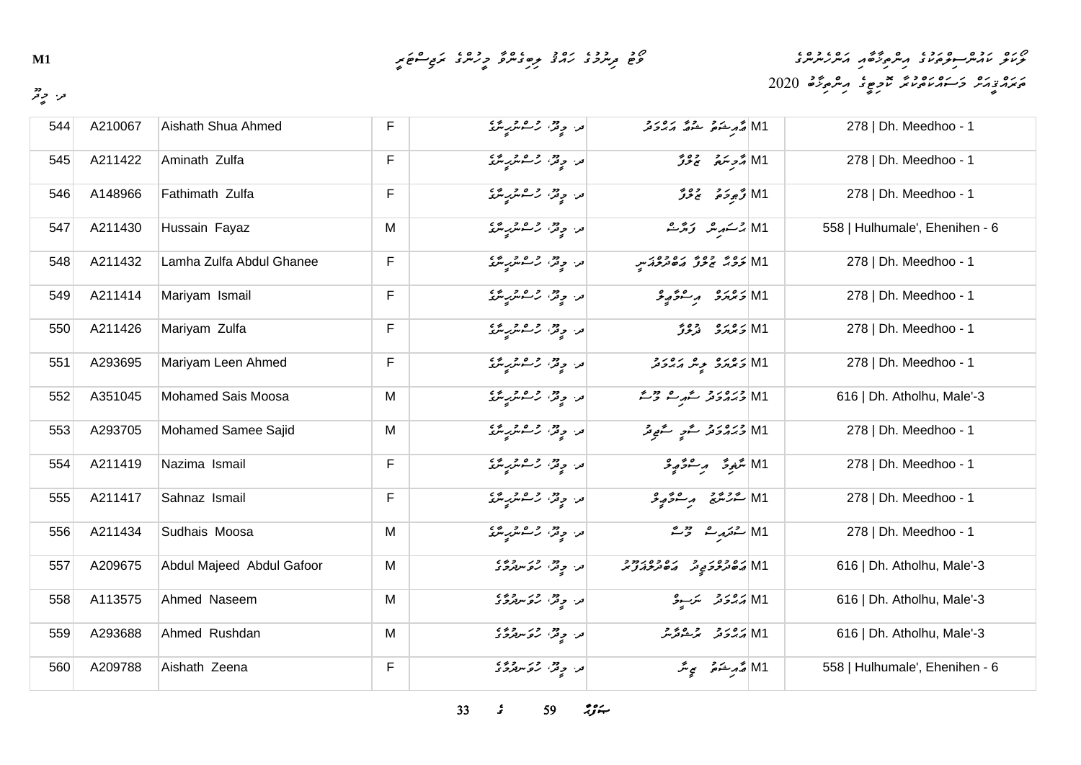*sCw7q7s5w7m< o<n9nOoAw7o< sCq;mAwBoEw7q<m; wBm;vB* م من المرة المرة المرة المرجع المرجع في المركبة 2020<br>مجم*د المريض المربوط المربع المرجع في المراجع المركبة* 

| 544 | A210067 | Aishath Shua Ahmed        | $\mathsf F$  | ىر. جۇنى ئەسكىتىرىشى        | M1 مَّ مِ شَمَّ صَمَّ مَ يَرْوَسَ     | 278   Dh. Meedhoo - 1          |
|-----|---------|---------------------------|--------------|-----------------------------|---------------------------------------|--------------------------------|
| 545 | A211422 | Aminath Zulfa             | F            | ىر. بوقر، ئەسەمرىرىدى       | M1 مُتَّحِبَّتَهُ بِمَحْرَّزَ         | 278   Dh. Meedhoo - 1          |
| 546 | A148966 | Fathimath Zulfa           | $\mathsf F$  | ىر. جەنئە راسىمىترىدىگە     | M1 تَ <i>جِ حَقَّ</i> بِحَوْثَرَ      | 278   Dh. Meedhoo - 1          |
| 547 | A211430 | Hussain Fayaz             | M            | ىر. جەنئە رىسىدىرىدى        | M1 پرستمبر ترتژ شه                    | 558   Hulhumale', Ehenihen - 6 |
| 548 | A211432 | Lamha Zulfa Abdul Ghanee  | $\mathsf F$  | الله المحيض الرحم من المريض | M1 خَرْجَةَ بِحَرْثَ مَا صَّرْحْهُ سِ | 278   Dh. Meedhoo - 1          |
| 549 | A211414 | Mariyam Ismail            | $\mathsf F$  | ىر. بوقر، راسىمىر بىرى      | M1 كەبەيرى بەر شۇرېدى                 | 278   Dh. Meedhoo - 1          |
| 550 | A211426 | Mariyam Zulfa             | $\mathsf{F}$ | ىر. بوقر، راسىمىر بىرى      | M1 كۆيرى قرىزىگى                      | 278   Dh. Meedhoo - 1          |
| 551 | A293695 | Mariyam Leen Ahmed        | $\mathsf F$  | ىن جەنئە رقسەمرىيەتنى       | M1 كالمرتكز و مركز كالروسر            | 278   Dh. Meedhoo - 1          |
| 552 | A351045 | <b>Mohamed Sais Moosa</b> | M            | ىر. جەنئە رىسىدىرىدى        | M1 دېرو دور گرم ده ده ش               | 616   Dh. Atholhu, Male'-3     |
| 553 | A293705 | Mohamed Samee Sajid       | M            | ىن جەنئە رقسەمرىيەتنى       | M1 ق <i>55555 سگو</i> سگھوتر          | 278   Dh. Meedhoo - 1          |
| 554 | A211419 | Nazima Ismail             | $\mathsf F$  | ىر. چەش شەھەر ئىگە          | M1 مَنْبِوَدَ - مِـــْوَّمِيْدَ       | 278   Dh. Meedhoo - 1          |
| 555 | A211417 | Sahnaz Ismail             | F            | ىر. جەنئە راسىمىترىدىگە     | M1 گەنىڭ مەشۇر ئو                     | 278   Dh. Meedhoo - 1          |
| 556 | A211434 | Sudhais Moosa             | M            | ىر. جەنئە راسىمىترىدىگە     | M1 شترم شده حق                        | 278   Dh. Meedhoo - 1          |
| 557 | A209675 | Abdul Majeed Abdul Gafoor | M            | امر ۔ وفرا ار دور           | M1 رەم دەر بەر دەرەد دەردە د          | 616   Dh. Atholhu, Male'-3     |
| 558 | A113575 | Ahmed Naseem              | M            | ى دەپى ئەھلىردە             | M1   پر برجہ تھ سور بھی               | 616   Dh. Atholhu, Male'-3     |
| 559 | A293688 | Ahmed Rushdan             | M            | ى دەپ ئەسىردە               | M1 كەبرى بىر بور يەر بىر كەنتىر بىر   | 616   Dh. Atholhu, Male'-3     |
| 560 | A209788 | Aishath Zeena             | F            | تر. دوره رقم سروره و        | M1 ۾ پرختمو سمي پڻر                   | 558   Hulhumale', Ehenihen - 6 |

**33** *s* **59** *n***<sub>y</sub> <b>***n*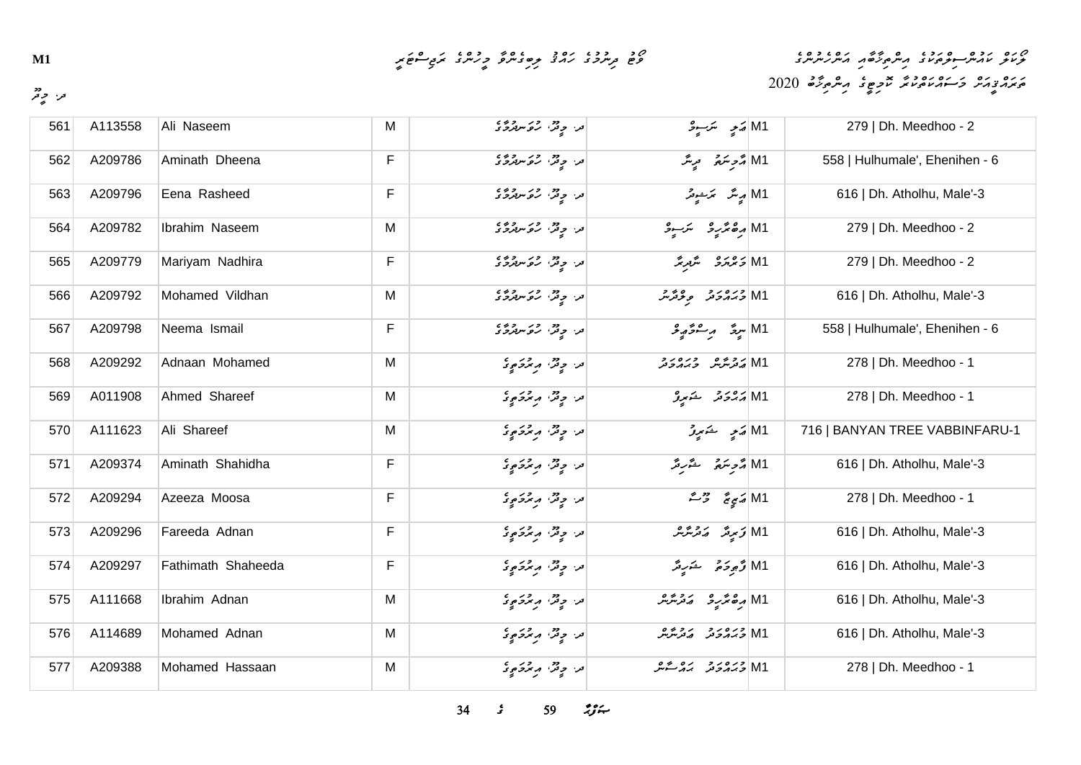*sCw7q7s5w7m< o<n9nOoAw7o< sCq;mAwBoEw7q<m; wBm;vB* م من المرة المرة المرة المرجع المرجع في المركبة 2020<br>مجم*د المريض المربوط المربع المرجع في المراجع المركبة* 

| 561 | A113558 | Ali Naseem         | M            | ىر. دەر. رەكىس دەر                           | M1   رَمِ _ سَرَسِودُ                | 279   Dh. Meedhoo - 2          |
|-----|---------|--------------------|--------------|----------------------------------------------|--------------------------------------|--------------------------------|
| 562 | A209786 | Aminath Dheena     | F            | تر: وِتْرٌ، رُوَسْتِرُوَى                    | M1 مَّرِسَمَّ مِیسَّ                 | 558   Hulhumale', Ehenihen - 6 |
| 563 | A209796 | Eena Rasheed       | $\mathsf F$  | تر. وفرا روسورو،                             | M1 مریٹر کمرحوفر                     | 616   Dh. Atholhu, Male'-3     |
| 564 | A209782 | Ibrahim Naseem     | M            | تر. وِتْرُ، رُوَسِيْرُوَى                    | M1 مەھمگىر ئىسىمىسى ئىسىمىتى كىل     | 279   Dh. Meedhoo - 2          |
| 565 | A209779 | Mariyam Nadhira    | $\mathsf F$  | تر. وفرا روسورو،                             | M1 كەبىرىرى سىھىرىتى                 | 279   Dh. Meedhoo - 2          |
| 566 | A209792 | Mohamed Vildhan    | M            | تر. وفرا روسورو،                             | M1 <i>ڈبزہ دی و</i> قومتر            | 616   Dh. Atholhu, Male'-3     |
| 567 | A209798 | Neema Ismail       | F            | تر: وِتْرٌ، رُوَسْتِرُوَى                    | M1 بىرق بەر شۇر ئو                   | 558   Hulhumale', Ehenihen - 6 |
| 568 | A209292 | Adnaan Mohamed     | M            | ىر. ج <sup>ەن</sup> ز، مەنزۈم <sub>ۇ</sub> ئ | M1 كەنگەش قەيرە بەر قىر              | 278   Dh. Meedhoo - 1          |
| 569 | A011908 | Ahmed Shareef      | M            | ىر. چ <sup>و</sup> ر، مەنگەم ئ               | M1 كەردى ھەمبەتى                     | 278   Dh. Meedhoo - 1          |
| 570 | A111623 | Ali Shareef        | M            | ىر. ج <sup>ەن</sup> ز، مەنزۈم <sub>ۇ</sub> ئ | M1 كەمچە سىمىيەتى                    | 716   BANYAN TREE VABBINFARU-1 |
| 571 | A209374 | Aminath Shahidha   | $\mathsf F$  | ىر. چ <sup>و</sup> گر، م <i>ېڭىۋە</i> ي      | M1 مَرْحِبَنَ هُمْ سُنَّدِينَّهُ     | 616   Dh. Atholhu, Male'-3     |
| 572 | A209294 | Azeeza Moosa       | $\mathsf F$  | ىر. ج <sup>ەن</sup> ز، مەنزۈم <sub>ۇ</sub> ئ | M1   رَبِيءَ حَرْثَهُ                | 278   Dh. Meedhoo - 1          |
| 573 | A209296 | Fareeda Adnan      | $\mathsf F$  | ىر. چ <sup>و</sup> ر، مەنگەم ئ               | M1 كۆمىيەتى <i>گە كەنتى تىگ</i> ىتىر | 616   Dh. Atholhu, Male'-3     |
| 574 | A209297 | Fathimath Shaheeda | $\mathsf{F}$ | ىر. چ <sup>و</sup> ر، مەنگەم ئ               | M1 تَرْجِرَة حَمَّدٍ شَرْبَتَر       | 616   Dh. Atholhu, Male'-3     |
| 575 | A111668 | Ibrahim Adnan      | M            | ىر. چ <sup>و</sup> ر، مەنگەم ئ               | M1 مەھەرىرى ھەر ئىرىدىلىك            | 616   Dh. Atholhu, Male'-3     |
| 576 | A114689 | Mohamed Adnan      | M            | ىر. چ <sup>و</sup> گر، م <i>ەڭ ھ</i> وڭ      | M1 <i>ۋېزەر دە مەقرىترىتر</i>        | 616   Dh. Atholhu, Male'-3     |
| 577 | A209388 | Mohamed Hassaan    | M            | ىر. چ <sup>و</sup> ر، م <i>ېرگو</i> چ        | M1 <i>جەن ھەرەسى</i> ئەرگەش          | 278   Dh. Meedhoo - 1          |

**34** *s* **59** *n***<sub>s</sub>**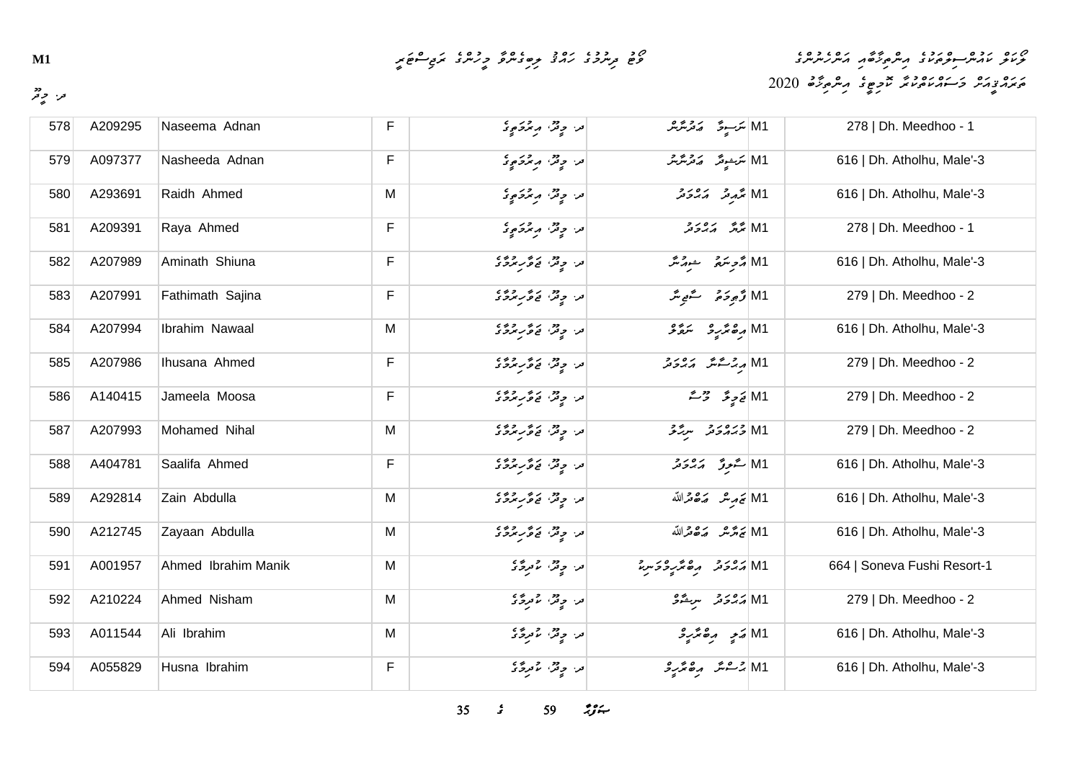*sCw7q7s5w7m< o<n9nOoAw7o< sCq;mAwBoEw7q<m; wBm;vB* م من المرة المرة المرة المرجع المرجع في المركبة 2020<br>مجم*د المريض المربوط المربع المرجع في المراجع المركبة* 

| 578 | A209295 | Naseema Adnan       | $\mathsf F$  | ىر. چ <sup>و</sup> ر، مەنگەم ك               | M1 <del>مَرْ</del> سِوتٌ صَفَرْمُتَرْبَتْر | 278   Dh. Meedhoo - 1       |
|-----|---------|---------------------|--------------|----------------------------------------------|--------------------------------------------|-----------------------------|
| 579 | A097377 | Nasheeda Adnan      | $\mathsf{F}$ | ىر. چ <sup>و</sup> ر، مەنگەم ك               | M1 سَرَسْوِتَرَ — رَتْرَسَّرَسْرَ          | 616   Dh. Atholhu, Male'-3  |
| 580 | A293691 | Raidh Ahmed         | M            | ىر. چ <sup>و</sup> ر، مەنگەم ئ               | M1 تَزْمِهِ مِنْ مَهْدَى مِنْ              | 616   Dh. Atholhu, Male'-3  |
| 581 | A209391 | Raya Ahmed          | $\mathsf{F}$ | ىر. جەنئى، مەيزىرى                           | M1 بَرْبَرٌ     رَرُرُونَرُ                | 278   Dh. Meedhoo - 1       |
| 582 | A207989 | Aminath Shiuna      | $\mathsf{F}$ | ى دېڭ ئۆرىدۇ،                                | M1 مَرْحِ سَمَعَ مَسْتِمْ سَمَّرَ سَمَّر   | 616   Dh. Atholhu, Male'-3  |
| 583 | A207991 | Fathimath Sajina    | $\mathsf F$  | ىر. جەنئى، ئەقەر بورى                        |                                            | 279   Dh. Meedhoo - 2       |
| 584 | A207994 | Ibrahim Nawaal      | M            | ى دەر ئەت ئەھرىردە                           | M1 مەھ ئىر ئىم ئىم ئىس                     | 616   Dh. Atholhu, Male'-3  |
| 585 | A207986 | Ihusana Ahmed       | $\mathsf F$  | ور وفرس في مركز و دارد                       | M1 مەيرىشىش مەيرىتىر                       | 279   Dh. Meedhoo - 2       |
| 586 | A140415 | Jameela Moosa       | F            | ى دېڭ ئۆرىدۇ،                                | M1 لَحَ حِرَّقَہ مُحْ شَدَّ                | 279   Dh. Meedhoo - 2       |
| 587 | A207993 | Mohamed Nihal       | M            | ى دېڭ ئۆرىدۇ،                                | M1  252,3 سربر سربر سربر 1                 | 279   Dh. Meedhoo - 2       |
| 588 | A404781 | Saalifa Ahmed       | $\mathsf F$  | ى دەر ئەت ئەھرىردە                           | M1 گىموت <sub>ۇ م</sub> ەردىتە             | 616   Dh. Atholhu, Male'-3  |
| 589 | A292814 | Zain Abdulla        | M            | ى دېڭ ئۆرىدۇ،                                | M1 كىمرىش كەھەتراللە                       | 616   Dh. Atholhu, Male'-3  |
| 590 | A212745 | Zayaan Abdulla      | M            | ى دەر ئەت ئەھرىردە                           | M1 كَيَهَرَّسْ مَهُ صَرْاللَّه             | 616   Dh. Atholhu, Male'-3  |
| 591 | A001957 | Ahmed Ibrahim Manik | M            | ىر. جەنقى مەمرىگە ك                          | M1 <i>ב ج</i> وجر مەھ <i>گرى</i> دى كىرىد  | 664   Soneva Fushi Resort-1 |
| 592 | A210224 | Ahmed Nisham        | M            | امر ۔ وقر، المورونی                          | M1 كەردى ھەر سويىتى تى                     | 279   Dh. Meedhoo - 2       |
| 593 | A011544 | Ali Ibrahim         | M            | ىر. جەنئى ئامرىگە                            | M1  رَمِ مِرْهُ تَرْرِدْ                   | 616   Dh. Atholhu, Male'-3  |
| 594 | A055829 | Husna Ibrahim       | F            | ىر. جەنز، س <sup>ە</sup> مرى <sup>ت</sup> ەك | M1  برْسْمَتْرِ مِرْحْمَدِ بِرْحْ          | 616   Dh. Atholhu, Male'-3  |

**35** *s* **59** *n***<sub>y</sub> <b>***n*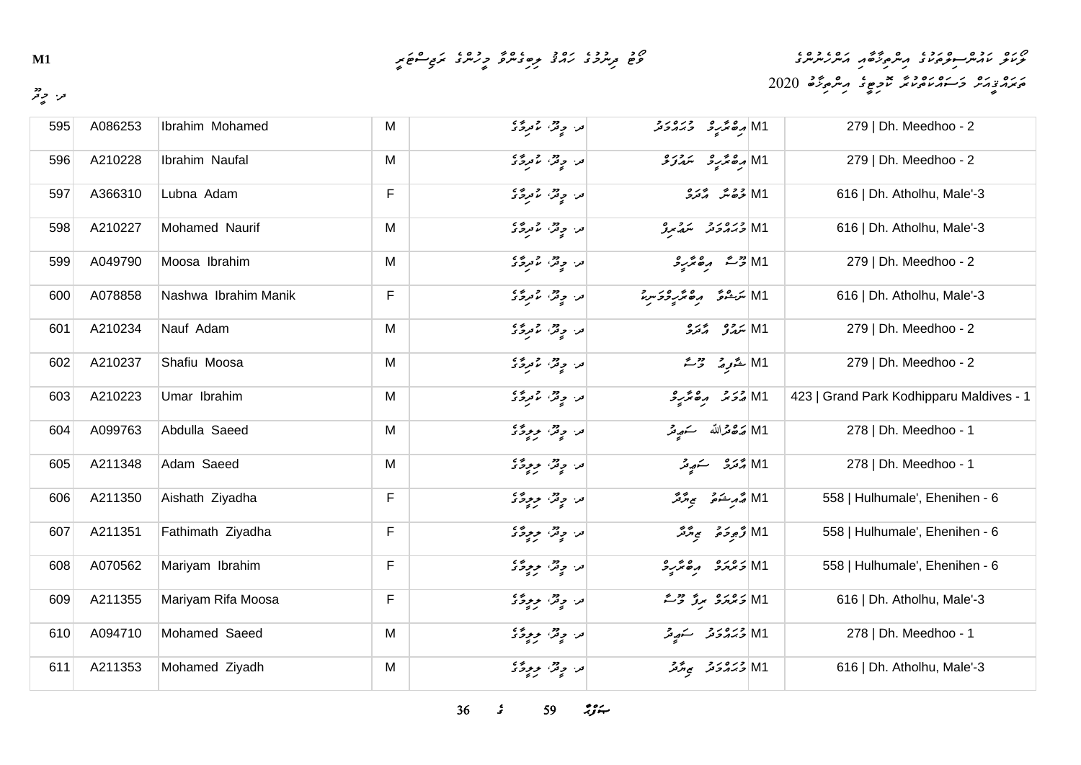*sCw7q7s5w7m< o<n9nOoAw7o< sCq;mAwBoEw7q<m; wBm;vB* م من المرة المرة المرة المرجع المرجع في المركبة 2020<br>مجم*د المريض المربوط المربع المرجع في المراجع المركبة* 

| 595 | A086253 | Ibrahim Mohamed      | M           | ىر. جەنئى، س <sup>ە</sup> مرى <sup>ت</sup> ەكە | M1 بەھ <i>ئۇي</i> 3 جەم <i>15 دى</i> ر | 279   Dh. Meedhoo - 2                    |
|-----|---------|----------------------|-------------|------------------------------------------------|----------------------------------------|------------------------------------------|
| 596 | A210228 | Ibrahim Naufal       | M           | ا در او در ان ما در در کار                     | M1 مەھ ئۇرى ئىقى ئىككىمىتى ئىچە ئەتقا  | 279   Dh. Meedhoo - 2                    |
| 597 | A366310 | Lubna Adam           | F           | ىر. جەنئى، س <sup>ە</sup> بەرگەنى              | M1 څه شه د په کرد                      | 616   Dh. Atholhu, Male'-3               |
| 598 | A210227 | Mohamed Naurif       | M           | ىر. جەنئى، سۇ يەرى                             | M1 322 25 سَمَّ سِرَ بِرَ مِنْ         | 616   Dh. Atholhu, Male'-3               |
| 599 | A049790 | Moosa Ibrahim        | M           | ا در او پیش از مورد کار                        | M1 تۇنە مەھم <i>گى</i> رى              | 279   Dh. Meedhoo - 2                    |
| 600 | A078858 | Nashwa Ibrahim Manik | $\mathsf F$ | ىر. جەنز، س <sup>ە</sup> مرى <sup>ت</sup> ەكە  | M1 سَرَشْرَةٌ مِنْ جُرْبِرْدْ حَسِرَةٌ | 616   Dh. Atholhu, Male'-3               |
| 601 | A210234 | Nauf Adam            | M           | ىر. جەنق مەمرىگە ك                             | M1 يتم <i>م</i> قر مجموعه              | 279   Dh. Meedhoo - 2                    |
| 602 | A210237 | Shafiu Moosa         | M           | ىر. جەنئى، س <sup>ە</sup> مرى <sup>ت</sup> ەك  | M1 شَورة حَرْثَة                       | 279   Dh. Meedhoo - 2                    |
| 603 | A210223 | Umar Ibrahim         | M           | ىر. جەنئى ئاتېرىگە ك                           | M1   25   مرة مَّرْرِ 3                | 423   Grand Park Kodhipparu Maldives - 1 |
| 604 | A099763 | Abdulla Saeed        | M           | د. دٍیْرٌ، دِیوِدَّدَ                          | M1 كەھەراللە كىھەتر                    | 278   Dh. Meedhoo - 1                    |
| 605 | A211348 | Adam Saeed           | M           | د. وِيْنْ وِوِدَّدُ                            | M1 ۾ُمَرَدُ ڪ <i>ُم</i> ِيمَ           | 278   Dh. Meedhoo - 1                    |
| 606 | A211350 | Aishath Ziyadha      | F           | امر: ووِيْنْ، ووِيْدَى                         | M1 ۾َ مِڪَ صَحِ جَ مَرَ مَرَ           | 558   Hulhumale', Ehenihen - 6           |
| 607 | A211351 | Fathimath Ziyadha    | $\mathsf F$ | ىر، بې ئې بېرىدى                               | M1 قَ <i>ٰ ج</i> وحَمْ بِمِ جَمَّدَ    | 558   Hulhumale', Ehenihen - 6           |
| 608 | A070562 | Mariyam Ibrahim      | F           | ىر، بېڭى بېرىدىگە                              | M1  كالمراكزة المله الملاكزة           | 558   Hulhumale', Ehenihen - 6           |
| 609 | A211355 | Mariyam Rifa Moosa   | F           | د. دٍیْرٌ، ووِدُّکْ                            | M1  5 يُرترى برِدَّ 2ْ شُ              | 616   Dh. Atholhu, Male'-3               |
| 610 | A094710 | Mohamed Saeed        | M           | امر: وِيْنْ، وِوِيْءَ                          | M1  32,25 مَتَّة سَمَّة مِسْرِ         | 278   Dh. Meedhoo - 1                    |
| 611 | A211353 | Mohamed Ziyadh       | M           | ىر. دېڭ دورگ                                   | M1  2323 كِرْدْ مِنْ تَرْسْرُ          | 616   Dh. Atholhu, Male'-3               |

**36** *s* **59** *n***<sub>s</sub>**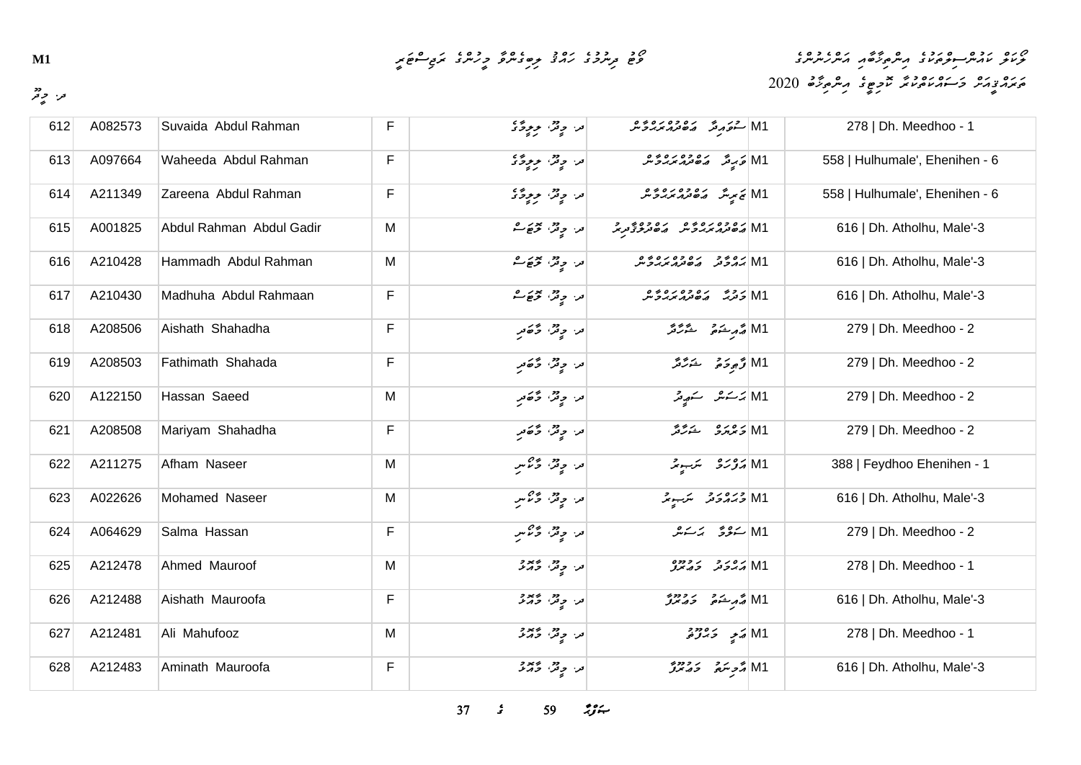*sCw7q7s5w7m< o<n9nOoAw7o< sCq;mAwBoEw7q<m; wBm;vB* م من المرة المرة المرة المرجع المرجع في المركبة 2020<br>مجم*د المريض المربوط المربع المرجع في المراجع المركبة* 

| 612 | A082573 | Suvaida Abdul Rahman     | F           | ىر. دېگر، موموگر                         | M1 شۇرىگە كەھەركەتمەرگە ئىر              | 278   Dh. Meedhoo - 1          |
|-----|---------|--------------------------|-------------|------------------------------------------|------------------------------------------|--------------------------------|
| 613 | A097664 | Waheeda Abdul Rahman     | $\mathsf F$ | در چین موجودی                            | M1 <i>قېرىگە مەھەرمەم</i> گە <i>5 مە</i> | 558   Hulhumale', Ehenihen - 6 |
| 614 | A211349 | Zareena Abdul Rahman     | $\mathsf F$ | ىر، بېڭ بويۇنى                           | M1 ىزىرى <i>گە مەھەرمەر ۋىر</i>          | 558   Hulhumale', Ehenihen - 6 |
| 615 | A001825 | Abdul Rahman Abdul Gadir | M           | امر ۔ وِتْرٌ، حَرْجَ کُ                  | M1 كەھ تەرەبىر بۇ ئۇ ھەر ئۇ ئىرىر بىر    | 616   Dh. Atholhu, Male'-3     |
| 616 | A210428 | Hammadh Abdul Rahman     | M           | امر: دومبر عرض ه                         | M1 ג'גלי גם כסיפים                       | 616   Dh. Atholhu, Male'-3     |
| 617 | A210430 | Madhuha Abdul Rahmaan    | $\mathsf F$ | ىر. ج <sup>وج</sup> ى مىچەك              | M1 <i>ۈترى مەھەرمەرە</i> م               | 616   Dh. Atholhu, Male'-3     |
| 618 | A208506 | Aishath Shahadha         | $\mathsf F$ | امر: حٍ قرّ الرَّحْمَ مِر                | M1 مَّ مِ حَمَّ مَّ حَمَّدَتَّر          | 279   Dh. Meedhoo - 2          |
| 619 | A208503 | Fathimath Shahada        | $\mathsf F$ | ىر. دولا، ۋەتر                           | M1 تَرْجِوحَة مُسَوَّتَة مَّ             | 279   Dh. Meedhoo - 2          |
| 620 | A122150 | Hassan Saeed             | M           | ىر. ج <sup>وج</sup> ر، گەھىر             | M1   پرستہ شہور صحیحہ                    | 279   Dh. Meedhoo - 2          |
| 621 | A208508 | Mariyam Shahadha         | F           | ىر. ج <sup>وج</sup> ر، گەھىر             | M1 كَرْبَرْدْ شَرْتَرْ                   | 279   Dh. Meedhoo - 2          |
| 622 | A211275 | Afham Naseer             | M           | ىر. چ <sup>ون</sup> ، ئ <sup>و</sup> ئىس | M1 <i>ټروژی سربې</i> تر                  | 388   Feydhoo Ehenihen - 1     |
| 623 | A022626 | Mohamed Naseer           | M           | الله: ووفق ومحكم من                      | M1 <i>وُبَرُوْدَ تَدَبِيرُ ~</i>         | 616   Dh. Atholhu, Male'-3     |
| 624 | A064629 | Salma Hassan             | $\mathsf F$ | امر: وفراء ومحاسر                        | M1 سَعْرَةَ - بَرَسَة مَدْ               | 279   Dh. Meedhoo - 2          |
| 625 | A212478 | Ahmed Mauroof            | M           | تدر برقر، ويوم                           | M1 كەمەجە بەھ <i>جەمەبى</i>              | 278   Dh. Meedhoo - 1          |
| 626 | A212488 | Aishath Mauroofa         | F           | تر. وهي ويوم                             | M1 مَّەر شَمَعْ سَ مَصَمَّرٌ             | 616   Dh. Atholhu, Male'-3     |
| 627 | A212481 | Ali Mahufooz             | M           | تر. وقر، ويوم                            | M1 كەي كەمىردە                           | 278   Dh. Meedhoo - 1          |
| 628 | A212483 | Aminath Mauroofa         | F           | تر. دوره ومود                            | M1 مَّحِ سَمَّعَ حَصَّمَّةً              | 616   Dh. Atholhu, Male'-3     |

**37** *s* **59** *n***<sub>s</sub>**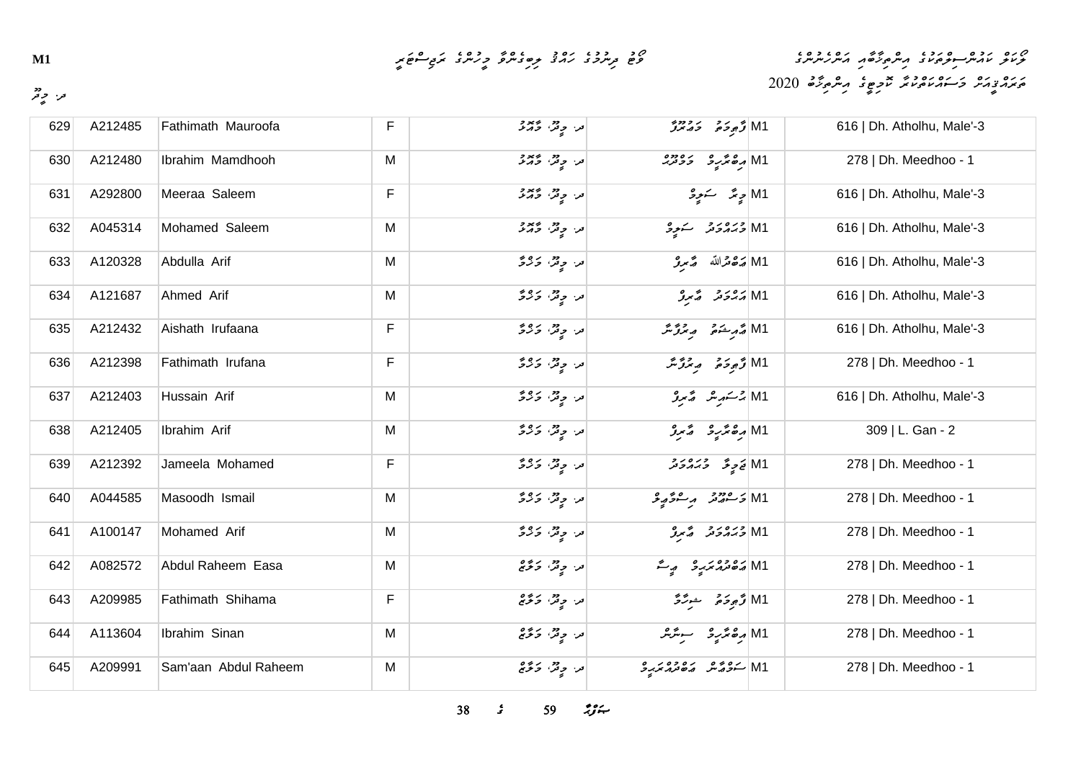*sCw7q7s5w7m< o<n9nOoAw7o< sCq;mAwBoEw7q<m; wBm;vB* م من المرة المرة المرة المرجع المرجع في المركبة 2020<br>مجم*د المريض المربوط المربع المرجع في المراجع المركبة* 

| 629 | A212485 | Fathimath Mauroofa   | F | تر. وقر، ويوم         | M1 وَّجِ دَمَ صَمَّرَتَرَ          | 616   Dh. Atholhu, Male'-3 |
|-----|---------|----------------------|---|-----------------------|------------------------------------|----------------------------|
| 630 | A212480 | Ibrahim Mamdhooh     | M | تر. وهي ويوم          | M1 مەھ ئىر ئەمەدە ھەر بىر          | 278   Dh. Meedhoo - 1      |
| 631 | A292800 | Meeraa Saleem        | F | ا در چین کار د        | M1 وِتَر سَوِرْ                    | 616   Dh. Atholhu, Male'-3 |
| 632 | A045314 | Mohamed Saleem       | M | تدر برقر، ويوم        | M1 ة بَرْدْدَتْر سَوِدْ            | 616   Dh. Atholhu, Male'-3 |
| 633 | A120328 | Abdulla Arif         | M | ىر. بوتر، ئۇرگە       | M1 كَرْحْقْرْاللّه     كَرْمَرْ وْ | 616   Dh. Atholhu, Male'-3 |
| 634 | A121687 | Ahmed Arif           | M | ىر. بوقر، ئۇرگە       | M1 كەش <sup>ى</sup> كەتلەر ئىسىرتى | 616   Dh. Atholhu, Male'-3 |
| 635 | A212432 | Aishath Irufaana     | F | ىر. دەپر، ئ           | M1 مَەمەينىدۇ ھەمزۇنىڭر            | 616   Dh. Atholhu, Male'-3 |
| 636 | A212398 | Fathimath Irufana    | F | ىر. دەپر، ئ5رۇ        | M1 رَّجِوحَةُ مِعْرَفَتَهُ         | 278   Dh. Meedhoo - 1      |
| 637 | A212403 | Hussain Arif         | M | ىر. ئەقر، ئەرق        | M1 پرسے ہر شہور کی تعریف           | 616   Dh. Atholhu, Male'-3 |
| 638 | A212405 | Ibrahim Arif         | M | ىر. بوتر، ئۇرگە       | M1 مەھەمگەيدى ھەمبەرتى             | 309   L. Gan - 2           |
| 639 | A212392 | Jameela Mohamed      | F | ىر. بوقر، ئۇرگە       | M1  ق ح ع ح كه يركز حر             | 278   Dh. Meedhoo - 1      |
| 640 | A044585 | Masoodh Ismail       | M | ىر. ئۇنى، ئۇرۇ        | M1 كەسىم بىر مەمۇر بو              | 278   Dh. Meedhoo - 1      |
| 641 | A100147 | Mohamed Arif         | M | ىر. دەپر، ئ5رۇ        | M1 <i>5&gt;۶۶۶۶ ه. مر</i> و        | 278   Dh. Meedhoo - 1      |
| 642 | A082572 | Abdul Raheem Easa    | M | ىر. دەپر، كەنگ        | M1 <i>مَەمْھەتمەر ب</i> و ھوت      | 278   Dh. Meedhoo - 1      |
| 643 | A209985 | Fathimath Shihama    | F | ىر. دەپر، كەڭرىم      | M1 <i>وَّج</i> وحَمَّ مُوسَّعَّ    | 278   Dh. Meedhoo - 1      |
| 644 | A113604 | Ibrahim Sinan        | M | امر: جٍ قرّ کا کر کام | M1 مەھەرىپە سىرتىرىمى              | 278   Dh. Meedhoo - 1      |
| 645 | A209991 | Sam'aan Abdul Raheem | M | ىر. دەپر، كەڭرى       | M1 كەۋگەش مەھىرمىدىنى              | 278   Dh. Meedhoo - 1      |

**38** *s* **59** *n***<sub>y</sub> <b>***n*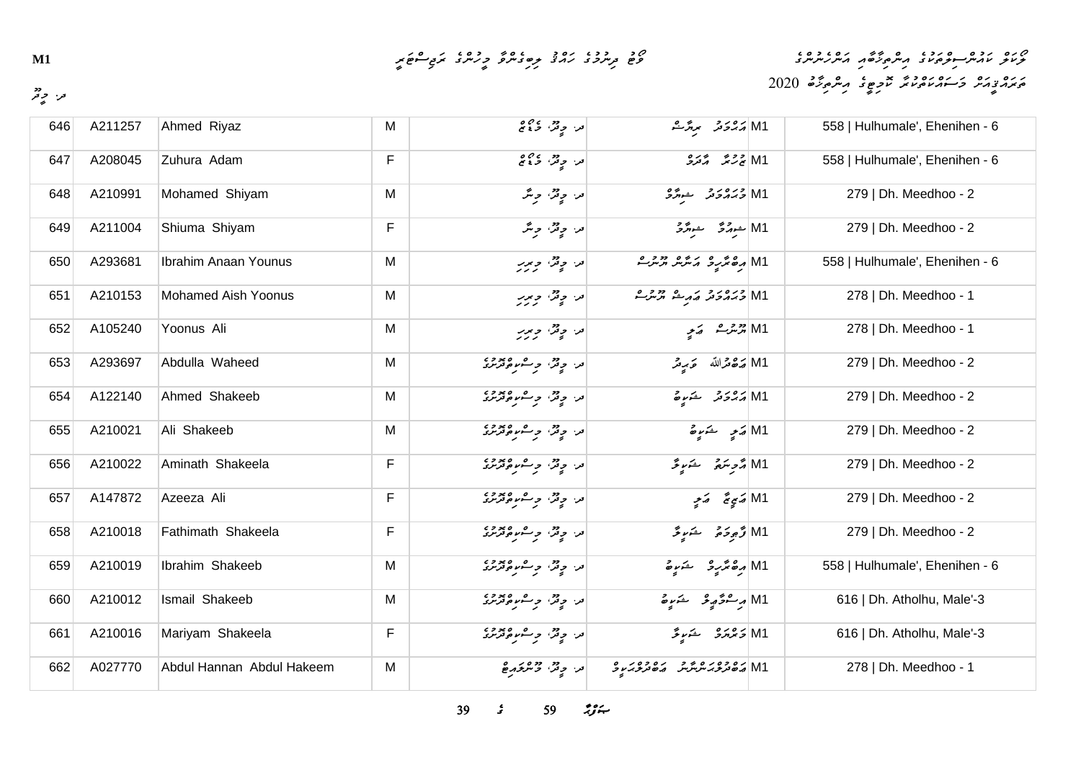*sCw7q7s5w7m< o<n9nOoAw7o< sCq;mAwBoEw7q<m; wBm;vB* م من المرة المرة المرة المرجع المرجع في المركبة 2020<br>مجم*د المريض المربوط المربع المرجع في المراجع المركبة* 

| 646 | A211257 | Ahmed Riyaz                 | M            | لر. و در ۶۵ و ۵                                                | M1 كەبرى ئەرگەشى M1                                                                                  | 558   Hulhumale', Ehenihen - 6 |
|-----|---------|-----------------------------|--------------|----------------------------------------------------------------|------------------------------------------------------------------------------------------------------|--------------------------------|
| 647 | A208045 | Zuhura Adam                 | $\mathsf F$  | تر. چ <sup>ور</sup> ، چ <sup>0</sup> ه                         | M1 يحرثر مجموع                                                                                       | 558   Hulhumale', Ehenihen - 6 |
| 648 | A210991 | Mohamed Shiyam              | M            | مرا وفرا وبگر                                                  | M1 <i>5 بەھ 5 مۇھ</i>                                                                                | 279   Dh. Meedhoo - 2          |
| 649 | A211004 | Shiuma Shiyam               | $\mathsf{F}$ | مرا وفرا وبگر                                                  | $3.5 - 5.7 - 101$                                                                                    | 279   Dh. Meedhoo - 2          |
| 650 | A293681 | <b>Ibrahim Anaan Younus</b> | M            | تر، وفرا، وبور                                                 | M1 مەھەر بەر ئەشرىكى مەسرىسى                                                                         | 558   Hulhumale', Ehenihen - 6 |
| 651 | A210153 | <b>Mohamed Aish Yoonus</b>  | M            | قدا - وقرأ - و تورير                                           | M1 <i>وَبَهُ وَبَر مَهِ بِ</i> هِ مِهْ مِنْ مِنْ الله                                                | 278   Dh. Meedhoo - 1          |
| 652 | A105240 | Yoonus Ali                  | M            | تر، وفرا، وبور                                                 | M1 پر پڑے پر بر                                                                                      | 278   Dh. Meedhoo - 1          |
| 653 | A293697 | Abdulla Waheed              | M            | در وتر، و گوره و دو ه                                          | M1 مَەھىراللە   مَ بِرِ مَّر                                                                         | 279   Dh. Meedhoo - 2          |
| 654 | A122140 | Ahmed Shakeeb               | M            | در ویژ، و گرم و توران                                          | M1 كەبرى قىر شەر شەر ئى                                                                              | 279   Dh. Meedhoo - 2          |
| 655 | A210021 | Ali Shakeeb                 | M            | در دور، در مورود در                                            | M1 كەمچە سى <i>كەن ھ</i>                                                                             | 279   Dh. Meedhoo - 2          |
| 656 | A210022 | Aminath Shakeela            | $\mathsf F$  | مر. <sub>ج</sub> وتر، <sub>جو</sub> شر <sub>ا</sub> ء ورو<br>م | M1 أَمَّ حِ سَمَّ سَمَّ سَمَّ سَمَّ سَمَّ سَمَّ سَمِّ حَمَّدَتَ مِنْ حَمَّدَتَ مِنْ حَمَّدَتَ مِنْ ح | 279   Dh. Meedhoo - 2          |
| 657 | A147872 | Azeeza Ali                  | F            | در دور، در موتر ده                                             | M1   رَ <sub>ّسِي</sub> حَ = 1,5   م                                                                 | 279   Dh. Meedhoo - 2          |
| 658 | A210018 | Fathimath Shakeela          | $\mathsf F$  | در ویژ، و شر و ویژوی                                           | M1 گَءِدَة شَمَيةً                                                                                   | 279   Dh. Meedhoo - 2          |
| 659 | A210019 | Ibrahim Shakeeb             | M            | در وتر، و شره وبرده                                            | M1 مەھ ئەر ئە ئىس قىلىم قىلىم قىلىم قىلىم قىلىم قىل                                                  | 558   Hulhumale', Ehenihen - 6 |
| 660 | A210012 | Ismail Shakeeb              | M            | د. دیژ، د شروهبود،                                             | M1 م <i>وسىۋە چۇ</i> سىمب <i>وڭ</i>                                                                  | 616   Dh. Atholhu, Male'-3     |
| 661 | A210016 | Mariyam Shakeela            | $\mathsf F$  | در وتر، و گوره و دو ه                                          | M1  كەچرىكى ھەمبەگە                                                                                  | 616   Dh. Atholhu, Male'-3     |
| 662 | A027770 | Abdul Hannan Abdul Hakeem   | M            | من رقمه وحمد معرضه                                             | M1 رە دەر مەر دەر رە دەر يەر<br>M1 مەمرىرىگىرىگىر مەھىرى كو                                          | 278   Dh. Meedhoo - 1          |

**39** *s* **59** *n***<sub>y</sub> <b>***n*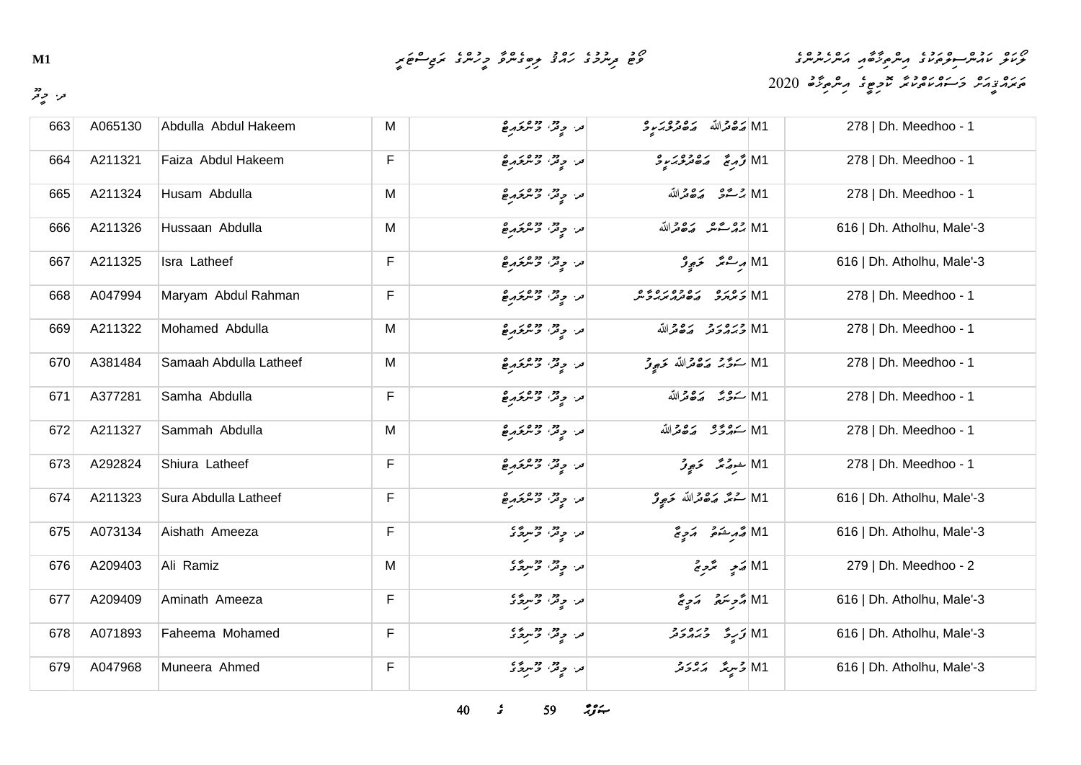*sCw7q7s5w7m< o<n9nOoAw7o< sCq;mAwBoEw7q<m; wBm;vB* م من المرة المرة المرة المرجع المرجع في المركبة 2020<br>مجم*د المريض المربوط المربع المرجع في المراجع المركبة* 

| 663 | A065130 | Abdulla Abdul Hakeem   | M            | ىر. دور، دومرورە                                                                                     | M1 رَصْعَراللَّهُ مَصْعَرْ عَرَبِ وَ | 278   Dh. Meedhoo - 1      |
|-----|---------|------------------------|--------------|------------------------------------------------------------------------------------------------------|--------------------------------------|----------------------------|
| 664 | A211321 | Faiza Abdul Hakeem     | F            | ىر. دەر. دەرىرە                                                                                      | M1 زَمِيحَ    رَەمْرْمَرَىدِ د       | 278   Dh. Meedhoo - 1      |
| 665 | A211324 | Husam Abdulla          | M            | ىر. دور، دەردەغ                                                                                      | M1 تريحو كەھەراللە                   | 278   Dh. Meedhoo - 1      |
| 666 | A211326 | Hussaan Abdulla        | M            | ىر. دور، دەردەغ                                                                                      | M1 تروسة عربة مركزة الله             | 616   Dh. Atholhu, Male'-3 |
| 667 | A211325 | Isra Latheef           | $\mathsf{F}$ | مرا وقرا والمركز وه                                                                                  | M1 مرشق تح <i>بو</i> ثر              | 616   Dh. Atholhu, Male'-3 |
| 668 | A047994 | Maryam Abdul Rahman    | $\mathsf F$  | مرا وقرا والمركز وه                                                                                  | M1 <i>בגתר הסינה בית</i>             | 278   Dh. Meedhoo - 1      |
| 669 | A211322 | Mohamed Abdulla        | M            | مرا ومن وموجدة                                                                                       | M1 32025 مَرْدَة اللَّه              | 278   Dh. Meedhoo - 1      |
| 670 | A381484 | Samaah Abdulla Latheef | M            | ىر. دور، دەردەغ                                                                                      | M1 ڪو <i>گھ چي</i> ھوگرالله ځېږو     | 278   Dh. Meedhoo - 1      |
| 671 | A377281 | Samha Abdulla          | $\mathsf F$  | ىر. دۇر، دەرىرە                                                                                      | M1 كوبر كەھىراللە                    | 278   Dh. Meedhoo - 1      |
| 672 | A211327 | Sammah Abdulla         | M            | ىر. دولار، ئۇنىزىرغ                                                                                  | M1 كەرگە ئەھقراللە                   | 278   Dh. Meedhoo - 1      |
| 673 | A292824 | Shiura Latheef         | $\mathsf F$  | ىر. دور، دەردەغ                                                                                      | M1 شوص <sup>ت</sup> ر کرموٹر         | 278   Dh. Meedhoo - 1      |
| 674 | A211323 | Sura Abdulla Latheef   | F            | مرا ومن وموجدة                                                                                       | M1 كے تَدَّ رَصْحَرْاللّه حَبَّوِثَر | 616   Dh. Atholhu, Male'-3 |
| 675 | A073134 | Aishath Ameeza         | $\mathsf F$  | ىر. چ <sup>ور ب</sup> ۇ سرچ                                                                          | M1 مَّ مِشَعْرِ مَحِيَّ              | 616   Dh. Atholhu, Male'-3 |
| 676 | A209403 | Ali Ramiz              | M            | ىر. بوقر، 3سرۇ ئ                                                                                     | M1 ضي عُرْحِيحَ                      | 279   Dh. Meedhoo - 2      |
| 677 | A209409 | Aminath Ameeza         | $\mathsf F$  | ىر. دولار، قاسرىمى                                                                                   | M1 مُرْحِبَهُ مَجِهَّ                | 616   Dh. Atholhu, Male'-3 |
| 678 | A071893 | Faheema Mohamed        | $\mathsf{F}$ | ا در المحمد المحمد و محمد المحمد المحمد المحمد المحمد المحمد المحمد المحمد المحمد المحمد المحمد المح | M1 كۆرى <sup>چە</sup> ئەتەر ئىر      | 616   Dh. Atholhu, Male'-3 |
| 679 | A047968 | Muneera Ahmed          | F            | ىر. دېگر، در سرگرى                                                                                   | M1   جسيعٌ   كەبرى قر                | 616   Dh. Atholhu, Male'-3 |

*40 sC 59 nNw?mS*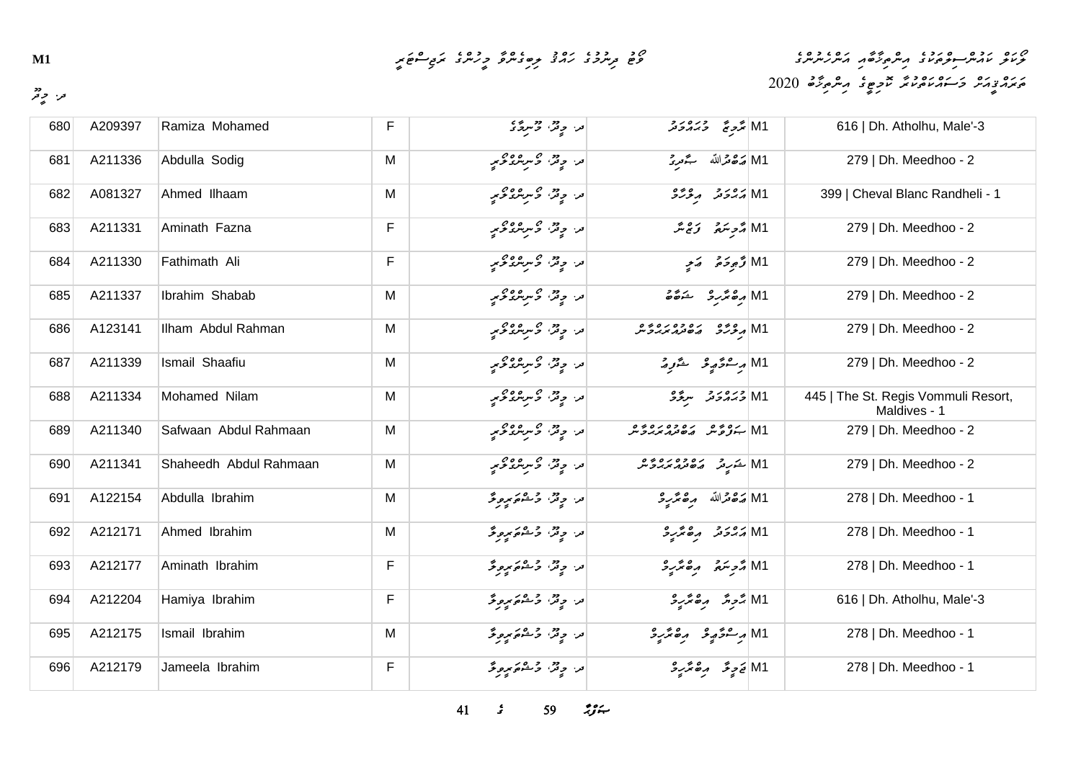*sCw7q7s5w7m< o<n9nOoAw7o< sCq;mAwBoEw7q<m; wBm;vB* م من المرة المرة المرة المرجع المرجع في المركبة 2020<br>مجم*د المريض المربوط المربع المرجع في المراجع المركبة* 

| 680 | A209397 | Ramiza Mohamed         | $\mathsf F$ | ىر. دېگر، دخمبرونى                         | M1  بَرْحِ بِحَ وَبَرَ دُوَ مَرْ                              | 616   Dh. Atholhu, Male'-3                          |
|-----|---------|------------------------|-------------|--------------------------------------------|---------------------------------------------------------------|-----------------------------------------------------|
| 681 | A211336 | Abdulla Sodig          | M           | ىر. چ <sup>ور،</sup> كەس <i>ىدى كە</i> مپر | M1 كَەھْتْراللە ج <sup>ە</sup> مرى                            | 279   Dh. Meedhoo - 2                               |
| 682 | A081327 | Ahmed Ilhaam           | M           | ىر. بەلگە كەس ئىگەنجىي                     | M1 كەبرى قىر مەغرىمى ئى                                       | 399   Cheval Blanc Randheli - 1                     |
| 683 | A211331 | Aminath Fazna          | F           | ىر. بەتتى، كەس ھەمجىر                      | M1 مَّ حِسَمَة وَجْ مَّرَ                                     | 279   Dh. Meedhoo - 2                               |
| 684 | A211330 | Fathimath Ali          | F           | ىر. چ <sup>ور،</sup> كەس <i>ىدى كە</i> مپر | M1 وَجِعَة صَعِ                                               | 279   Dh. Meedhoo - 2                               |
| 685 | A211337 | Ibrahim Shabab         | M           | ىر. چەق كەسىرى كەلب                        | $\frac{3}{2}$ مِ $\frac{2}{3}$ $\frac{2}{3}$ $\frac{2}{3}$ M1 | 279   Dh. Meedhoo - 2                               |
| 686 | A123141 | Ilham Abdul Rahman     | M           | د. دٍیٌن کرسره وی                          | M1 روترو بره وه بروتر می                                      | 279   Dh. Meedhoo - 2                               |
| 687 | A211339 | Ismail Shaafiu         | M           | ىر. بەتتى، كەس ھەمجىر                      | M1 م سىمى چەر ئىس ئىقىن ئى                                    | 279   Dh. Meedhoo - 2                               |
| 688 | A211334 | Mohamed Nilam          | M           | ىر. بەتر، كەس ھەمجىر                       | M1 <i>5225 سرگر</i> م                                         | 445   The St. Regis Vommuli Resort,<br>Maldives - 1 |
| 689 | A211340 | Safwaan Abdul Rahmaan  | M           | د. دٍیْرٌ، دُسِرسُک دُمْدِ                 | M1 بەۋۋەر مەھ <i>ەرەبە</i> ۋەر                                | 279   Dh. Meedhoo - 2                               |
| 690 | A211341 | Shaheedh Abdul Rahmaan | M           | د. دِيْنْ دُسِينْدْوَسِ                    | M1 خرىر مەمەمەدە بو                                           | 279   Dh. Meedhoo - 2                               |
| 691 | A122154 | Abdulla Ibrahim        | M           | ىر. بوتر، بۇ ھەم بويۇ                      | M1 مَەقىراللە مەھمَّدىي <sup>ى</sup>                          | 278   Dh. Meedhoo - 1                               |
| 692 | A212171 | Ahmed Ibrahim          | M           | ىر. بوقۇ، بۇشۇمرىرىگ                       | M1   كەبرى ھەھمىرى 3                                          | 278   Dh. Meedhoo - 1                               |
| 693 | A212177 | Aminath Ibrahim        | F           | ىر. بوتر، ئەشھەمبەرگە                      | M1  مَّحِسَمَ مِعْتَدِدْ                                      | 278   Dh. Meedhoo - 1                               |
| 694 | A212204 | Hamiya Ibrahim         | F           | ىر. بوتر، كەشكەپرىرىگ                      | M1 تَرَمِّہُ مِنْ مَمَّرِدُ                                   | 616   Dh. Atholhu, Male'-3                          |
| 695 | A212175 | Ismail Ibrahim         | M           | اللا الإفراء والمشكوم مرجونجر              | M1 مِ سْمُوَّمِهِ عَنْ مِنْ مَّرْبِ وَ                        | 278   Dh. Meedhoo - 1                               |
| 696 | A212179 | Jameela Ibrahim        | F           | ىر. چ <sup>ور ب</sup> ەشھەپرە ئ            |                                                               | 278   Dh. Meedhoo - 1                               |

*41 sC 59 nNw?mS*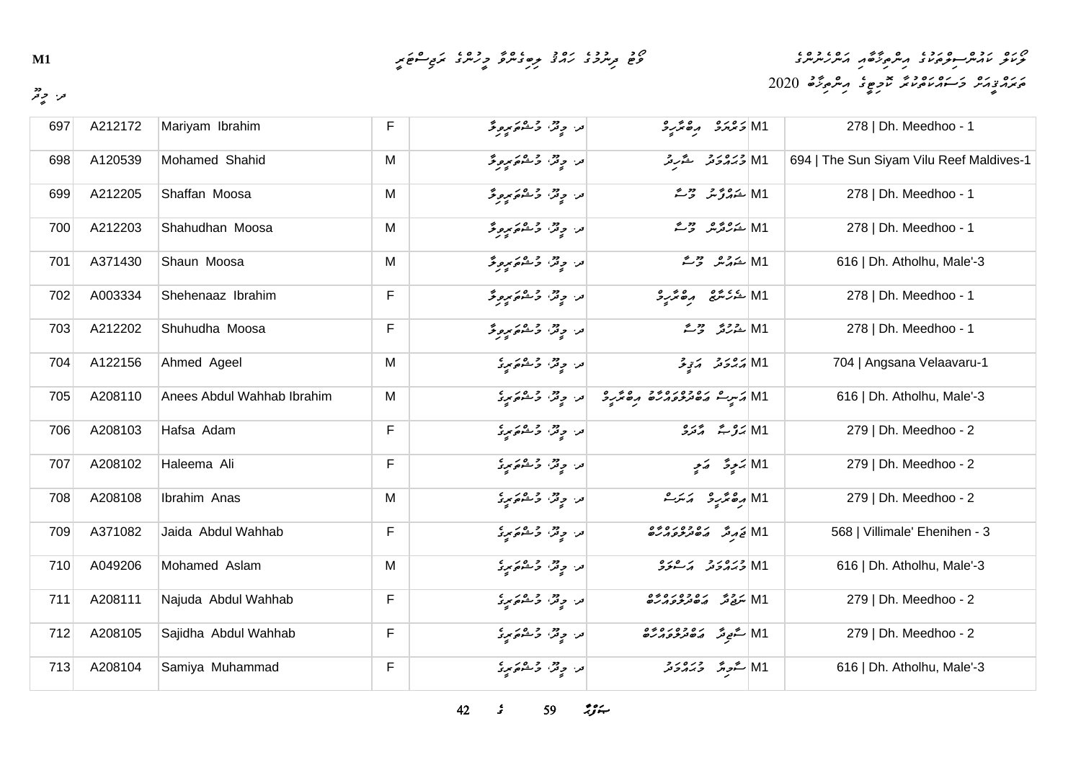*sCw7q7s5w7m< o<n9nOoAw7o< sCq;mAwBoEw7q<m; wBm;vB* م من المرة المرة المرة المرجع المرجع في المركبة 2020<br>مجم*د المريض المربوط المربع المرجع في المراجع المركبة* 

| 697 | A212172 | Mariyam Ibrahim            | $\mathsf F$  | ىر. بەلگە ئاشكە بىرە ئ  | M1 كابر مركز من المركز                                                                               | 278   Dh. Meedhoo - 1                    |
|-----|---------|----------------------------|--------------|-------------------------|------------------------------------------------------------------------------------------------------|------------------------------------------|
| 698 | A120539 | Mohamed Shahid             | M            | ى دەپ ئىقتىم بورگ       | M1   ج. <i>ج</i> . چرخه مستمريتر                                                                     | 694   The Sun Siyam Vilu Reef Maldives-1 |
| 699 | A212205 | Shaffan Moosa              | M            | ىر. بوتۇ، بۇشۇمرىرىگ    | M1 خەر ئەش تۆرگە                                                                                     | 278   Dh. Meedhoo - 1                    |
| 700 | A212203 | Shahudhan Moosa            | M            | ىر. بوتۇ، بۇشۇمرىرىگ    | M1 ڪروگر ويھ                                                                                         | 278   Dh. Meedhoo - 1                    |
| 701 | A371430 | Shaun Moosa                | M            | ىر. دېگر، دىشمېرونگ     | M1 ڪرچيھ وڃي                                                                                         | 616   Dh. Atholhu, Male'-3               |
| 702 | A003334 | Shehenaaz Ibrahim          | $\mathsf F$  | ىر. بوتر، بۇ ھەم بويۇ   | M1 څرنگی می پر                                                                                       | 278   Dh. Meedhoo - 1                    |
| 703 | A212202 | Shuhudha Moosa             | F            | ىر. يەنگە كەشھەم يورگ   | M1 خەرقە ئۇسىم                                                                                       | 278   Dh. Meedhoo - 1                    |
| 704 | A122156 | Ahmed Ageel                | M            | ىن ئوتۇ، ئەھمەيدى       | M1   كەش <sup>ى</sup> كەر كەت <sub>ىي</sub> تى                                                       | 704   Angsana Velaavaru-1                |
| 705 | A208110 | Anees Abdul Wahhab Ibrahim | M            |                         | M1 كم سر مده و دره در در دور در در در در در مورد كار محمد برد كه برد برد كه برد برد كه برد كه برد كه | 616   Dh. Atholhu, Male'-3               |
| 706 | A208103 | Hafsa Adam                 | $\mathsf F$  | ىر. بوقر، ئۇشۇمرى       | M1 پَرُوْبَۃٌ مُحَمَّدً                                                                              | 279   Dh. Meedhoo - 2                    |
| 707 | A208102 | Haleema Ali                | $\mathsf{F}$ | ىر. دۇر، دىشمېرى        | M1   پَرچِوَ = دَرِ                                                                                  | 279   Dh. Meedhoo - 2                    |
| 708 | A208108 | Ibrahim Anas               | M            | ىر. بوقر، ئۇھەمبرى      | M1 مەھ ئۇرى ئە ئەتىرىشى                                                                              | 279   Dh. Meedhoo - 2                    |
| 709 | A371082 | Jaida Abdul Wahhab         | $\mathsf F$  | د. دٍیْرٌ، دَشْهُومِرَد | M1 نے مرتقب مقصور مقصد حصہ<br>M1 نے مرتقب مقصور مقصد                                                 | 568   Villimale' Ehenihen - 3            |
| 710 | A049206 | Mohamed Aslam              | M            | ىر. بوقۇ، ئەشھەمرى      | M1 <i>5&gt;۶۰۰ كەش</i> ۇۋ                                                                            | 616   Dh. Atholhu, Male'-3               |
| 711 | A208111 | Najuda Abdul Wahhab        | $\mathsf{F}$ | ىر. بوتر، ئەھمىرى       | M1 بروژ بره وه بره ۶۰ م                                                                              | 279   Dh. Meedhoo - 2                    |
| 712 | A208105 | Sajidha Abdul Wahhab       | $\mathsf F$  | ىر. دەر، دىشمىرى        | M1 گەي ئەرەپرە يەە دە يو                                                                             | 279   Dh. Meedhoo - 2                    |
| 713 | A208104 | Samiya Muhammad            | $\mathsf F$  | ىر. بوڭر، ئۇشۇمرى       | M1  گەچەد ئەمەد تەر                                                                                  | 616   Dh. Atholhu, Male'-3               |

*42 s* 59  $2.9$  *i*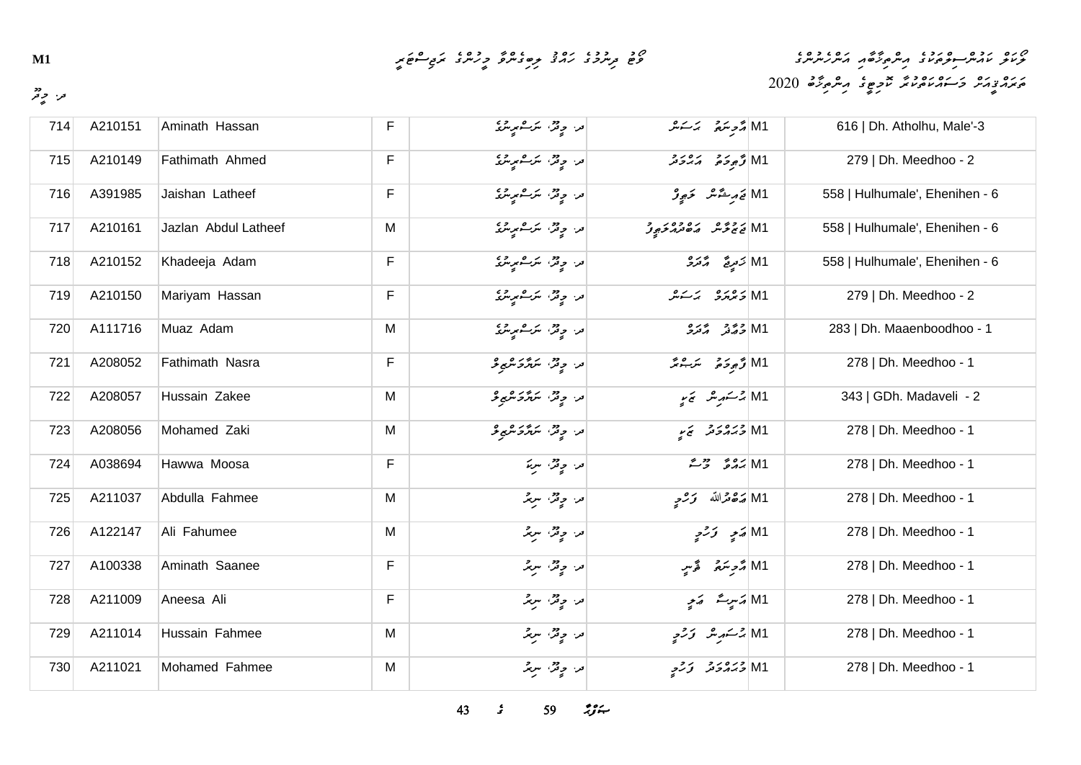*sCw7q7s5w7m< o<n9nOoAw7o< sCq;mAwBoEw7q<m; wBm;vB* م من المرة المرة المرة المرجع المرجع في المركبة 2020<br>مجم*د المريض المربوط المربع المرجع في المراجع المركبة* 

| 714 | A210151 | Aminath Hassan       | $\mathsf F$ | ىر. بوقۇ، ئىرگەمرىترى                     | M1 مَّ حِسَمَۃ کے سَسَر                    | 616   Dh. Atholhu, Male'-3     |
|-----|---------|----------------------|-------------|-------------------------------------------|--------------------------------------------|--------------------------------|
| 715 | A210149 | Fathimath Ahmed      | F           | ىر. جەنئى، سەسكىرسىگە                     | M1 تَ <i>وْجِوَجْهِ مَدْحَ</i> مْر         | 279   Dh. Meedhoo - 2          |
| 716 | A391985 | Jaishan Latheef      | F           | ى دېڭ ئىرگىرىدى                           | M1 قەم شەھەر ئىچەتى                        | 558   Hulhumale', Ehenihen - 6 |
| 717 | A210161 | Jazlan Abdul Latheef | M           | ىر. بوقۇ، ئىرگەنبولىرى                    | M1 ئے ٹی گھر سے مقدم <del>کر</del> یے تو P | 558   Hulhumale', Ehenihen - 6 |
| 718 | A210152 | Khadeeja Adam        | F           | ىر. جۇڭ ئىرگەنچەتلىكى                     | M1 كَرْمِيعٌ     مُرْمَرْدُ                | 558   Hulhumale', Ehenihen - 6 |
| 719 | A210150 | Mariyam Hassan       | $\mathsf F$ | ىر. جەنئى، سەسكىرسىگە                     | M1 كەنگەر ئەسكەنلە                         | 279   Dh. Meedhoo - 2          |
| 720 | A111716 | Muaz Adam            | M           | ىر. جەنئى، سەسكىرسىگە                     | M1 حَەمَّىْرَ مَەترى                       | 283   Dh. Maaenboodhoo - 1     |
| 721 | A208052 | Fathimath Nasra      | $\mathsf F$ | ىر. چ <sup>ۈر</sup> ، سە <i>مگەنگى</i> بى | M1 ۇ <sub>جو</sub> رَمْ سَرَجْتُر          | 278   Dh. Meedhoo - 1          |
| 722 | A208057 | Hussain Zakee        | M           | ىر. چ <sup>ور</sup> ، سە <i>نز تەرى</i> ج | M1 بر سَمبر مَرَ سَمَ سَمِ                 | 343   GDh. Madaveli - 2        |
| 723 | A208056 | Mohamed Zaki         | M           | ىر. چ <sup>ور</sup> ، سە <i>نز تەرى</i> ج | M1 دېزونه تم                               | 278   Dh. Meedhoo - 1          |
| 724 | A038694 | Hawwa Moosa          | F           | فرا ولمجمَّد سريمًا                       | $23$ $22$ $\sim$ M1                        | 278   Dh. Meedhoo - 1          |
| 725 | A211037 | Abdulla Fahmee       | M           | ىر، بوقۇ، سرىر                            | M1   رَصْحْراللّه كَرَرْحِ                 | 278   Dh. Meedhoo - 1          |
| 726 | A122147 | Ali Fahumee          | M           | ىر. بوقۇ، سرىگە                           | M1  رَمٍ ک <sup>5</sup> رحٍ                | 278   Dh. Meedhoo - 1          |
| 727 | A100338 | Aminath Saanee       | F           | ىر، بوقۇ، سرچى                            | M1 مَّحِسَمَۃ پِّسِ                        | 278   Dh. Meedhoo - 1          |
| 728 | A211009 | Aneesa Ali           | F           | ىر. بوقۇ، سرىگە                           | M1 ټریږگ ټرمي                              | 278   Dh. Meedhoo - 1          |
| 729 | A211014 | Hussain Fahmee       | M           | ىر. بوقۇ، سرىگە                           | M1   پرستمبر ترتر <sub>می</sub>            | 278   Dh. Meedhoo - 1          |
| 730 | A211021 | Mohamed Fahmee       | M           | ىر. بوقۇ، سرىگە                           | M1 تر پر دیگر تر تر تر پر                  | 278   Dh. Meedhoo - 1          |

*43 s* 59  $23$  *i*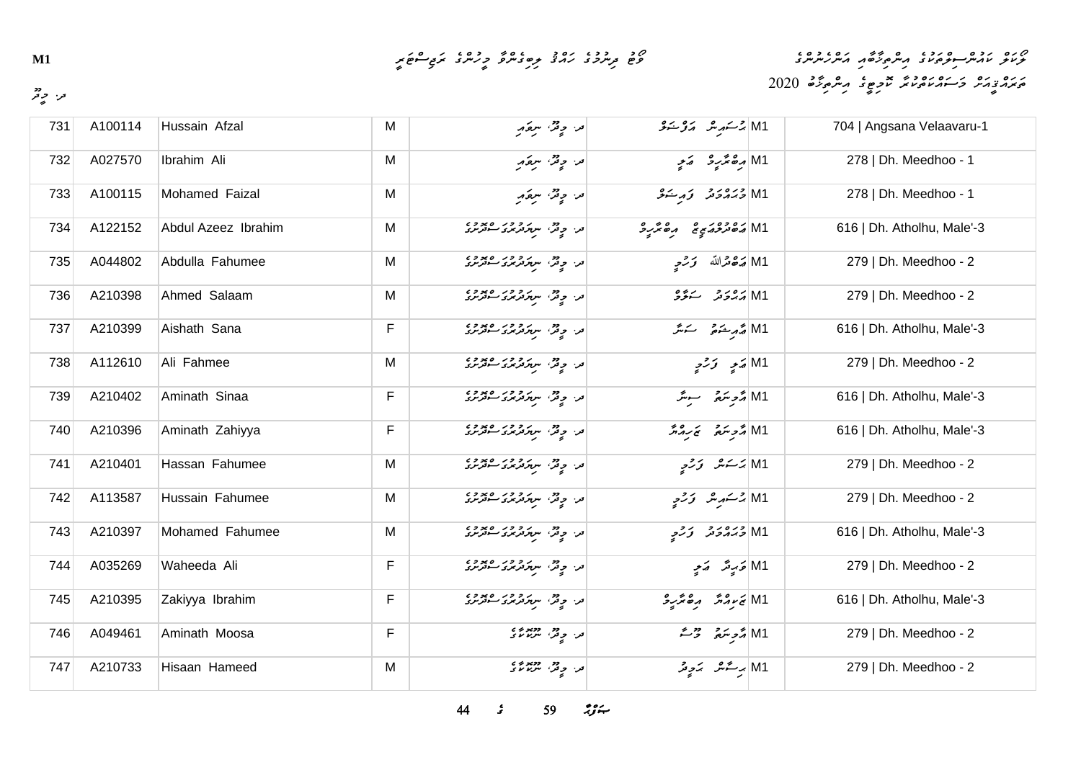*sCw7q7s5w7m< o<n9nOoAw7o< sCq;mAwBoEw7q<m; wBm;vB* م من المرة المرة المرة المرجع المرجع في المركبة 2020<br>مجم*د المريض المربوط المربع المرجع في المراجع المركبة* 

| 731 | A100114 | Hussain Afzal       | M           | ىر. دېگر، سرغاير                                                                                    | M1  برْسَەرِ بْرُ مَاتْوَسْدَبْر   | 704   Angsana Velaavaru-1  |
|-----|---------|---------------------|-------------|-----------------------------------------------------------------------------------------------------|------------------------------------|----------------------------|
| 732 | A027570 | Ibrahim Ali         | M           | قدر جي قرآن سرح آبر                                                                                 | M1 پ <i>ر&amp;نڈی</i> رو کی پر     | 278   Dh. Meedhoo - 1      |
| 733 | A100115 | Mohamed Faizal      | M           | تدر - حيث المتعاقبة الم                                                                             | M1 3 <i>3 2 3 3 من</i> كو          | 278   Dh. Meedhoo - 1      |
| 734 | A122152 | Abdul Azeez Ibrahim | M           | در - ج <sup>ود</sup> ، سرمر <i>مرد - م</i> رد - ه<br>در ج <sup>و</sup> د، سرمر <i>مر</i> د سنتر مرد | M1 <i>مَەھىر جوم بى مەھىر ب</i> و  | 616   Dh. Atholhu, Male'-3 |
| 735 | A044802 | Abdulla Fahumee     | M           | در - دو - سرگرد و ر- ۵ پر و د<br>در - درگر، سرگرد در عصوبرد                                         | M1 كەھىراللە     ترترىي            | 279   Dh. Meedhoo - 2      |
| 736 | A210398 | Ahmed Salaam        | M           | در - دو - سرگرمری- دو دی<br>در - دیگر - سرگرمری- سرگرمری                                            | M1 كەبۇر كەنگەنى                   | 279   Dh. Meedhoo - 2      |
| 737 | A210399 | Aishath Sana        | F           | در - دو - سرگرمری- دو دی<br>در - دیگر - سرگرمری- سرگرمری                                            | M1 ۾ پرڪو سکر                      | 616   Dh. Atholhu, Male'-3 |
| 738 | A112610 | Ali Fahmee          | M           | در - دو - سرگرمری- دو دی<br>در - دیگر - سرگرمری- سرگرمری                                            | M1  رَرِ ک <sup>5</sup> رِ         | 279   Dh. Meedhoo - 2      |
| 739 | A210402 | Aminath Sinaa       | F           | ور میتوان میتواند و به دون<br>در میتوان میتواند برای میتواند                                        | M1 مُتصِبَعَة سِبَّر               | 616   Dh. Atholhu, Male'-3 |
| 740 | A210396 | Aminath Zahiyya     | $\mathsf F$ | در - دو - سرگرمری- دو دی<br>در - دیگر - سرگرمری- سرگرمری                                            | M1 مَّ حِسَمَ مَ سَ <sup>8</sup>   | 616   Dh. Atholhu, Male'-3 |
| 741 | A210401 | Hassan Fahumee      | M           | در میده سرد ور میدون<br>در مید                                                                      | M1   پرسترپس کورٹرمی               | 279   Dh. Meedhoo - 2      |
| 742 | A113587 | Hussain Fahumee     | M           | در - دو - سرگرمری- دو دی<br>در - دیگر - سرگرمری- سرگرمری                                            | M1 بڑے پر بھر تر تر تر پر          | 279   Dh. Meedhoo - 2      |
| 743 | A210397 | Mohamed Fahumee     | M           | در - دو - سرگرد و ر- ۵ پر و د<br>در - درگر، سرگرد در عصوبرد                                         | M1  <i>وټرونو ۆرې</i>              | 616   Dh. Atholhu, Male'-3 |
| 744 | A035269 | Waheeda Ali         | F           | ور میتوان میتواند و به دون<br>در میتوان میتواند برای میتواند                                        |                                    | 279   Dh. Meedhoo - 2      |
| 745 | A210395 | Zakiyya Ibrahim     | F           | در - دو - سرگرمری- دو دی<br>در - دیگر - سرگرمری- سرگرمری                                            | M1 ئ <i>جىرە ھۇسى</i> ئەستىر بىر   | 616   Dh. Atholhu, Male'-3 |
| 746 | A049461 | Aminath Moosa       | $\mathsf F$ | עי פיני, ממשים<br>עי פיני, יינט <i>ע</i>                                                            | M1 أَمَّ مِسَعَمٍ مَنْ شَمَّ       | 279   Dh. Meedhoo - 2      |
| 747 | A210733 | Hisaan Hameed       | M           | در. و <sup>وو</sup> «مدد»<br>در وی <sup>در،</sup> سر <i>دن</i> د د                                  | M1 برگ شر بر تری<br>سیستمبر بر برگ | 279   Dh. Meedhoo - 2      |

*44 sC 59 nNw?mS*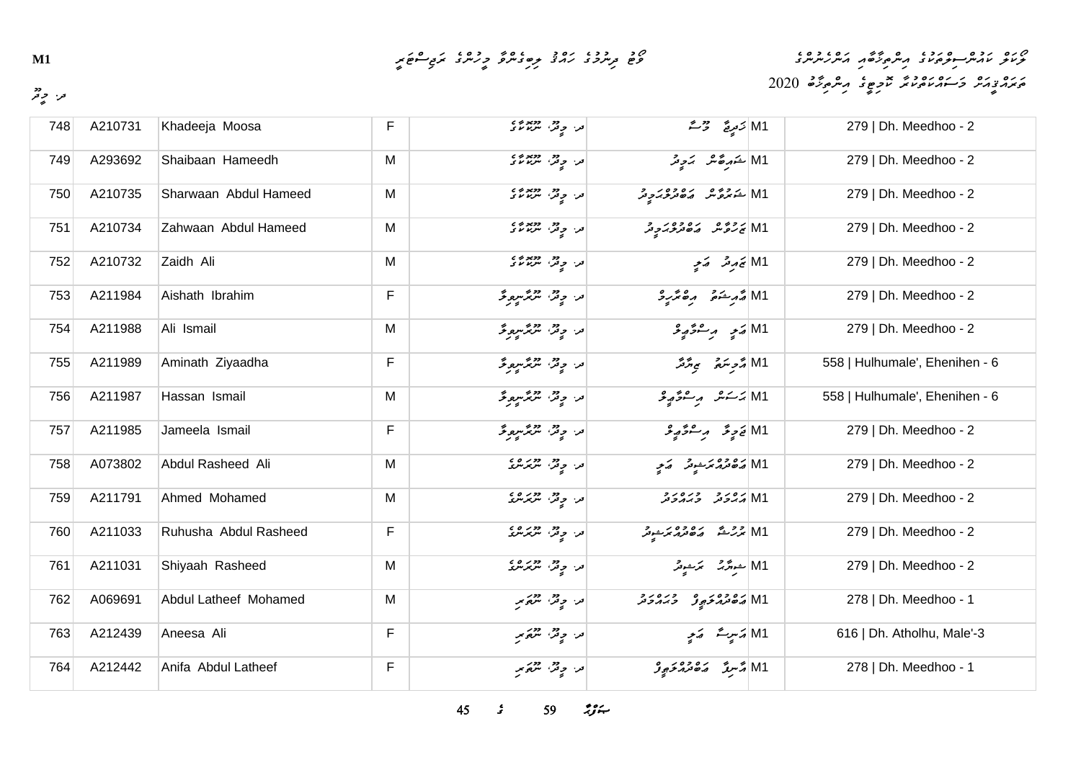*sCw7q7s5w7m< o<n9nOoAw7o< sCq;mAwBoEw7q<m; wBm;vB* م من المرة المرة المرة المرجع المرجع في المركبة 2020<br>مجم*د المريض المربوط المربع المرجع في المراجع المركبة* 

| 748 | A210731 | Khadeeja Moosa        | $\mathsf{F}$ | د. وه. دو دوره د                         |                                          | 279   Dh. Meedhoo - 2          |
|-----|---------|-----------------------|--------------|------------------------------------------|------------------------------------------|--------------------------------|
| 749 | A293692 | Shaibaan Hameedh      | M            | עי פי <sup>בק</sup> וממשיב               | M1 شَمَ <i>رِهُ مْنْ</i> يَرْحِيْنُ      | 279   Dh. Meedhoo - 2          |
| 750 | A210735 | Sharwaan Abdul Hameed | M            | در. د ده دومون                           | M1 شەيرۇش مەھىر <i>ۋە دو</i>             | 279   Dh. Meedhoo - 2          |
| 751 | A210734 | Zahwaan Abdul Hameed  | M            | בקי פלקי ייקוא מים<br>בקי פלקי ייקוא מים | M1 يَرْحَمْ شَرَ مَصْعَرْ حَرْجِ مَرْ    | 279   Dh. Meedhoo - 2          |
| 752 | A210732 | Zaidh Ali             | M            | در. د ده دومره د                         | M1 تج مرشر ک <sup>ے</sup> مح             | 279   Dh. Meedhoo - 2          |
| 753 | A211984 | Aishath Ibrahim       | $\mathsf F$  | ىر. دەر شەر سىرىگە                       | M1 مَّ مِشَمَّ مِنْ مَّتَ بِرِدْ         | 279   Dh. Meedhoo - 2          |
| 754 | A211988 | Ali Ismail            | M            | ىر. دەر ئىرگە ئىر                        | M1   رَمِي - مِرْ مُتَوَّمِيكَ           | 279   Dh. Meedhoo - 2          |
| 755 | A211989 | Aminath Ziyaadha      | $\mathsf F$  | ىن جەنئە شەئەسىرى ئ                      | M1 مَّ حِ مَتَعَمَّ ہے مَرَّ مَّدَ       | 558   Hulhumale', Ehenihen - 6 |
| 756 | A211987 | Hassan Ismail         | M            | ىر. ج <sup>ەن</sup> شرىگىرى ئىگە         | M1  ترسكر   مرشر <i>ة م</i> وق           | 558   Hulhumale', Ehenihen - 6 |
| 757 | A211985 | Jameela Ismail        | F            | ىر. دېر، ئىرتگەندە ئ                     | M1   يَے جِرَ گَهِ مِرْ سُرَّحَ مِرْ كَر | 279   Dh. Meedhoo - 2          |
| 758 | A073802 | Abdul Rasheed Ali     | M            | یں وی شہر دی                             | M1 كەھەترە ترىيەتر     كەمچ              | 279   Dh. Meedhoo - 2          |
| 759 | A211791 | Ahmed Mohamed         | M            | ىر. جەنئى شرىر مەي                       | M1 <i>הُגُכ</i> َى وَرُورُو              | 279   Dh. Meedhoo - 2          |
| 760 | A211033 | Ruhusha Abdul Rasheed | $\mathsf F$  | امر: ووفر، المريمانيومي                  | M1 برر شه په <i>محمد مرش</i> وتر         | 279   Dh. Meedhoo - 2          |
| 761 | A211031 | Shiyaah Rasheed       | M            | ىر. جەنئى شرىر مە                        | M1 شومز پر متر متر تر محمد<br>ا          | 279   Dh. Meedhoo - 2          |
| 762 | A069691 | Abdul Latheef Mohamed | M            | در پارلار دور<br>  در پارلار شهرس        | M1 בטריפיק פינרפיק                       | 278   Dh. Meedhoo - 1          |
| 763 | A212439 | Aneesa Ali            | $\mathsf F$  | ىر. جەنئى شھويىر                         | M1 کہ سرت کے مح                          | 616   Dh. Atholhu, Male'-3     |
| 764 | A212442 | Anifa Abdul Latheef   | $\mathsf F$  | ىر. بې تۈر ئىتكەس                        | M1 مَّسِعَ صَصْدَمْ حَقِيقَ              | 278   Dh. Meedhoo - 1          |

*45 sC 59 nNw?mS*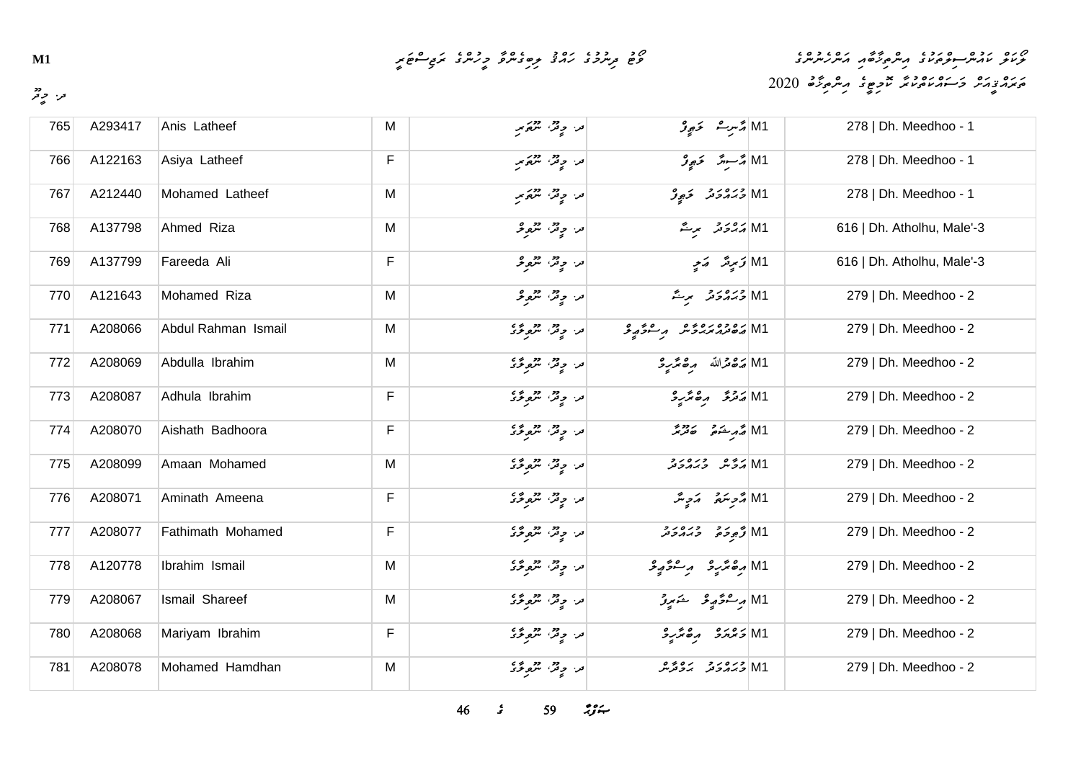*sCw7q7s5w7m< o<n9nOoAw7o< sCq;mAwBoEw7q<m; wBm;vB* م من المرة المرة المرة المرجع المرجع في المركبة 2020<br>مجم*د المريض المربوط المربع المرجع في المراجع المركبة* 

| 765 | A293417 | Anis Latheef        | M           | ىر. بې تۈر ئىتكەس         | M1  پژمبرے تحقی <sub>قو</sub> تو         | 278   Dh. Meedhoo - 1      |
|-----|---------|---------------------|-------------|---------------------------|------------------------------------------|----------------------------|
| 766 | A122163 | Asiya Latheef       | $\mathsf F$ | ىر. بې قرار ئىقتىمىيە     | M1 ۾َ <i>سبوڙ خبوِ وُ</i>                | 278   Dh. Meedhoo - 1      |
| 767 | A212440 | Mohamed Latheef     | M           | ىر. جەنز، ئىزدە بىر       | M1 <i>5 بزون و تربو</i> ژ                | 278   Dh. Meedhoo - 1      |
| 768 | A137798 | Ahmed Riza          | M           | ىر. دې شور                | M1 كەردى ھەر بىرىگە                      | 616   Dh. Atholhu, Male'-3 |
| 769 | A137799 | Fareeda Ali         | F           | ىر. دېگر، شروگر           | M1   ترمينژ   صَعٍ                       | 616   Dh. Atholhu, Male'-3 |
| 770 | A121643 | Mohamed Riza        | M           | ىر. دېگر، شرەپۇ           | M1  <i>وبروبروتر</i> برتگر               | 279   Dh. Meedhoo - 2      |
| 771 | A208066 | Abdul Rahman Ismail | M           | مر. جٍ قُرْ، مُرْجو جُرَى | M1   <i>مەھەرم بىر مىگە مىڭ مەڭ مە</i> ھ | 279   Dh. Meedhoo - 2      |
| 772 | A208069 | Abdulla Ibrahim     | M           | ىر. بې تۈرگى ئۇ           | M1 مَـُـهْ مِّرْاللَّهُ مِـهْ مَّرْرِ حَ | 279   Dh. Meedhoo - 2      |
| 773 | A208087 | Adhula Ibrahim      | F           | ار. وِتْرُ، سُمْوِتْرُدُ  | M1   كەنىڭ بەھ ئۈر ئى                    | 279   Dh. Meedhoo - 2      |
| 774 | A208070 | Aishath Badhoora    | F           | لر. وقر، شهورٌی           | M1 مُهرِسْنَهُ _ صَعْرَبَّرُ             | 279   Dh. Meedhoo - 2      |
| 775 | A208099 | Amaan Mohamed       | M           | ىر. بوقۇ، ئۇيمۇقۇق        | M1 كەۋىر مەمەم دىر                       | 279   Dh. Meedhoo - 2      |
| 776 | A208071 | Aminath Ameena      | F           | ىر. دېگر، شرەر دى         | M1 مَّ حِ سَعَۃ مَ حِ سَّ                | 279   Dh. Meedhoo - 2      |
| 777 | A208077 | Fathimath Mohamed   | $\mathsf F$ | لر. وِيْنْ شْهِوَّدْ      | M1 زَّجِرَتْ حَرَمْ دَرْ                 | 279   Dh. Meedhoo - 2      |
| 778 | A120778 | Ibrahim Ismail      | M           | ىر. بې ئۇرگەنچە           | M1 مەھمىر بىر مەمەم بىر                  | 279   Dh. Meedhoo - 2      |
| 779 | A208067 | Ismail Shareef      | M           | امر ۔ ج قراء مقرور کا     | M1 مِرْ مُتَّرَّمٍ وَ مُسَمِّرِتْرِ      | 279   Dh. Meedhoo - 2      |
| 780 | A208068 | Mariyam Ibrahim     | $\mathsf F$ | ىر. بوقۇ، ئۇيمۇقۇق        | M1  كالمراكز المراكز المراكز كالمراكز    | 279   Dh. Meedhoo - 2      |
| 781 | A208078 | Mohamed Hamdhan     | M           | ىر. دېگر، شرەڭخە          | M1 <i>ۋېزو دو برونژ</i> نگر              | 279   Dh. Meedhoo - 2      |

*46 sC 59 nNw?mS*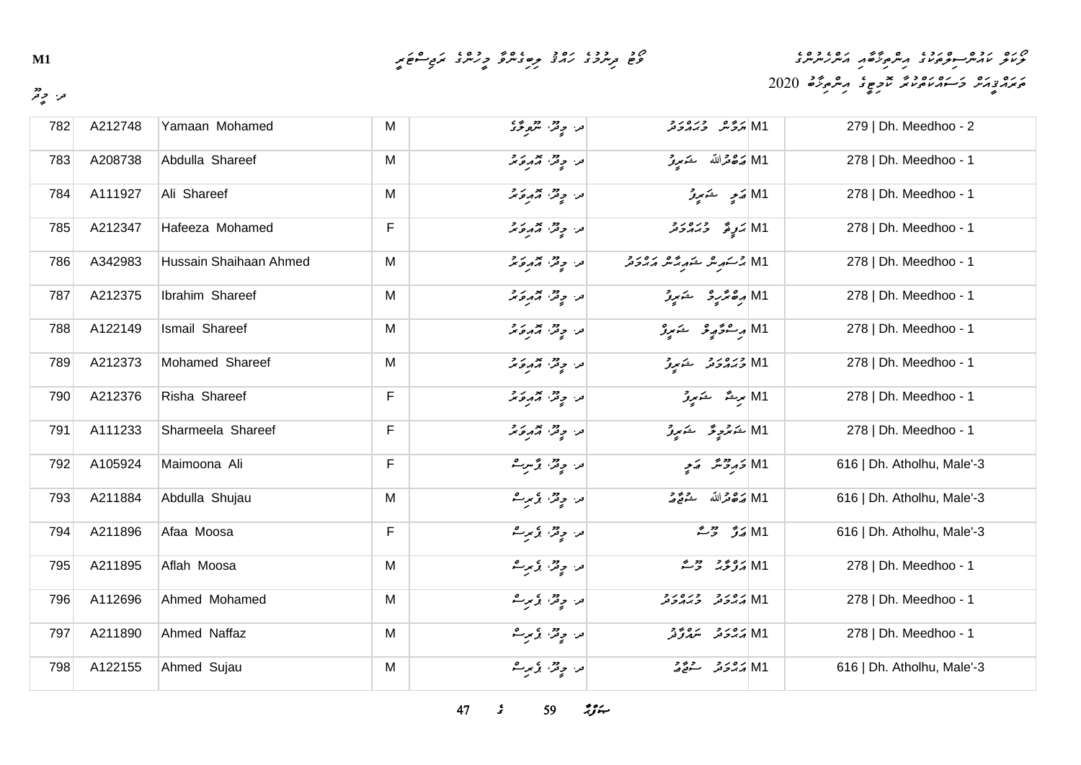*sCw7q7s5w7m< o<n9nOoAw7o< sCq;mAwBoEw7q<m; wBm;vB* م من المرة المرة المرة المرجع المرجع في المركبة 2020<br>مجم*د المريض المربوط المربع المرجع في المراجع المركبة* 

| 782 | A212748 | Yamaan Mohamed         | M           | ىر. بوقۇ، ئۇيمۇقۇق       | M1 كەڭ <i>مەدەرەر د</i>              | 279   Dh. Meedhoo - 2      |
|-----|---------|------------------------|-------------|--------------------------|--------------------------------------|----------------------------|
| 783 | A208738 | Abdulla Shareef        | M           | ىر. جەنئى ئەمرىكە        | M1 كەھەراللە خەمپەر                  | 278   Dh. Meedhoo - 1      |
| 784 | A111927 | Ali Shareef            | M           | ىن چەقتى ئەمرىكەتتى      | M1 كەي شەيرتى                        | 278   Dh. Meedhoo - 1      |
| 785 | A212347 | Hafeeza Mohamed        | F           | اللا المحيض أشهر والمحمد | M1  يَروِيَّى - وَيَرْدُوَنْرَ       | 278   Dh. Meedhoo - 1      |
| 786 | A342983 | Hussain Shaihaan Ahmed | M           | ا در او چرا بر مرکز در   |                                      | 278   Dh. Meedhoo - 1      |
| 787 | A212375 | Ibrahim Shareef        | M           | ىر. جەنئى ئەمرىكەتر      | M1 مەھەرىپە ھەمپىق                   | 278   Dh. Meedhoo - 1      |
| 788 | A122149 | Ismail Shareef         | M           | ىر. جەنئى ئەمرىكە        | M1 مِرْ مُتَّ مِرْ مِنْ مَدَمِرِيْرِ | 278   Dh. Meedhoo - 1      |
| 789 | A212373 | Mohamed Shareef        | M           | ىر. جەنئى ئەمەكەتمە      | M1 = 2,22 ستمبرتر                    | 278   Dh. Meedhoo - 1      |
| 790 | A212376 | Risha Shareef          | $\mathsf F$ | ا در او چرا بر مرکز در   | M1 مریحہ شمیرتر                      | 278   Dh. Meedhoo - 1      |
| 791 | A111233 | Sharmeela Shareef      | F           | ىر. جەنئى ئەمرىكەتم      | M1 ڪمگرچ گر ڪمپر <i>گر</i>           | 278   Dh. Meedhoo - 1      |
| 792 | A105924 | Maimoona Ali           | $\mathsf F$ | ىر. بوقۇ، بۇسرىش         | M1   حَ مِرْحَمْدٌ   صَعِي           | 616   Dh. Atholhu, Male'-3 |
| 793 | A211884 | Abdulla Shujau         | M           | ىر، بەيتر، بۇ بىر شە     | M1 كَەشْرَاللە شۇقى <sup>م</sup> ە   | 616   Dh. Atholhu, Male'-3 |
| 794 | A211896 | Afaa Moosa             | $\mathsf F$ | ىر، بەيتر، بۇ بىر شە     | $23$ 3/4 M1                          | 616   Dh. Atholhu, Male'-3 |
| 795 | A211895 | Aflah Moosa            | M           | ىر، بەيتر، بۇ بىرىشە     | M1 پروتر پی پیشہ                     | 278   Dh. Meedhoo - 1      |
| 796 | A112696 | Ahmed Mohamed          | M           | مر. چونش، بو مورث        | M1 ג׳ ג׳ د د درو                     | 278   Dh. Meedhoo - 1      |
| 797 | A211890 | Ahmed Naffaz           | M           | ىر. بەير. بۇ بىرگ        | M1 كەبرى تەرىپ ئىرە ئىر              | 278   Dh. Meedhoo - 1      |
| 798 | A122155 | Ahmed Sujau            | M           | ىر، بەيتر، بۇ بىرىشە     | M1 كەبۇر قىر ئىقى ئى                 | 616   Dh. Atholhu, Male'-3 |

*47 sC 59 nNw?mS*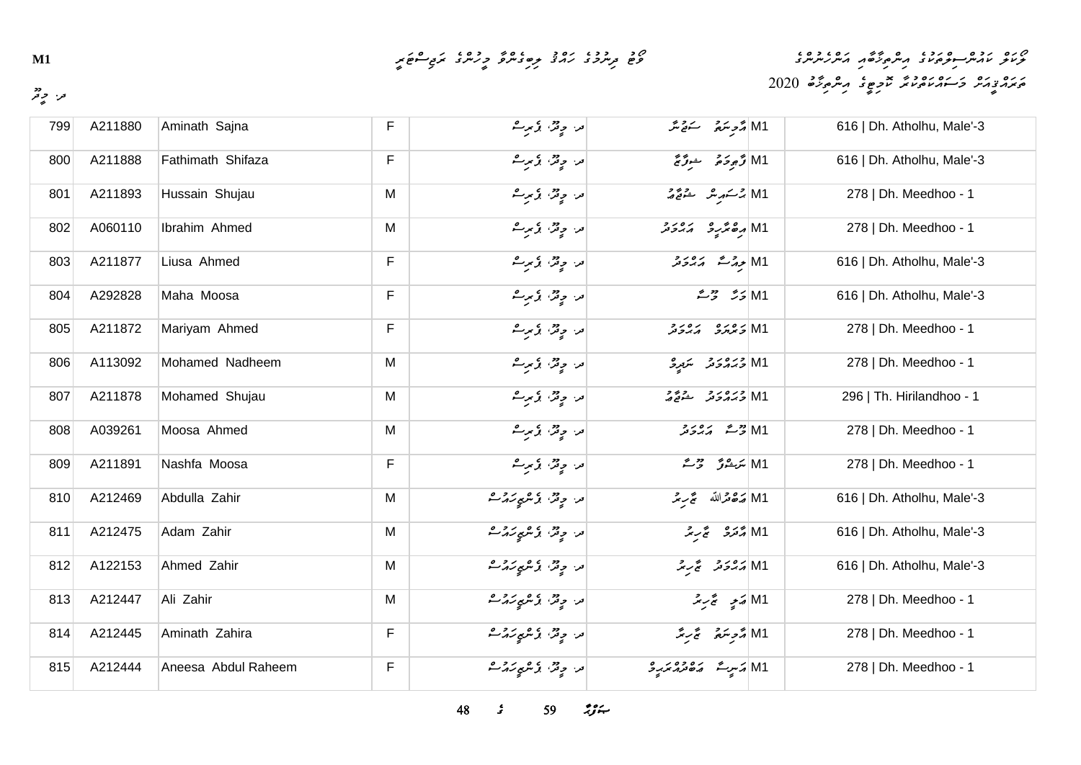*sCw7q7s5w7m< o<n9nOoAw7o< sCq;mAwBoEw7q<m; wBm;vB* م من المرة المرة المرة المرجع المرجع في المركبة 2020<br>مجم*د المريض المربوط المربع المرجع في المراجع المركبة* 

| 799 | A211880 | Aminath Sajna       | F           | ىر. بەقتى، بۇ بىرىشە                    | M1 ۾َجِ سَمَعُ سَڪَ سَگَ                       | 616   Dh. Atholhu, Male'-3 |
|-----|---------|---------------------|-------------|-----------------------------------------|------------------------------------------------|----------------------------|
| 800 | A211888 | Fathimath Shifaza   | $\mathsf F$ | ىل جەنئى بۇ بىرگ                        | M1 رَّجِ حَقَّ صَوَّتَجَ                       | 616   Dh. Atholhu, Male'-3 |
| 801 | A211893 | Hussain Shujau      | M           | ىل جەنئى بۇ بىرىش                       | M1 بر سَمبر شرقہ میں م                         | 278   Dh. Meedhoo - 1      |
| 802 | A060110 | Ibrahim Ahmed       | M           | ىل جەنئى بۇ بىرگ                        | M1 مِرْهَ مَرَبِّ حَمَّدَ مَدَّ                | 278   Dh. Meedhoo - 1      |
| 803 | A211877 | Liusa Ahmed         | $\mathsf F$ | امر: حرقتر، بو سرحه                     | M1 جەرمىشقە ئەيزىخەتىر                         | 616   Dh. Atholhu, Male'-3 |
| 804 | A292828 | Maha Moosa          | $\mathsf F$ | ىر، بەيتر، بۇ بىرىشە                    | $23$ 35 M1                                     | 616   Dh. Atholhu, Male'-3 |
| 805 | A211872 | Mariyam Ahmed       | $\mathsf F$ | ىر، جەنئى، بۇ بىرىشە                    | M1 كايرو كالمركز ويرون                         | 278   Dh. Meedhoo - 1      |
| 806 | A113092 | Mohamed Nadheem     | M           | ىل جەنئى بۇ بىرگ                        | M1   3 <i>2 2 2 2 2 2 2 2 3 0 2 2 2 2 2 2</i>  | 278   Dh. Meedhoo - 1      |
| 807 | A211878 | Mohamed Shujau      | M           | ىل جەنئى بۇ ئىرىشى                      | M1 <i>522 محمد محمدة م</i>                     | 296   Th. Hirilandhoo - 1  |
| 808 | A039261 | Moosa Ahmed         | M           | ىر، جەنئى، بۇ ئېرىشە                    | M1 تۇشقە ئەبرى تۈر                             | 278   Dh. Meedhoo - 1      |
| 809 | A211891 | Nashfa Moosa        | $\mathsf F$ | ىر. بوقۇ، بۇ بېرىش                      | M1 سَرْشَوَّرُ وَ"شَّہُ                        | 278   Dh. Meedhoo - 1      |
| 810 | A212469 | Abdulla Zahir       | M           | ىر. بوقر، بۇ ئىرىم ئىكەن                | M1 مَەھىراللە گەرىمە                           | 616   Dh. Atholhu, Male'-3 |
| 811 | A212475 | Adam Zahir          | M           | ىر. بوقر، بۇ ئىرىم ئىكەن                | M1 مَرْتَرَدُ گَمَّ بِرْتَر                    | 616   Dh. Atholhu, Male'-3 |
| 812 | A122153 | Ahmed Zahir         | M           | لا وقرا وعيور وه                        | M1 كەش <sup>ى</sup> كەتتى بى <sup>قى</sup> بىر | 616   Dh. Atholhu, Male'-3 |
| 813 | A212447 | Ali Zahir           | M           | ىر. بوقر، بۇلىرىم ئەرقىگ                | M1 <i>ھَ۔ جِ</i> سِمَّ سِمَّہ                  | 278   Dh. Meedhoo - 1      |
| 814 | A212445 | Aminath Zahira      | F           | ىر. جۇنما بۇشھەر ئەرگ                   | M1 مَّ حِسَعَهُ تَجَ سِتَّر                    | 278   Dh. Meedhoo - 1      |
| 815 | A212444 | Aneesa Abdul Raheem | F           | ىر. چ <sup>ور،</sup> بۇشھ <i>وتە</i> رم | M1 كەسرىسە مەھە <i>مەمەرى</i> بو               | 278   Dh. Meedhoo - 1      |

*48 sC 59 nNw?mS*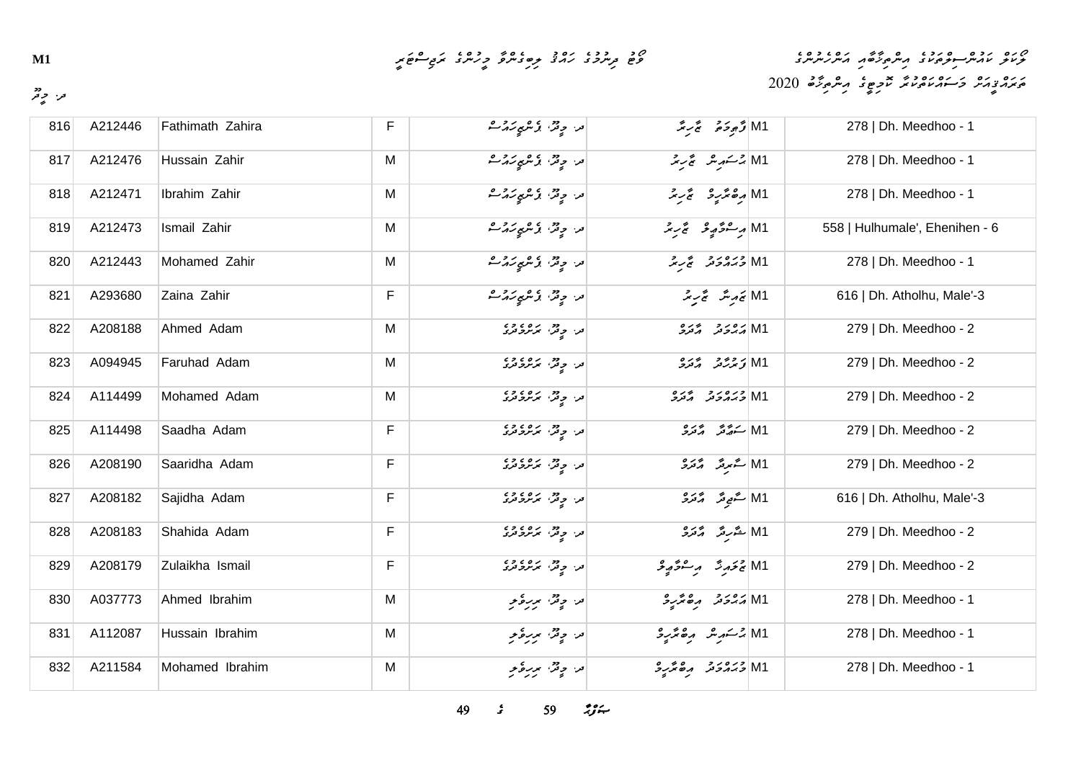*sCw7q7s5w7m< o<n9nOoAw7o< sCq;mAwBoEw7q<m; wBm;vB* م من المرة المرة المرة المرجع المرجع في المركبة 2020<br>مجم*د المريض المربوط المربع المرجع في المراجع المركبة* 

| 816 | A212446 | Fathimath Zahira | $\mathsf F$ | ىر. ب <sub>و</sub> تر، بۇ ئىرىم كىرگ                                     | M1 رَّجِ دَتَمَ تَجَ سِتَّر           | 278   Dh. Meedhoo - 1          |
|-----|---------|------------------|-------------|--------------------------------------------------------------------------|---------------------------------------|--------------------------------|
| 817 | A212476 | Hussain Zahir    | M           | ىر. چ <sup>ور،</sup> بۇشھ <i>ې ئەم</i> مى                                | M1 بر سَمبر بھ گچ س <sub>ب</sub> ر    | 278   Dh. Meedhoo - 1          |
| 818 | A212471 | Ibrahim Zahir    | M           | ىر. چ <sup>ۈر ب</sup> وشھېرىرگ                                           | M1 مەھ ئىر بۇ سىم ئىرىتىلىكى بىر ئىس  | 278   Dh. Meedhoo - 1          |
| 819 | A212473 | Ismail Zahir     | M           | اللا المحيض وكالعربي ترور ها                                             | M1 مرڪو <i>گھي</i> و گھرير            | 558   Hulhumale', Ehenihen - 6 |
| 820 | A212443 | Mohamed Zahir    | M           | ىل بوقرا بۇلىرىم ئەرقى                                                   | M1 <i>5 بر مرد قر</i> گم بر تر        | 278   Dh. Meedhoo - 1          |
| 821 | A293680 | Zaina Zahir      | $\mathsf F$ | ىر. جەنئە، بۇلىرىم ئەرك                                                  | M1 ئج م <sup>ىرى</sup> ش ئىچ سىرىتى   | 616   Dh. Atholhu, Male'-3     |
| 822 | A208188 | Ahmed Adam       | M           | تر· وفرٌ، نمر ترویری                                                     | M1 كەبرى قىر ئەتەر ئى                 | 279   Dh. Meedhoo - 2          |
| 823 | A094945 | Faruhad Adam     | M           | تر: و <sup>وو</sup> ، بروء وء<br>تر: وِتْرُ، بَرَبَرْوَتْر <sub>َى</sub> | M1 تۇيزىتى گەترى                      | 279   Dh. Meedhoo - 2          |
| 824 | A114499 | Mohamed Adam     | M           | د. ویژ، بروه ده                                                          | M1 تر پروتر گرفری                     | 279   Dh. Meedhoo - 2          |
| 825 | A114498 | Saadha Adam      | $\mathsf F$ | یں وقتی نمبرویوں                                                         | M1 سَتَصَعَّرَ صَعَرَفَ               | 279   Dh. Meedhoo - 2          |
| 826 | A208190 | Saaridha Adam    | $\mathsf F$ | در وفرا بروه ده<br>در وفرا برودبرد                                       | M1 گے برنڈ گ <sup>ی</sup> ترک         | 279   Dh. Meedhoo - 2          |
| 827 | A208182 | Sajidha Adam     | $\mathsf F$ | ىر. <sub>جو</sub> تر، ئرى <i>رە د</i> ە                                  | M1 گجي گھر گھرين ۾                    | 616   Dh. Atholhu, Male'-3     |
| 828 | A208183 | Shahida Adam     | $\mathsf F$ | تر: و <sup>وو</sup> ، بروء وء<br>تر: وِتْرُ، بَرَبَرْوَتْر <sub>َى</sub> | M1 څرنگه گ <sup>ې</sup> ترو           | 279   Dh. Meedhoo - 2          |
| 829 | A208179 | Zulaikha Ismail  | F           | امر ۔ ویں مرکز مرد                                                       | M1 ىم تزىر شەھ ئەرگىچە ئىچە يەرىپ     | 279   Dh. Meedhoo - 2          |
| 830 | A037773 | Ahmed Ibrahim    | M           | ما ڇڏڻ مربرءُ جر                                                         | M1   كەبەقىر مەھەر يەھ                | 278   Dh. Meedhoo - 1          |
| 831 | A112087 | Hussain Ibrahim  | M           | اللا المحيض المرسكة فر                                                   | M1 ترىنىمە ھەھمەيدى                   | 278   Dh. Meedhoo - 1          |
| 832 | A211584 | Mohamed Ibrahim  | M           | امرا ويش مربرة موا                                                       | M1 <i>وُبَهُ وَمَدْ بِهِ مُ</i> رِّدُ | 278   Dh. Meedhoo - 1          |

*49 s* 59  $23$   $\rightarrow$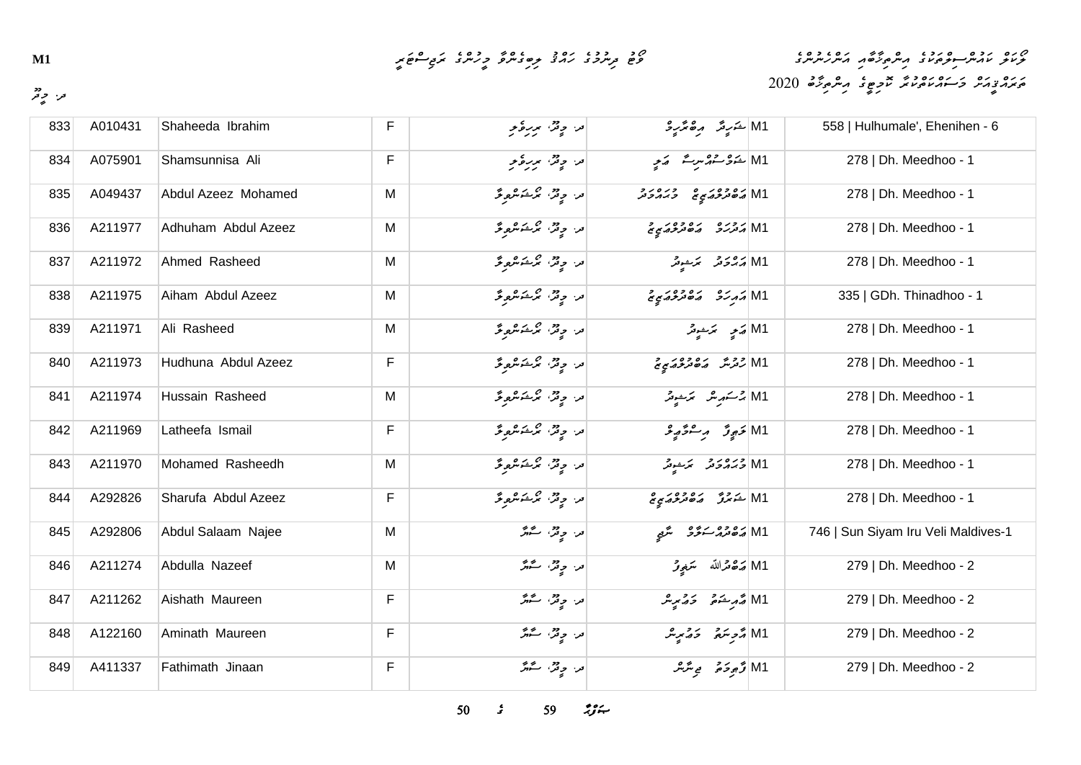*sCw7q7s5w7m< o<n9nOoAw7o< sCq;mAwBoEw7q<m; wBm;vB* م من المرة المرة المرة المرجع المرجع في المركبة 2020<br>مجم*د المريض المربوط المربع المرجع في المراجع المركبة* 

| 833 | A010431 | Shaheeda Ibrahim    | $\mathsf F$  | ىر، چ <sup>ە</sup> ن، برىرە بو      | M1 څوپونگر مرگانگرېزى                                                                                | 558   Hulhumale', Ehenihen - 6      |
|-----|---------|---------------------|--------------|-------------------------------------|------------------------------------------------------------------------------------------------------|-------------------------------------|
| 834 | A075901 | Shamsunnisa Ali     | F            | من حويش مرسوع مع                    | M1 خۇچ مەھمىرىسى ھەمچ                                                                                | 278   Dh. Meedhoo - 1               |
| 835 | A049437 | Abdul Azeez Mohamed | M            | ىن بوتۇ، ئۇشكىرىمۇ ئى               | M1 בסיני באיט פייס ביירי ביירי ביירי ביירי ביירי ביירי ביירי ביירי ביירי ביירי ביירי ביירי ביירי ביי | 278   Dh. Meedhoo - 1               |
| 836 | A211977 | Adhuham Abdul Azeez | M            | ىن برقر، ئۇشكىرى ئى                 | M1 <i>הُدْرَدُ • مُ</i> ھت <i>ر دُور</i> َ ہِمَ                                                      | 278   Dh. Meedhoo - 1               |
| 837 | A211972 | Ahmed Rasheed       | M            | ىر. چ <sup>و</sup> چ، ئۇشكىرى ئىچ   | M1 كەبۇكى كى سىزىقر                                                                                  | 278   Dh. Meedhoo - 1               |
| 838 | A211975 | Aiham Abdul Azeez   | M            | ىن برقرا ئىشكىشىدگى                 | M1 <i>הֿרְבִיב הַפּיכּת אֲ</i> א                                                                     | 335   GDh. Thinadhoo - 1            |
| 839 | A211971 | Ali Rasheed         | M            | ىر. چ <sup>ۈر</sup> ، ئىرىشەنلىرىگە | M1 <i>مَنْ بِهِ</i> مَنْ مِثْرِ                                                                      | 278   Dh. Meedhoo - 1               |
| 840 | A211973 | Hudhuna Abdul Azeez | $\mathsf F$  | ىن بوتۇ، ئۇشكەھرىگە                 | M1 ژیژنگر بره وه پر پر                                                                               | 278   Dh. Meedhoo - 1               |
| 841 | A211974 | Hussain Rasheed     | M            | ىن برقر، ئۇشكىرى ئى                 | M1   جُرْسَم مِرْ سَمَرْ سِمِيْرِ مِرْ                                                               | 278   Dh. Meedhoo - 1               |
| 842 | A211969 | Latheefa Ismail     | $\mathsf F$  | ىن بوتۇ، ئۇشكىرىموگە                | M1 كَيْمِوتْ - مِرْ مُتَوَّمِيكَ                                                                     | 278   Dh. Meedhoo - 1               |
| 843 | A211970 | Mohamed Rasheedh    | M            | ىن ئۆتى ئىشكىرىمى ئى                | M1 <i>وُبَرُوُوَ</i> تَرُ گَرَشِيْتَرُ                                                               | 278   Dh. Meedhoo - 1               |
| 844 | A292826 | Sharufa Abdul Azeez | F            | ىن بوتر، ئۇشكىرمۇنگە                | M1 خەمىرى ھەھىر <i>ھەيجى</i> چ                                                                       | 278   Dh. Meedhoo - 1               |
| 845 | A292806 | Abdul Salaam Najee  | M            | ىن بەش شەھ                          | M1 كەھە <i>تەر مەمۇجەھىتى</i> پ                                                                      | 746   Sun Siyam Iru Veli Maldives-1 |
| 846 | A211274 | Abdulla Nazeef      | M            | ىر. بەيتى، سەيتى                    | M1 كەھ قىراللە     سَرْمَو قر                                                                        | 279   Dh. Meedhoo - 2               |
| 847 | A211262 | Aishath Maureen     | $\mathsf F$  | امر: حرمی، ستهرٌ                    | M1 مَّەرِ شَمَّة – رَمَّ مِرِ سَّر                                                                   | 279   Dh. Meedhoo - 2               |
| 848 | A122160 | Aminath Maureen     | $\mathsf{F}$ | ىر. بوقر، سەر                       | M1 مَّ <i>جِسَمَّة حَمَّ م</i> ِيسَ                                                                  | 279   Dh. Meedhoo - 2               |
| 849 | A411337 | Fathimath Jinaan    | F            | ىر. بەلگە ئىگە                      | M1 ا <i>ؤجوح</i> قر ہے مگ <i>ن</i> گر                                                                | 279   Dh. Meedhoo - 2               |

*50 sC 59 nNw?mS*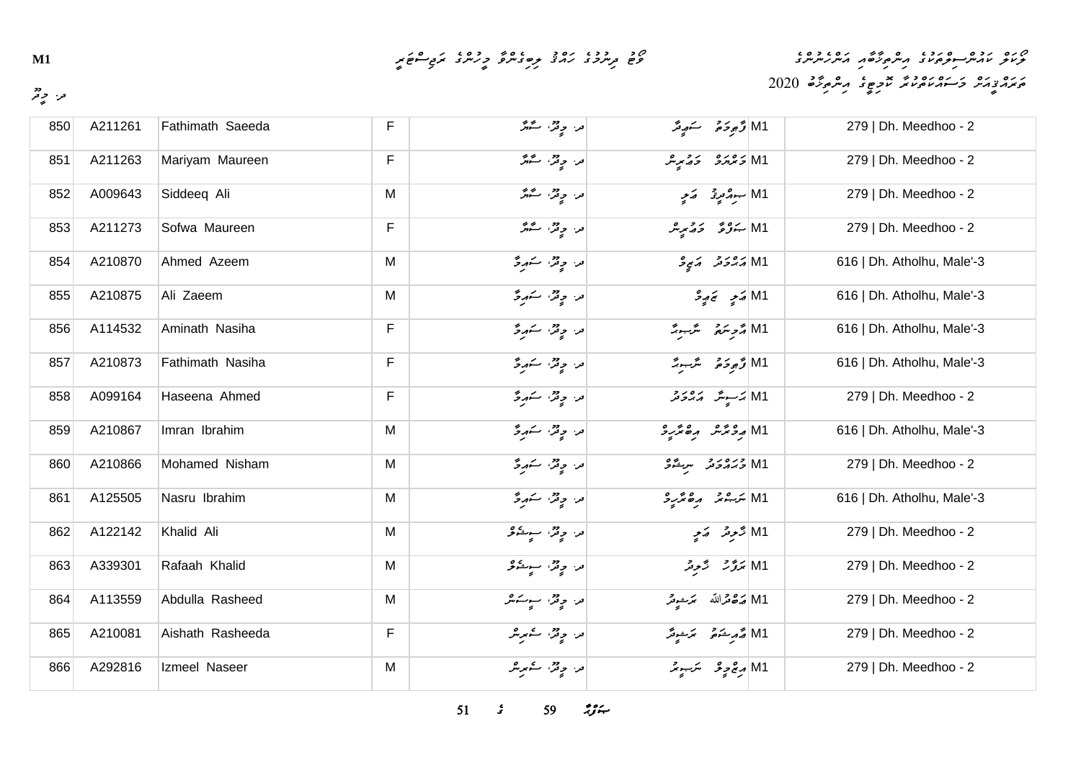*sCw7q7s5w7m< o<n9nOoAw7o< sCq;mAwBoEw7q<m; wBm;vB* م من المرة المرة المرة المرجع المرجع في المركبة 2020<br>مجم*د المريض المربوط المربع المرجع في المراجع المركبة* 

| 850 | A211261 | Fathimath Saeeda | $\mathsf F$ | تر. وفر، سگهر                 | M1  وَّجِرَة حَمَّ صَمِيقَر                                                                          | 279   Dh. Meedhoo - 2      |
|-----|---------|------------------|-------------|-------------------------------|------------------------------------------------------------------------------------------------------|----------------------------|
| 851 | A211263 | Mariyam Maureen  | $\mathsf F$ | ىر. بوقر، سەر                 | M1 كالمحافظة المحامر بالمحمد المحافظة المحافظة المحافظة المحمدة المحمدة المحمدة المحمدة المحمدة المح | 279   Dh. Meedhoo - 2      |
| 852 | A009643 | Siddeeq Ali      | M           | ا در اولار استر               | M1  سورګویو تخه چې ت                                                                                 | 279   Dh. Meedhoo - 2      |
| 853 | A211273 | Sofwa Maureen    | $\mathsf F$ | ىر. بوقر، سەر                 | M1 جۇڭ خەتمىيىتىر                                                                                    | 279   Dh. Meedhoo - 2      |
| 854 | A210870 | Ahmed Azeem      | M           | مر. جي شمر ڪمر ٿ              | M1 كەبرى قىر كەنبى ئى                                                                                | 616   Dh. Atholhu, Male'-3 |
| 855 | A210875 | Ali Zaeem        | M           | ىر. چەش سىرگە                 | M1   رَمِي بَحَ مِرْدَّ                                                                              | 616   Dh. Atholhu, Male'-3 |
| 856 | A114532 | Aminath Nasiha   | F           | ىر، جەنئى سەرى                | M1 مُتَّحِسَمَةٌ مَتَّسِيدٌ                                                                          | 616   Dh. Atholhu, Male'-3 |
| 857 | A210873 | Fathimath Nasiha | F           | ىر، جەنئى، سىمەتى             | M1 تَرْجِوحَة مَّتَرْسِيَّتْهُ                                                                       | 616   Dh. Atholhu, Male'-3 |
| 858 | A099164 | Haseena Ahmed    | $\mathsf F$ | ىر. چەقتى، سىمبرىگ            | M1   بَرْسِيعٌ   مَدْحَقْر                                                                           | 279   Dh. Meedhoo - 2      |
| 859 | A210867 | Imran Ibrahim    | M           | ىر. چەقتى، سىمبرىگ            | M1 مِرْحَمَّىْر مِنْ مِّرْبِرْ                                                                       | 616   Dh. Atholhu, Male'-3 |
| 860 | A210866 | Mohamed Nisham   | M           | ىر، جەنئى سەرى                | M1 <i>5 بەدى قىر س</i> ېشى                                                                           | 279   Dh. Meedhoo - 2      |
| 861 | A125505 | Nasru Ibrahim    | M           | ىر. چەقتى، سىمبرىگ            | M1 ىرجى مەھ ئرىي ئى                                                                                  | 616   Dh. Atholhu, Male'-3 |
| 862 | A122142 | Khalid Ali       | M           | ىر. بەتر، سوشۇر               | M1 تَرْمِتْر   رَمِّي                                                                                | 279   Dh. Meedhoo - 2      |
| 863 | A339301 | Rafaah Khalid    | M           | ىر. بەتر، سوشۇنئ              | M1 بَرَوَّرُ گَرِيْرُ                                                                                | 279   Dh. Meedhoo - 2      |
| 864 | A113559 | Abdulla Rasheed  | M           | ىر. بوقۇ، سوسكىلار            | M1 كەھەراللە كەخبەتر                                                                                 | 279   Dh. Meedhoo - 2      |
| 865 | A210081 | Aishath Rasheeda | $\mathsf F$ | امرا پرچرا ڪمبرنگر            | M1 مَگرمِسْتَعْرِ كَمَنْ مِنْتَفِيرَ                                                                 | 279   Dh. Meedhoo - 2      |
| 866 | A292816 | Izmeel Naseer    | M           | ىر. ب <sub>و</sub> قۇ، سەيرىش | M1 <sub>مر</sub> ج <sub>حو</sub> ثر - سَرَسوشر                                                       | 279   Dh. Meedhoo - 2      |

 $51$  *s*  $59$   $23$   $...$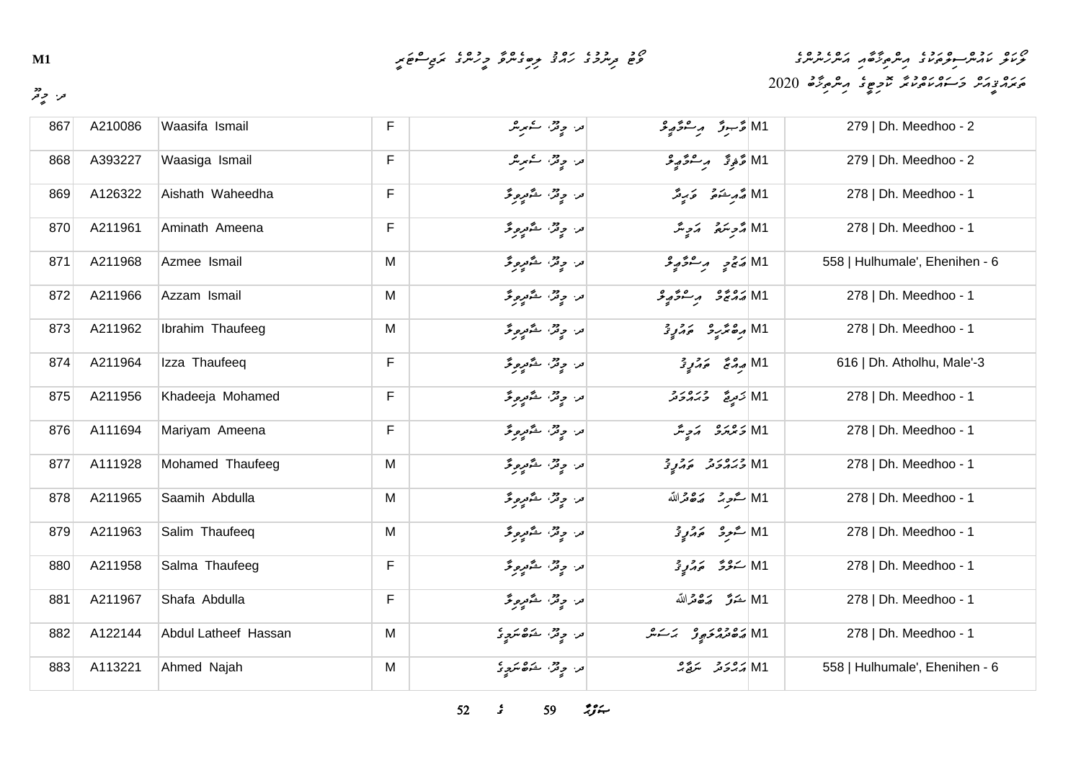*sCw7q7s5w7m< o<n9nOoAw7o< sCq;mAwBoEw7q<m; wBm;vB* م من المرة المرة المرة المرجع المرجع في المركبة 2020<br>مجم*د المريض المربوط المربع المرجع في المراجع المركبة* 

| 867 | A210086 | Waasifa Ismail       | $\mathsf F$  | ىر. بوقۇ، سەيرىكى               | M1 قُ سِوتٌر مِ سُوَّ مِرْ وَ                                                          | 279   Dh. Meedhoo - 2          |
|-----|---------|----------------------|--------------|---------------------------------|----------------------------------------------------------------------------------------|--------------------------------|
| 868 | A393227 | Waasiga Ismail       | $\mathsf F$  | ا در امریکر، سکامریکر           | M1 مۇن <sub>ۇ</sub> تى ب <i>وشۇم</i> ور                                                | 279   Dh. Meedhoo - 2          |
| 869 | A126322 | Aishath Waheedha     | F            | امر: وِمْرٌ، ڪُمبِرِهِ گُ       | M1 مَگهرِ مُشَمَّدٌ کَهرِ مَدَّ                                                        | 278   Dh. Meedhoo - 1          |
| 870 | A211961 | Aminath Ameena       | $\mathsf{F}$ | ىر. چ <sup>و</sup> ش ئىشتىرە ئى | M1 مَجْ سَعْهُ مَجِيثَر                                                                | 278   Dh. Meedhoo - 1          |
| 871 | A211968 | Azmee Ismail         | M            | ىر. دەر. ئۇنروق                 | M1 <i>چَچَ وِ مِسْوَّودٍ وَ</i>                                                        | 558   Hulhumale', Ehenihen - 6 |
| 872 | A211966 | Azzam Ismail         | M            | ىر. دولار، ئۇنروڭ               | M1 <i>مَمْہُ جَ مِسْوَّم</i> ِ وَ                                                      | 278   Dh. Meedhoo - 1          |
| 873 | A211962 | Ibrahim Thaufeeg     | M            | ىر. رەش ئەترىرىگ                | M1 مِرْحَمَّدِ وَمَحْمَدٍ وَ اللَّهِ اللَّهِ عَلَيْهِ مِنْ اللَّهِ مِنْ اللَّهِ مِنْ ا | 278   Dh. Meedhoo - 1          |
| 874 | A211964 | Izza Thaufeeq        | $\mathsf F$  | ىر. دېر، ئۇنروگر                | M1 م <i>وهنگ حوم پي</i>                                                                | 616   Dh. Atholhu, Male'-3     |
| 875 | A211956 | Khadeeja Mohamed     | F            | ىر. دەر. ئۇنروق                 | M1  تَرْمَدِيَّةُ صَمَّدَة مَّرْ                                                       | 278   Dh. Meedhoo - 1          |
| 876 | A111694 | Mariyam Ameena       | $\mathsf F$  | مرا - جِنْسُ الشَّعْرِهِ مُحَ   | M1 كەبىر بىر مەر بىر                                                                   | 278   Dh. Meedhoo - 1          |
| 877 | A111928 | Mohamed Thaufeeg     | M            | ىر. دولار، ئۇنروڭ               | M1 <i>وُبَرُوُوَ تَرَ وَمُرَبِّوَ</i>                                                  | 278   Dh. Meedhoo - 1          |
| 878 | A211965 | Saamih Abdulla       | M            | ىر. دولا، ئىگەرەرگە             | M1 گوپر ک <i>ی چ</i> وگرالله                                                           | 278   Dh. Meedhoo - 1          |
| 879 | A211963 | Salim Thaufeeq       | M            | ىر. دولا، ئەھرەر ئى             | M1 گىموژ ئ <i>وم</i> ۇپۇ                                                               | 278   Dh. Meedhoo - 1          |
| 880 | A211958 | Salma Thaufeeg       | F            | ىر. دۇر. ئىگەرەڭ                | M1 سَعْرَقَ حَ <i>وَدُوِي</i> َّةَ                                                     | 278   Dh. Meedhoo - 1          |
| 881 | A211967 | Shafa Abdulla        | F            | ا در امریکر، سگامرہ گر          | M1 خَوَرَ صَرْهُ قَرْاللّه                                                             | 278   Dh. Meedhoo - 1          |
| 882 | A122144 | Abdul Latheef Hassan | M            | ىن ئۇتى شەھىكرىرى               | M1 <i>مَـ ڤَ ترمُ جَ ج</i> ِ تَر سَمَّسُ                                               | 278   Dh. Meedhoo - 1          |
| 883 | A113221 | Ahmed Najah          | M            | ىر. برقر، شكەشرىرى              | M1 كەبۇر تىر ئىن ئىس                                                                   | 558   Hulhumale', Ehenihen - 6 |

 $52$  *s*  $59$   $23$   $...$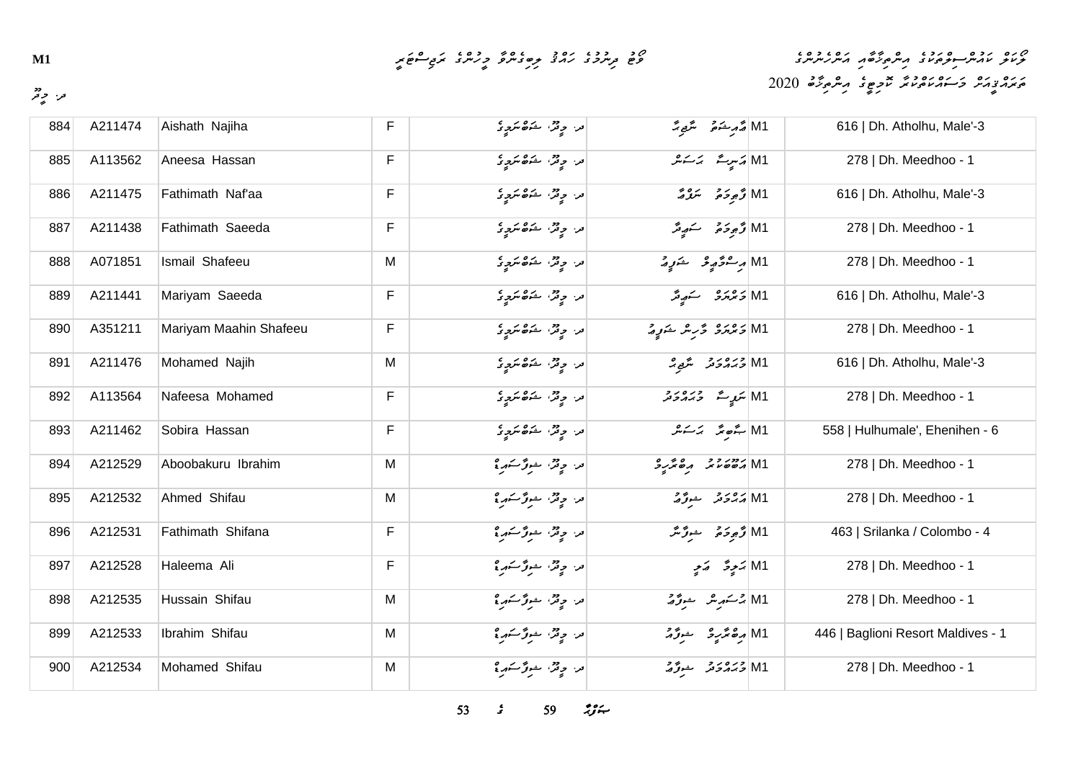*sCw7q7s5w7m< o<n9nOoAw7o< sCq;mAwBoEw7q<m; wBm;vB* م من المرة المرة المرة المرجع المرجع في المركبة 2020<br>مجم*د المريض المربوط المربع المرجع في المراجع المركبة* 

| 884 | A211474 | Aishath Najiha         | $\mathsf F$ | ىر. ئ <sub>ۇ</sub> تۇ، ش <i>ۇھىترى</i> رى      | M1 مَەربىسَى مۇي ئىگە بىر                   | 616   Dh. Atholhu, Male'-3         |
|-----|---------|------------------------|-------------|------------------------------------------------|---------------------------------------------|------------------------------------|
| 885 | A113562 | Aneesa Hassan          | F           | ىر. ئۇنى شكەھ سكرىرى                           | M1  مَسِرِسُمُ سَتَسْر                      | 278   Dh. Meedhoo - 1              |
| 886 | A211475 | Fathimath Naf'aa       | F           | ىر. دۇر، شكەھلىردۇ.                            | M1 تَ <i>جِ حَقَّ سَمَّدُهُ</i> ّ           | 616   Dh. Atholhu, Male'-3         |
| 887 | A211438 | Fathimath Saeeda       | F           | ىر. ئ <sub>و</sub> تر، ئىكھەترى <sub>چ</sub> ى | M1 گَءِحَءُ سَم <i>ُ پ</i> ِ مَّ            | 278   Dh. Meedhoo - 1              |
| 888 | A071851 | Ismail Shafeeu         | M           | الله المحمرة الشكل المحمد المحمد والمحمد       | M1 مرشۇم <sub>ۇ</sub> ئىستى <i>مى</i> ئى    | 278   Dh. Meedhoo - 1              |
| 889 | A211441 | Mariyam Saeeda         | F           | ىر. بوقر، ئىكەشرىرى                            | M1  ى ئەيرىقە سىمبەتتە                      | 616   Dh. Atholhu, Male'-3         |
| 890 | A351211 | Mariyam Maahin Shafeeu | F           | ىر. دۇر، شەھلىردى                              | M1 كَمَرْتَرْدَ ۖ دُرِسْ شَوَرٍ مُّ         | 278   Dh. Meedhoo - 1              |
| 891 | A211476 | Mohamed Najih          | M           | ىر. ئ <sub>و</sub> تر، ئىكھەترى <sub>چ</sub> ى | M1   ج <i>ر بر\$و ج</i> ر سمَّدِ جر         | 616   Dh. Atholhu, Male'-3         |
| 892 | A113564 | Nafeesa Mohamed        | F           | ىر. دۇر، شەھلىردى                              | M1 <i>سَموِتْہ حُہَ مُح</i> قر              | 278   Dh. Meedhoo - 1              |
| 893 | A211462 | Sobira Hassan          | F           | ىر. دۇر، شكەشرىرى                              | M1 بڻو پڻر پر سندس                          | 558   Hulhumale', Ehenihen - 6     |
| 894 | A212529 | Aboobakuru Ibrahim     | M           | قرا وقرا سورٌ ڪري                              | M1 روز دو مقبره                             | 278   Dh. Meedhoo - 1              |
| 895 | A212532 | Ahmed Shifau           | M           | قرا وقرش ڪوڙڪوري                               | M1 , <i>کەرى گەنى</i> ھەر <i>ۇر</i>         | 278   Dh. Meedhoo - 1              |
| 896 | A212531 | Fathimath Shifana      | F           | قرا وقرش ڪوڙڪوري                               | M1 رَّجِ حَمَّ صَورَّ مَّر                  | 463   Srilanka / Colombo - 4       |
| 897 | A212528 | Haleema Ali            | F           | ىن جەنئى سوگە سىردە                            | M1 بَرْجِرَة - مَرْجِ                       | 278   Dh. Meedhoo - 1              |
| 898 | A212535 | Hussain Shifau         | M           | ىر، بەلۇر، سىرۇسكىرى؟                          | M1 برُسَمبر شَرِ وَ حَمَدَ اللہ             | 278   Dh. Meedhoo - 1              |
| 899 | A212533 | Ibrahim Shifau         | M           | قرا وقرش ڪور گھونا و                           | M1 مەھمىر ئىس ئىستىدۇر                      | 446   Baglioni Resort Maldives - 1 |
| 900 | A212534 | Mohamed Shifau         | M           | قرا وقرش ڪوڙڪوري                               | M1   ج <i>ُرُدُ جُودُ</i> شِع <i>ِوْ مُ</i> | 278   Dh. Meedhoo - 1              |

 $53$   $5$   $59$   $59$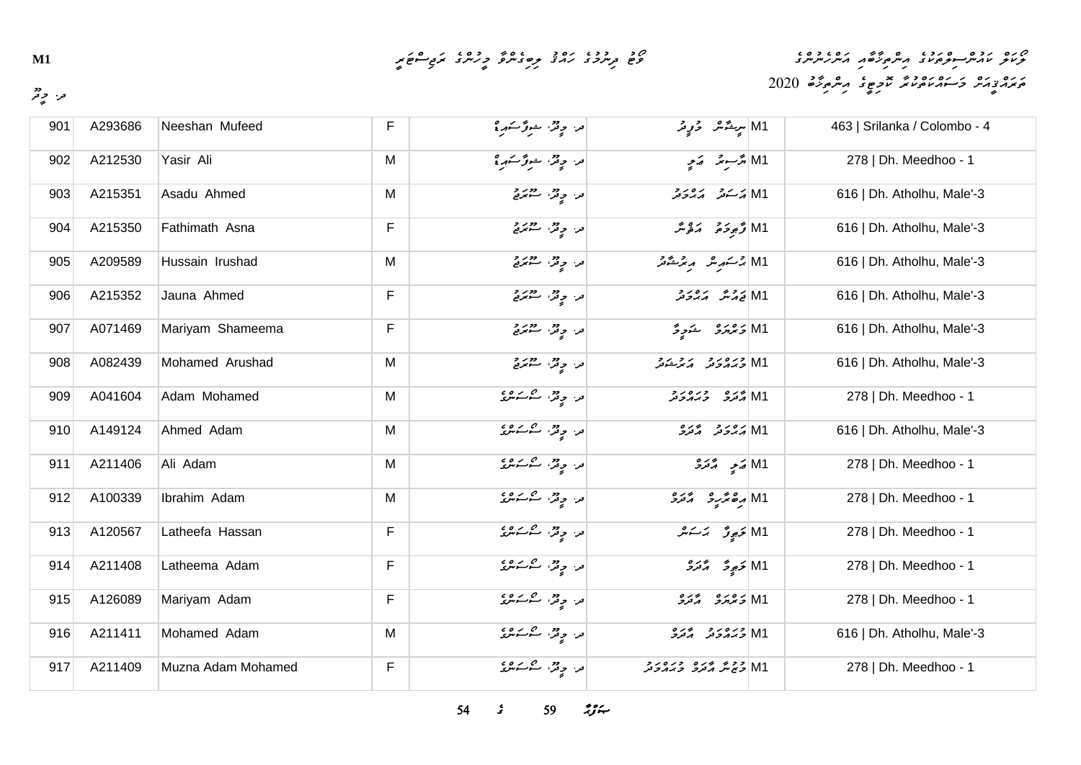*sCw7q7s5w7m< o<n9nOoAw7o< sCq;mAwBoEw7q<m; wBm;vB* م من المرة المرة المرة المرجع المرجع في المركبة 2020<br>مجم*د المريض المربوط المربع المرجع في المراجع المركبة* 

| 901 | A293686 | Neeshan Mufeed     | $\mathsf{F}$ | ىر، بەلۇر، سىرۇسكىر ؟        | M1 سِرِشَہْر ڈوپِتْر                     | 463   Srilanka / Colombo - 4 |
|-----|---------|--------------------|--------------|------------------------------|------------------------------------------|------------------------------|
| 902 | A212530 | Yasir Ali          | M            | قرا وقرا سورگ مکر کا         | M1 پڙسويز ڪچي                            | 278   Dh. Meedhoo - 1        |
| 903 | A215351 | Asadu Ahmed        | M            | ا در او ده مع در د           | M1 كەسكەتىر كەرگەنگەر                    | 616   Dh. Atholhu, Male'-3   |
| 904 | A215350 | Fathimath Asna     | $\mathsf F$  | قرا وفرا مصرفة               | M1 قَەمِرَىق مَەشْر                      | 616   Dh. Atholhu, Male'-3   |
| 905 | A209589 | Hussain Irushad    | M            | یں وقتی مصرم                 | M1 ترسَمبِ شَر مِهْرَ يَشْعَرُ           | 616   Dh. Atholhu, Male'-3   |
| 906 | A215352 | Jauna Ahmed        | $\mathsf F$  | یں وقت مصریح                 | M1 كۆپرىتىر كەندىخەتىر                   | 616   Dh. Atholhu, Male'-3   |
| 907 | A071469 | Mariyam Shameema   | $\mathsf F$  | قرا وفرا مصرفة               | M1 كاعرىزى ھەرىج                         | 616   Dh. Atholhu, Male'-3   |
| 908 | A082439 | Mohamed Arushad    | M            | ا مر المحرقر المستقبل المحرج | M1 <i>وُبَرُهُ وَبَوْ • مَرَّسْدَمْ</i>  | 616   Dh. Atholhu, Male'-3   |
| 909 | A041604 | Adam Mohamed       | M            | ىر. بوقۇ، سەسىرى             | M1 , گەنزى ئەرەبەر ئە                    | 278   Dh. Meedhoo - 1        |
| 910 | A149124 | Ahmed Adam         | M            | ىن بوتر، سى ئىرە ،           | M1 كەبرى قىر ئەترى                       | 616   Dh. Atholhu, Male'-3   |
| 911 | A211406 | Ali Adam           | M            | ىر. بوقۇ، سەستەتلىكە         | M1 كەي گەترى                             | 278   Dh. Meedhoo - 1        |
| 912 | A100339 | Ibrahim Adam       | M            | ىن جەنتى، سىگە سىرىمىتى      | M1 مەھمىر ئەھمىدە                        | 278   Dh. Meedhoo - 1        |
| 913 | A120567 | Latheefa Hassan    | $\mathsf F$  | ىن بوقر، سىمسىرە ،           | M1 كۇچ <sub>ۇ</sub> گە بەسكەنلە          | 278   Dh. Meedhoo - 1        |
| 914 | A211408 | Latheema Adam      | F            | ىن جەنئى، سىگە ئىكەنگە       | M1 خَھِرَّۃٌ مُرَّمَّزَۃٌ                | 278   Dh. Meedhoo - 1        |
| 915 | A126089 | Mariyam Adam       | $\mathsf F$  | ىن بوقر، شەھبىرى             | M1 كەبىر بەر ئەرە                        | 278   Dh. Meedhoo - 1        |
| 916 | A211411 | Mohamed Adam       | M            | ىر. بوقۇ، سەسىتىرى           | M1 <i>ۋېزون پې</i> تو                    | 616   Dh. Atholhu, Male'-3   |
| 917 | A211409 | Muzna Adam Mohamed | $\mathsf F$  | ىر. بوقۇ، سەسىرى             | M1   ج چ پ <i>ڙ , چُوَرَ جي جي ج</i> و س | 278   Dh. Meedhoo - 1        |

 $54$   $5$   $59$   $23$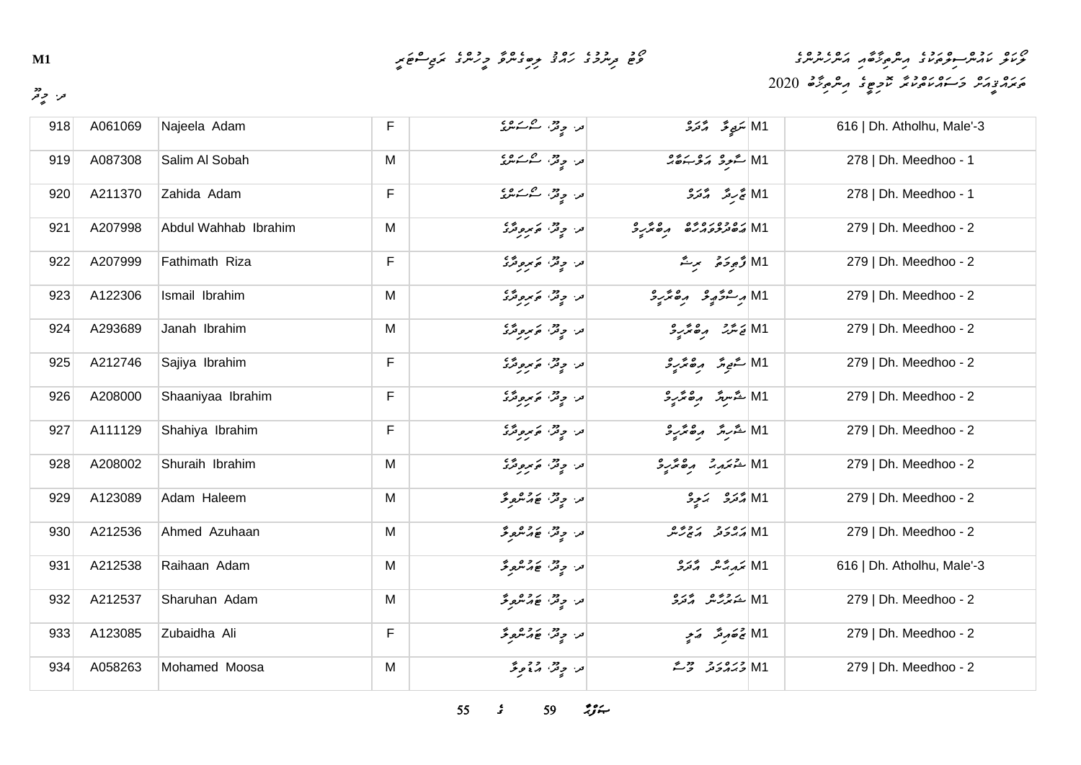*sCw7q7s5w7m< o<n9nOoAw7o< sCq;mAwBoEw7q<m; wBm;vB* م من المرة المرة المرة المرجع المرجع في المركبة 2020<br>مجم*د المريض المربوط المربع المرجع في المراجع المركبة* 

| 918 | A061069 | Najeela Adam         | $\mathsf{F}$ | ىر. جەنئى، سىگەسىمى                         | M1 سَمِعٍ مَحْ مَحَمَدً                | 616   Dh. Atholhu, Male'-3 |
|-----|---------|----------------------|--------------|---------------------------------------------|----------------------------------------|----------------------------|
| 919 | A087308 | Salim Al Sobah       | M            | ىن بوقر، سىمسىرە ،                          | M1 گېږ <i>ی ټرې ش</i> څر               | 278   Dh. Meedhoo - 1      |
| 920 | A211370 | Zahida Adam          | $\mathsf F$  | ىن بوقۇ، سەسىرە ئ                           |                                        | 278   Dh. Meedhoo - 1      |
| 921 | A207998 | Abdul Wahhab Ibrahim | M            | ىر. چ <sup>و</sup> چ، ئ <i>ۇمرە قرى</i>     | M1 مقر معرف مقبر مقبر من               | 279   Dh. Meedhoo - 2      |
| 922 | A207999 | Fathimath Riza       | F            | ىر. چ <sup>و</sup> چ، ئ <i>ۇيرو</i> ترى     | M1 <i>وَّجِوَدَة</i> مِنَّۃ            | 279   Dh. Meedhoo - 2      |
| 923 | A122306 | Ismail Ibrahim       | M            | ىر. چ <sup>و</sup> چر، ئ <i>ۇ برە ب</i> رگە | M1 مِ سْمُوَّمِهِ عَنْ مِنْ مَّرْبِ وَ | 279   Dh. Meedhoo - 2      |
| 924 | A293689 | Janah Ibrahim        | M            | ىر. چ <sup>و</sup> چ، ئ <i>ۇمرەپىرى</i>     | M1 كَج مَّرْرَ مَتَّ صَحَّرَ تِرْدَّ   | 279   Dh. Meedhoo - 2      |
| 925 | A212746 | Sajiya Ibrahim       | $\mathsf F$  | تر: جٍنْشٌ، بِجَمْعِرِهِ تَرْى              | M1 گەمەم <i>ۇر مەھ ئۇر</i> ئى          | 279   Dh. Meedhoo - 2      |
| 926 | A208000 | Shaaniyaa Ibrahim    | $\mathsf F$  | ىر. چ <sup>و</sup> چ، ئ <i>ۇمرەپىرى</i>     | M1 شَمْسِرَّ مِـ صَمَّرِةِ _           | 279   Dh. Meedhoo - 2      |
| 927 | A111129 | Shahiya Ibrahim      | F            | ىر. چ <sup>و</sup> چ، ئ <i>ۇمرەپىرى</i>     | M1 ڪُربرَ رصمَربِ5                     | 279   Dh. Meedhoo - 2      |
| 928 | A208002 | Shuraih Ibrahim      | M            | ىر. ج <sup>و</sup> ش ئ <i>و بىرە ق</i> رى   | M1 څخ <i>مکړيز پر مخکرچ</i>            | 279   Dh. Meedhoo - 2      |
| 929 | A123089 | Adam Haleem          | M            | ىر. ج <sup>وم</sup> ، ھەرسمونۇ              | M1 , گ <sup>5</sup> ر کا بر کار کرد    | 279   Dh. Meedhoo - 2      |
| 930 | A212536 | Ahmed Azuhaan        | M            | ىر. دېر، ھەرسمبرگ                           | M1 <i>ב بروتر می ش</i> ر               | 279   Dh. Meedhoo - 2      |
| 931 | A212538 | Raihaan Adam         | M            | ىر. برقر، ھەر سىرقى                         | M1 بَرَمِ بُرَّسْ مُرْمَرْدَ           | 616   Dh. Atholhu, Male'-3 |
| 932 | A212537 | Sharuhan Adam        | M            | ىر. ج <sup>وم</sup> ، ھەرسمونۇ              | M1 ڪنر <i>ي شهري هوري</i>              | 279   Dh. Meedhoo - 2      |
| 933 | A123085 | Zubaidha Ali         | F            | ىر. ج <sup>وم</sup> ، ھەرسمونۇ              | M1 نج ھَ مِر شَر جَر جِ                | 279   Dh. Meedhoo - 2      |
| 934 | A058263 | Mohamed Moosa        | M            | ىر. دېگر، مەيمۇ ئوگ                         | M1 <i>5 &gt; 3 &gt; 3 × 3 × 3</i>      | 279   Dh. Meedhoo - 2      |

 $55$   $5$   $59$   $59$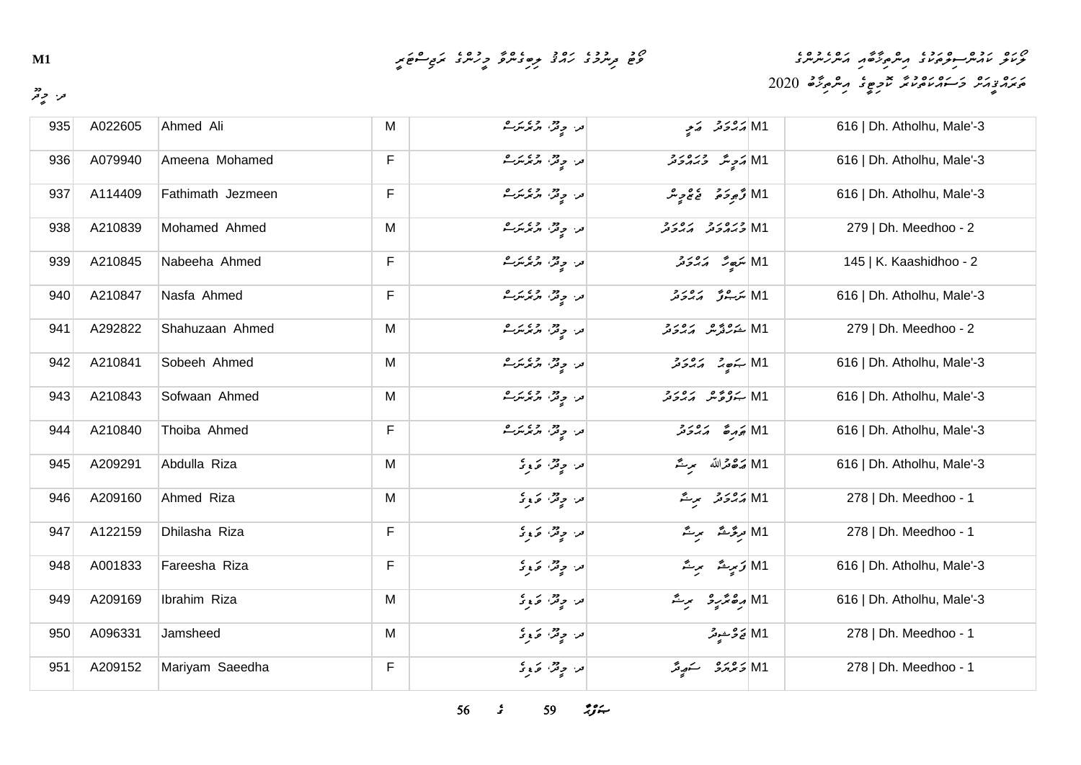*sCw7q7s5w7m< o<n9nOoAw7o< sCq;mAwBoEw7q<m; wBm;vB* م من المرة المرة المرة المرجع المرجع في المركبة 2020<br>مجم*د المريض المربوط المربع المرجع في المراجع المركبة* 

| 935 | A022605 | Ahmed Ali         | M           | ىر. جەنقى مەيرىكرىشە          | M1 <i>ټرې</i> وتر ک <i>ې</i> مو  | 616   Dh. Atholhu, Male'-3 |
|-----|---------|-------------------|-------------|-------------------------------|----------------------------------|----------------------------|
| 936 | A079940 | Ameena Mohamed    | F           | ىر. دەر مەترىكرىش             | M1   كەچ ئىر ئەس ئەر ئىر         | 616   Dh. Atholhu, Male'-3 |
| 937 | A114409 | Fathimath Jezmeen | $\mathsf F$ | ىر. دې مەركىرىگ               | M1 رَّجِ حَرَّمَ ۚ يَ يَحْ حِ سَ | 616   Dh. Atholhu, Male'-3 |
| 938 | A210839 | Mohamed Ahmed     | M           | ىن جەنقى مەيمەتكەش            | M1 <i>32022 م</i> روبر           | 279   Dh. Meedhoo - 2      |
| 939 | A210845 | Nabeeha Ahmed     | F           | الله المحيض المرتكز من المحمد | M1 سَھِرَّ     ہَ بُرْحَ مَدْ    | 145   K. Kaashidhoo - 2    |
| 940 | A210847 | Nasfa Ahmed       | $\mathsf F$ | امر: ووفر، وزعر سرت           | M1 سَرْبِيوْسَ مَدَرَمْر         | 616   Dh. Atholhu, Male'-3 |
| 941 | A292822 | Shahuzaan Ahmed   | M           | ىر. دولا، مەيرىكرىش           | M1 خەرنۇش كەردىر                 | 279   Dh. Meedhoo - 2      |
| 942 | A210841 | Sobeeh Ahmed      | M           | ىر. دې مەركىرىگ               | M1 بەھەير كەبرى قىر              | 616   Dh. Atholhu, Male'-3 |
| 943 | A210843 | Sofwaan Ahmed     | M           | ىر. دولا، مەيرىكرىش           | M1 بەزەپىر بەيرەتر               | 616   Dh. Atholhu, Male'-3 |
| 944 | A210840 | Thoiba Ahmed      | F           | ىر. جەنئى، مەكرىكرىشە         | M1 بَوَمِرةٌ مَدَّدَمَّر         | 616   Dh. Atholhu, Male'-3 |
| 945 | A209291 | Abdulla Riza      | M           | ىر، بې تۇ، ئۇيۇ               | M1 كَرْھْ مْرَاللَّهُ مِنْ مَّ   | 616   Dh. Atholhu, Male'-3 |
| 946 | A209160 | Ahmed Riza        | M           | تر، چ <sup>ود</sup> ، ځونه    | M1  رَجْدَتْرَ مِرِتَّہُ         | 278   Dh. Meedhoo - 1      |
| 947 | A122159 | Dhilasha Riza     | $\mathsf F$ | مر، ج <sup>وم</sup> ر، عروم   | M1 مرگزشہ مرت                    | 278   Dh. Meedhoo - 1      |
| 948 | A001833 | Fareesha Riza     | $\mathsf F$ | ىر. چ <sup>ور</sup> ، ئۇيۇ    | M1 کرسیے میٹ                     | 616   Dh. Atholhu, Male'-3 |
| 949 | A209169 | Ibrahim Riza      | M           | ىر. چ <sup>ور</sup> ، قروڭ    | M1 پر <i>هنگرد</i> مرت           | 616   Dh. Atholhu, Male'-3 |
| 950 | A096331 | Jamsheed          | M           | ىر، بې تۇ، ئۇيۇ               | M1 تح <sup>8</sup> شير تر        | 278   Dh. Meedhoo - 1      |
| 951 | A209152 | Mariyam Saeedha   | $\mathsf F$ | مرا ولارا تروکر               | M1 كا يمريز محصوصيتر             | 278   Dh. Meedhoo - 1      |

 $56$   $5$   $59$   $\frac{6}{5}$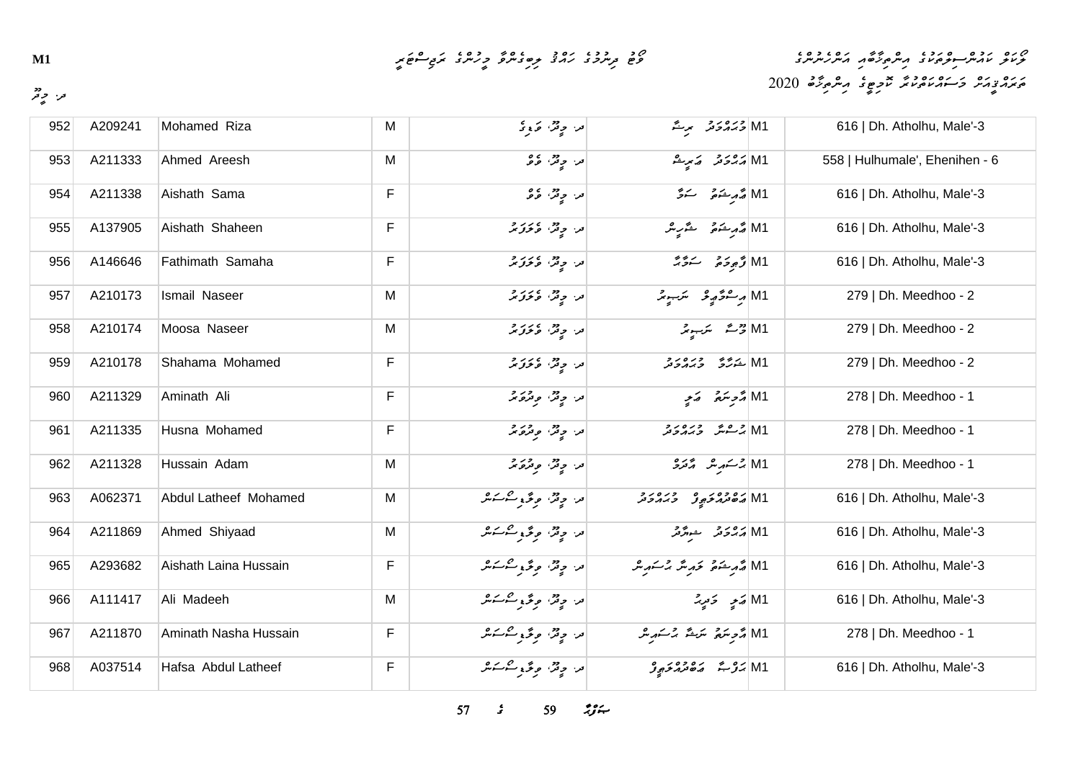*sCw7q7s5w7m< o<n9nOoAw7o< sCq;mAwBoEw7q<m; wBm;vB* م من المرة المرة المرة المرجع المرجع في المركبة 2020<br>مجم*د المريض المربوط المربع المرجع في المراجع المركبة* 

| 952 | A209241 | Mohamed Riza          | M            | ىر. چ <sup>وچ</sup> ، ھَ ۽ ئ                   | M1  <i>وټرونو بې</i> نگه                              | 616   Dh. Atholhu, Male'-3     |
|-----|---------|-----------------------|--------------|------------------------------------------------|-------------------------------------------------------|--------------------------------|
| 953 | A211333 | Ahmed Areesh          | M            | ىر. چ <sup>ور،</sup> خەھ                       | M1 كەبرى كىمى كەر بىر ئىس                             | 558   Hulhumale', Ehenihen - 6 |
| 954 | A211338 | Aishath Sama          | $\mathsf F$  | ىر. چ <sup>وش</sup> خەھ                        | $5 - 22$                                              | 616   Dh. Atholhu, Male'-3     |
| 955 | A137905 | Aishath Shaheen       | $\mathsf F$  | ىر چەش ھۆتەتە                                  | M1 مَگْرِسْتَوْمُ شَگْرِسْر                           | 616   Dh. Atholhu, Male'-3     |
| 956 | A146646 | Fathimath Samaha      | $\mathsf F$  | ىر. دەپر، ئەنزىر                               | M1 زَّجِ دَمَّةَ سَوَّبَّ                             | 616   Dh. Atholhu, Male'-3     |
| 957 | A210173 | Ismail Naseer         | M            | ىر. چ <sup>و</sup> چ، ئ <i>ۇتۇت</i> ر          | M1 م <sub>و</sub> سے وَّ م <sub>ی</sub> قی سَرَسومِرَ | 279   Dh. Meedhoo - 2          |
| 958 | A210174 | Moosa Naseer          | M            | ىر: رەپى، ئەنزىر                               | M1 چڙ سگرسومگر                                        | 279   Dh. Meedhoo - 2          |
| 959 | A210178 | Shahama Mohamed       | $\mathsf F$  | ىر: رەپى، ئەنزىر                               | M1  خەرج ئەم ئەرەبىر                                  | 279   Dh. Meedhoo - 2          |
| 960 | A211329 | Aminath Ali           | F            | ىر. چ <sup>و</sup> ر، جەنز <i>ە</i> بر         | M1 مَّحِسَمَّۃ مَجِ                                   | 278   Dh. Meedhoo - 1          |
| 961 | A211335 | Husna Mohamed         | $\mathsf{F}$ | د. دٍیْرٌ، ویژونر                              | M1 يُرْمِسٌ حَيَدُ وَحَدَ                             | 278   Dh. Meedhoo - 1          |
| 962 | A211328 | Hussain Adam          | M            | تر ۔ وِتْرٌ، وِتْرُوَسُ                        | M1 بڑےمبر شہ مج تھر تھ                                | 278   Dh. Meedhoo - 1          |
| 963 | A062371 | Abdul Latheef Mohamed | M            | ىر. چ <sup>ور</sup> ، م <sub>و</sub> ڭروشكىش   | M1 בפינג בית 25 ב-20 ב                                | 616   Dh. Atholhu, Male'-3     |
| 964 | A211869 | Ahmed Shiyaad         | M            | ىر. بېرتى، بېرىقى كىسكىش                       |                                                       | 616   Dh. Atholhu, Male'-3     |
| 965 | A293682 | Aishath Laina Hussain | $\mathsf F$  | ىر. بېرىش بولۇپوسكوسكىلار                      | M1 مەم ئىكىمى ئىمرىگر برىسكىرىك                       | 616   Dh. Atholhu, Male'-3     |
| 966 | A111417 | Ali Madeeh            | M            | د. دٍیْرٌ، وِ دُّ ۽ سُکسَر                     | M1  رَرِ کورِ تَر                                     | 616   Dh. Atholhu, Male'-3     |
| 967 | A211870 | Aminath Nasha Hussain | $\mathsf F$  | در اویژ، او دو یا مشکسه                        | M1 مَّ حِ سَمَّى سَرْشَہ بِرْ سَنَہِ سَرْ             | 278   Dh. Meedhoo - 1          |
| 968 | A037514 | Hafsa Abdul Latheef   | F            | ەر چ <sup>و</sup> ر، م <sub>و</sub> قروشىت مىر | M1 ئۇبۇ مەھ <i>ىرمۇمۇ</i> ر                           | 616   Dh. Atholhu, Male'-3     |

*57 sC 59 nNw?mS*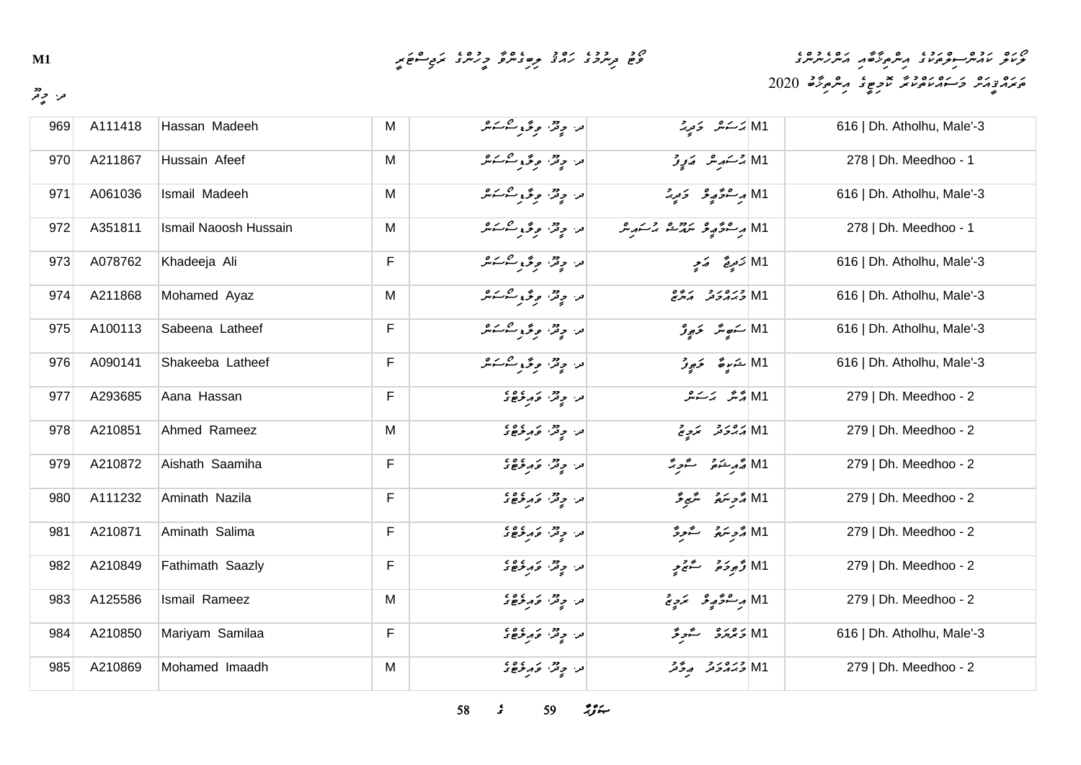*sCw7q7s5w7m< o<n9nOoAw7o< sCq;mAwBoEw7q<m; wBm;vB* م من المرة المرة المرة المرجع المرجع في المركبة 2020<br>مجم*د المريض المربوط المربع المرجع في المراجع المركبة* 

| 969 | A111418 | Hassan Madeeh         | M           | ىر. بوتر، بوڭروشكىش                   | M1   پرسکس کی توبر ج                    | 616   Dh. Atholhu, Male'-3 |
|-----|---------|-----------------------|-------------|---------------------------------------|-----------------------------------------|----------------------------|
| 970 | A211867 | Hussain Afeef         | M           | ىر. چ <sup>وش</sup> مەنگەنىڭ ئىسكىلگە | M1   پرسکو سرگ کرکو تو تو تو ت          | 278   Dh. Meedhoo - 1      |
| 971 | A061036 | Ismail Madeeh         | M           | ىر. چ <sup>ون</sup> مەنگەنىڭ ئىسكىش   | M1 م گوگھ بھی تحمیر ج                   | 616   Dh. Atholhu, Male'-3 |
| 972 | A351811 | Ismail Naoosh Hussain | M           | مرا چرقرا او محرو کشور کشور           | M1 مەشگەپ ئىر ئىش ئەسىر ش               | 278   Dh. Meedhoo - 1      |
| 973 | A078762 | Khadeeja Ali          | F           | ىر. چ <sup>وش</sup> مەنگەنىڭ ئىسكىلگە | M1  تَرَمِيعٌ – صَرِّحٍ                 | 616   Dh. Atholhu, Male'-3 |
| 974 | A211868 | Mohamed Ayaz          | M           | ىر. بوتر، بوڭروشكىش                   | M1 <i>5222 كەيۋە</i>                    | 616   Dh. Atholhu, Male'-3 |
| 975 | A100113 | Sabeena Latheef       | $\mathsf F$ | ىر. چ <sup>وش</sup> مەنگەنىڭ ئىسكىلگە | M1 ڪوپٽر  ترج <sub>و</sub> ثر           | 616   Dh. Atholhu, Male'-3 |
| 976 | A090141 | Shakeeba Latheef      | $\mathsf F$ | ىر. دېتر، موگۇ يەسكەنگە               | M1 ڪَمِدٍ صَبَح جَمِيوتر                | 616   Dh. Atholhu, Male'-3 |
| 977 | A293685 | Aana Hassan           | F           | در وجه و مرحوع                        | M1 پژنتر برسکانر                        | 279   Dh. Meedhoo - 2      |
| 978 | A210851 | Ahmed Rameez          | M           | د چش قهر وه د                         | M1 كەش <sup>ى</sup> كەڭ ئىگە جەنق       | 279   Dh. Meedhoo - 2      |
| 979 | A210872 | Aishath Saamiha       | $\mathsf F$ | در ولا، وَمرحوم                       | M1 ۾ُمبِ شَمَرُ - سُمَّحِ بُرُ          | 279   Dh. Meedhoo - 2      |
| 980 | A111232 | Aminath Nazila        | F           | در وفرا څه د ده د                     | M1   مَّ حِ سَمَّع حَسَّة حَسَّ         | 279   Dh. Meedhoo - 2      |
| 981 | A210871 | Aminath Salima        | $\mathsf F$ | در وجه و مرحوع                        | M1 مَّ حِ مَّعْ مَّ مُحَمَّدٍ مَّ       | 279   Dh. Meedhoo - 2      |
| 982 | A210849 | Fathimath Saazly      | F           | ىر. چ <sup>ور</sup> ، ئۇمەنچە ئ       | M1 <i>وَّج</i> وحَة مُصَمَّحٍ           | 279   Dh. Meedhoo - 2      |
| 983 | A125586 | Ismail Rameez         | M           | د. دٍیژ، وَمرحوم                      | M1 مرڪو <i>ڈمپ</i> و تر <i>ویج</i>      | 279   Dh. Meedhoo - 2      |
| 984 | A210850 | Mariyam Samilaa       | $\mathsf F$ | در وجه و مرحوع                        | M1 كا يمريز من مصريحه                   | 616   Dh. Atholhu, Male'-3 |
| 985 | A210869 | Mohamed Imaadh        | M           | ىر. چ <sup>و</sup> ر، خەرجىھ ت        | M1   <i>3223ء3 م</i> وتح <sup>و</sup> ر | 279   Dh. Meedhoo - 2      |

*58 sC 59 nNw?mS*